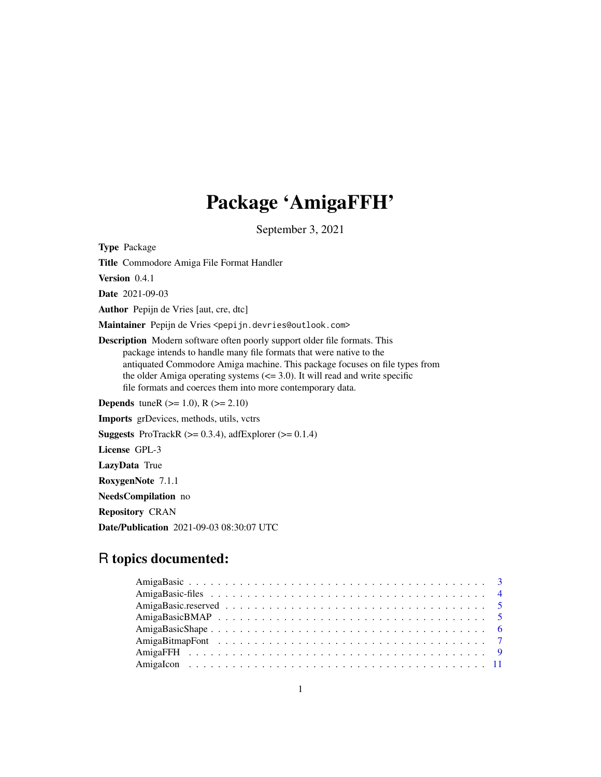# Package 'AmigaFFH'

September 3, 2021

<span id="page-0-0"></span>Type Package

Title Commodore Amiga File Format Handler

Version 0.4.1

Date 2021-09-03

Author Pepijn de Vries [aut, cre, dtc]

Maintainer Pepijn de Vries <pepijn.devries@outlook.com>

Description Modern software often poorly support older file formats. This package intends to handle many file formats that were native to the antiquated Commodore Amiga machine. This package focuses on file types from the older Amiga operating systems  $\left(\leq 3.0\right)$ . It will read and write specific file formats and coerces them into more contemporary data.

**Depends** tuneR ( $>= 1.0$ ), R ( $>= 2.10$ )

Imports grDevices, methods, utils, vctrs

**Suggests** ProTrackR  $(>= 0.3.4)$ , adfExplorer  $(>= 0.1.4)$ 

License GPL-3

LazyData True

RoxygenNote 7.1.1

NeedsCompilation no

Repository CRAN

Date/Publication 2021-09-03 08:30:07 UTC

# R topics documented: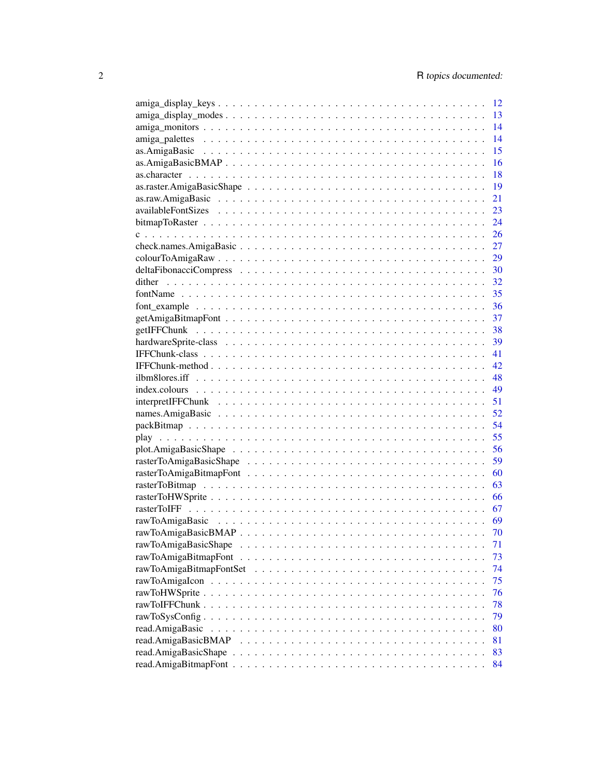|        | 12   |
|--------|------|
|        | 13   |
|        | 14   |
|        | 14   |
|        | 15   |
|        | 16   |
|        | 18   |
|        | 19   |
|        | 21   |
|        | 23   |
|        | 24   |
|        | 26   |
|        | 27   |
|        | 29   |
|        | 30   |
| dither | 32   |
|        | 35   |
|        | 36   |
|        | 37   |
|        |      |
|        | 38   |
|        | 39   |
|        | 41   |
|        | - 42 |
|        | - 48 |
|        | 49   |
|        | 51   |
|        | 52   |
|        | 54   |
|        | 55   |
|        |      |
|        |      |
|        | 60   |
|        | 63   |
|        | 66   |
|        | 67   |
|        | 69   |
|        | 70   |
|        | 71   |
|        | 73   |
|        | 74   |
|        | 75   |
|        | 76   |
|        | 78   |
|        | 79   |
|        | 80   |
|        | 81   |
|        | 83   |
|        | 84   |
|        |      |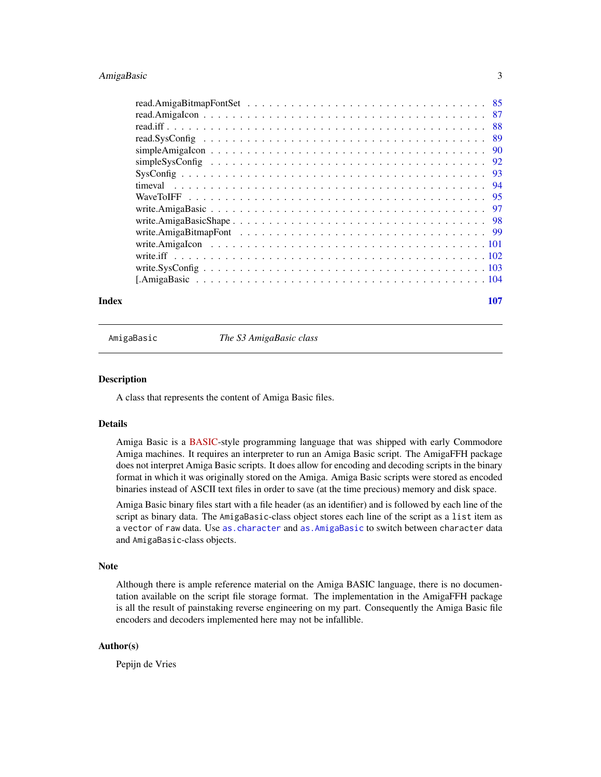# <span id="page-2-0"></span>AmigaBasic 3

| -90  |
|------|
|      |
| - 93 |
|      |
|      |
|      |
|      |
|      |
|      |
|      |
|      |
|      |
|      |

# **Index** the contract of the contract of the contract of the contract of the contract of the contract of the contract of the contract of the contract of the contract of the contract of the contract of the contract of the co

<span id="page-2-1"></span>

AmigaBasic *The S3 AmigaBasic class*

# Description

A class that represents the content of Amiga Basic files.

# Details

Amiga Basic is a [BASIC-](https://en.wikipedia.org/wiki/BASIC)style programming language that was shipped with early Commodore Amiga machines. It requires an interpreter to run an Amiga Basic script. The AmigaFFH package does not interpret Amiga Basic scripts. It does allow for encoding and decoding scripts in the binary format in which it was originally stored on the Amiga. Amiga Basic scripts were stored as encoded binaries instead of ASCII text files in order to save (at the time precious) memory and disk space.

Amiga Basic binary files start with a file header (as an identifier) and is followed by each line of the script as binary data. The AmigaBasic-class object stores each line of the script as a list item as a vector of raw data. Use as. character and as. AmigaBasic to switch between character data and AmigaBasic-class objects.

# Note

Although there is ample reference material on the Amiga BASIC language, there is no documentation available on the script file storage format. The implementation in the AmigaFFH package is all the result of painstaking reverse engineering on my part. Consequently the Amiga Basic file encoders and decoders implemented here may not be infallible.

# Author(s)

Pepijn de Vries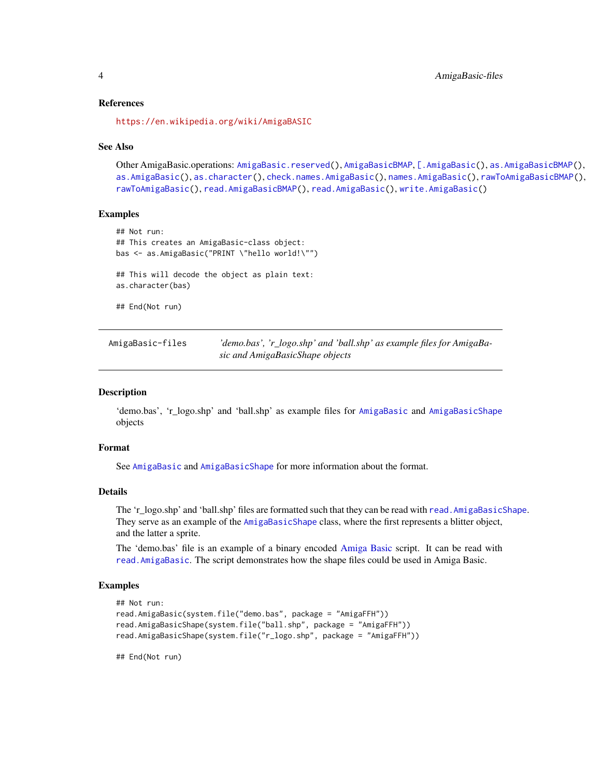# References

<https://en.wikipedia.org/wiki/AmigaBASIC>

#### See Also

```
Other AmigaBasic.operations: AmigaBasic.reserved(), AmigaBasicBMAP, [.AmigaBasic(), as.AmigaBasicBMAP(),
as.AmigaBasic(), as.character(), check.names.AmigaBasic(), names.AmigaBasic(), rawToAmigaBasicBMAP(),
rawToAmigaBasic(), read.AmigaBasicBMAP(), read.AmigaBasic(), write.AmigaBasic()
```
# Examples

```
## Not run:
## This creates an AmigaBasic-class object:
bas <- as.AmigaBasic("PRINT \"hello world!\"")
## This will decode the object as plain text:
as.character(bas)
## End(Not run)
```

| AmigaBasic-files | 'demo.bas', 'r_logo.shp' and 'ball.shp' as example files for AmigaBa- |
|------------------|-----------------------------------------------------------------------|
|                  | sic and AmigaBasicShape objects                                       |

#### Description

'demo.bas', 'r\_logo.shp' and 'ball.shp' as example files for [AmigaBasic](#page-2-1) and [AmigaBasicShape](#page-5-1) objects

#### Format

See [AmigaBasic](#page-2-1) and [AmigaBasicShape](#page-5-1) for more information about the format.

# Details

The 'r\_logo.shp' and 'ball.shp' files are formatted such that they can be read with [read.AmigaBasicShape](#page-82-1). They serve as an example of the [AmigaBasicShape](#page-5-1) class, where the first represents a blitter object, and the latter a sprite.

The 'demo.bas' file is an example of a binary encoded [Amiga Basic](#page-0-0) script. It can be read with [read.AmigaBasic](#page-79-1). The script demonstrates how the shape files could be used in Amiga Basic.

### Examples

```
## Not run:
read.AmigaBasic(system.file("demo.bas", package = "AmigaFFH"))
read.AmigaBasicShape(system.file("ball.shp", package = "AmigaFFH"))
read.AmigaBasicShape(system.file("r_logo.shp", package = "AmigaFFH"))
```
## End(Not run)

<span id="page-3-0"></span>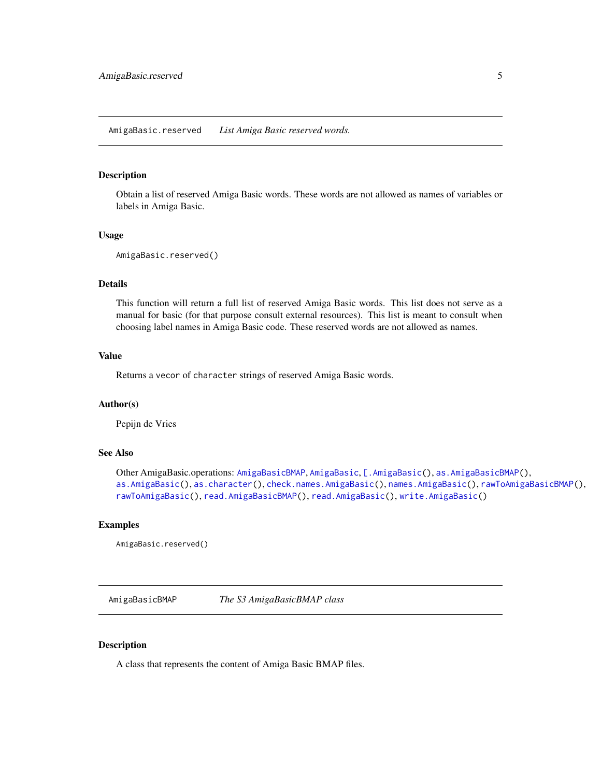#### <span id="page-4-1"></span><span id="page-4-0"></span>Description

Obtain a list of reserved Amiga Basic words. These words are not allowed as names of variables or labels in Amiga Basic.

#### Usage

```
AmigaBasic.reserved()
```
#### Details

This function will return a full list of reserved Amiga Basic words. This list does not serve as a manual for basic (for that purpose consult external resources). This list is meant to consult when choosing label names in Amiga Basic code. These reserved words are not allowed as names.

# Value

Returns a vecor of character strings of reserved Amiga Basic words.

# Author(s)

Pepijn de Vries

# See Also

```
Other AmigaBasic.operations: AmigaBasicBMAP, AmigaBasic, [.AmigaBasic(), as.AmigaBasicBMAP(),
as.AmigaBasic(), as.character(), check.names.AmigaBasic(), names.AmigaBasic(), rawToAmigaBasicBMAP(),
rawToAmigaBasic(), read.AmigaBasicBMAP(), read.AmigaBasic(), write.AmigaBasic()
```
# Examples

AmigaBasic.reserved()

<span id="page-4-2"></span>AmigaBasicBMAP *The S3 AmigaBasicBMAP class*

#### Description

A class that represents the content of Amiga Basic BMAP files.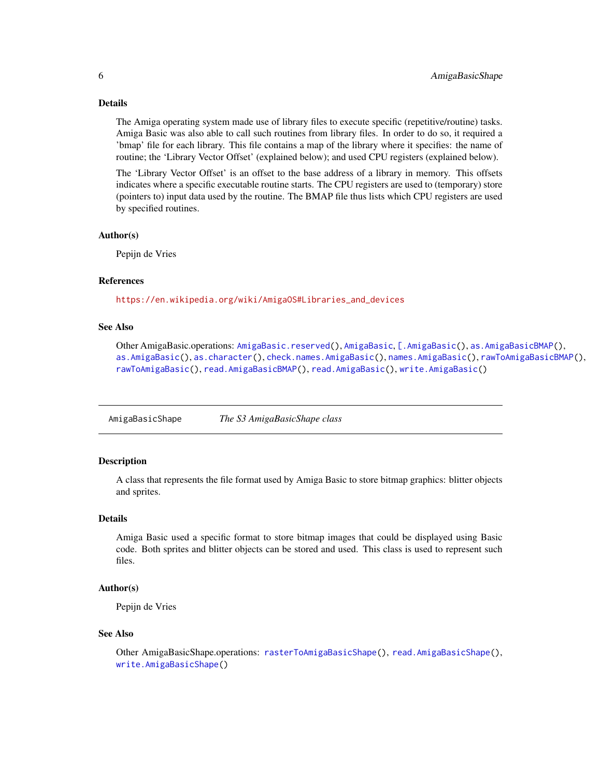# <span id="page-5-0"></span>Details

The Amiga operating system made use of library files to execute specific (repetitive/routine) tasks. Amiga Basic was also able to call such routines from library files. In order to do so, it required a 'bmap' file for each library. This file contains a map of the library where it specifies: the name of routine; the 'Library Vector Offset' (explained below); and used CPU registers (explained below).

The 'Library Vector Offset' is an offset to the base address of a library in memory. This offsets indicates where a specific executable routine starts. The CPU registers are used to (temporary) store (pointers to) input data used by the routine. The BMAP file thus lists which CPU registers are used by specified routines.

#### Author(s)

Pepijn de Vries

# References

[https://en.wikipedia.org/wiki/AmigaOS#Libraries\\_and\\_devices](https://en.wikipedia.org/wiki/AmigaOS#Libraries_and_devices)

# See Also

Other AmigaBasic.operations: [AmigaBasic.reserved\(](#page-4-1)), [AmigaBasic](#page-2-1), [\[.AmigaBasic\(](#page-103-1)), [as.AmigaBasicBMAP\(](#page-15-1)), [as.AmigaBasic\(](#page-14-1)), [as.character\(](#page-17-1)), [check.names.AmigaBasic\(](#page-26-1)), [names.AmigaBasic\(](#page-51-1)), [rawToAmigaBasicBMAP\(](#page-69-1)), [rawToAmigaBasic\(](#page-68-1)), [read.AmigaBasicBMAP\(](#page-80-1)), [read.AmigaBasic\(](#page-79-1)), [write.AmigaBasic\(](#page-96-1))

<span id="page-5-1"></span>AmigaBasicShape *The S3 AmigaBasicShape class*

# **Description**

A class that represents the file format used by Amiga Basic to store bitmap graphics: blitter objects and sprites.

# Details

Amiga Basic used a specific format to store bitmap images that could be displayed using Basic code. Both sprites and blitter objects can be stored and used. This class is used to represent such files.

# Author(s)

Pepijn de Vries

#### See Also

Other AmigaBasicShape.operations: [rasterToAmigaBasicShape\(](#page-58-1)), [read.AmigaBasicShape\(](#page-82-1)), [write.AmigaBasicShape\(](#page-97-1))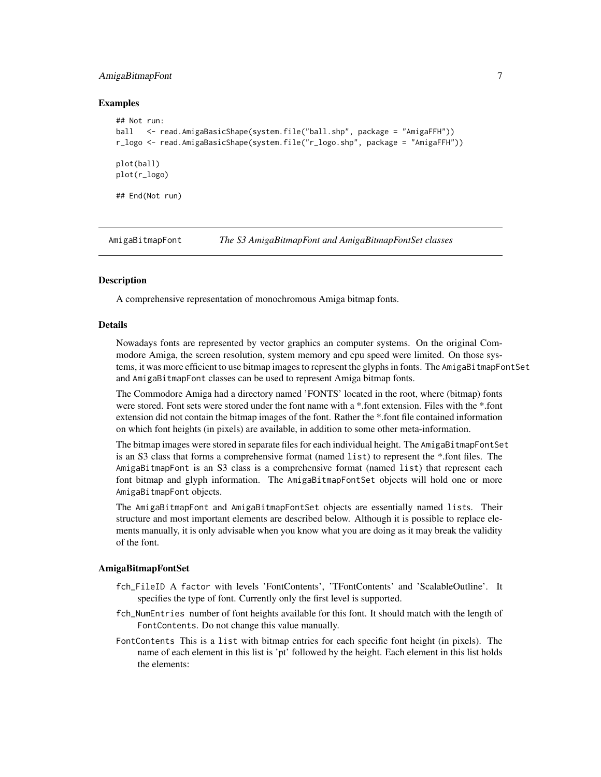# <span id="page-6-0"></span>AmigaBitmapFont 7

#### Examples

```
## Not run:
ball <- read.AmigaBasicShape(system.file("ball.shp", package = "AmigaFFH"))
r_logo <- read.AmigaBasicShape(system.file("r_logo.shp", package = "AmigaFFH"))
plot(ball)
plot(r_logo)
## End(Not run)
```
<span id="page-6-1"></span>AmigaBitmapFont *The S3 AmigaBitmapFont and AmigaBitmapFontSet classes*

# <span id="page-6-2"></span>**Description**

A comprehensive representation of monochromous Amiga bitmap fonts.

#### Details

Nowadays fonts are represented by vector graphics an computer systems. On the original Commodore Amiga, the screen resolution, system memory and cpu speed were limited. On those systems, it was more efficient to use bitmap images to represent the glyphs in fonts. The AmigaBitmapFontSet and AmigaBitmapFont classes can be used to represent Amiga bitmap fonts.

The Commodore Amiga had a directory named 'FONTS' located in the root, where (bitmap) fonts were stored. Font sets were stored under the font name with a \*.font extension. Files with the \*.font extension did not contain the bitmap images of the font. Rather the \*.font file contained information on which font heights (in pixels) are available, in addition to some other meta-information.

The bitmap images were stored in separate files for each individual height. The AmigaBitmapFontSet is an S3 class that forms a comprehensive format (named list) to represent the \*.font files. The AmigaBitmapFont is an S3 class is a comprehensive format (named list) that represent each font bitmap and glyph information. The AmigaBitmapFontSet objects will hold one or more AmigaBitmapFont objects.

The AmigaBitmapFont and AmigaBitmapFontSet objects are essentially named lists. Their structure and most important elements are described below. Although it is possible to replace elements manually, it is only advisable when you know what you are doing as it may break the validity of the font.

#### AmigaBitmapFontSet

- fch\_FileID A factor with levels 'FontContents', 'TFontContents' and 'ScalableOutline'. It specifies the type of font. Currently only the first level is supported.
- fch\_NumEntries number of font heights available for this font. It should match with the length of FontContents. Do not change this value manually.
- FontContents This is a list with bitmap entries for each specific font height (in pixels). The name of each element in this list is 'pt' followed by the height. Each element in this list holds the elements: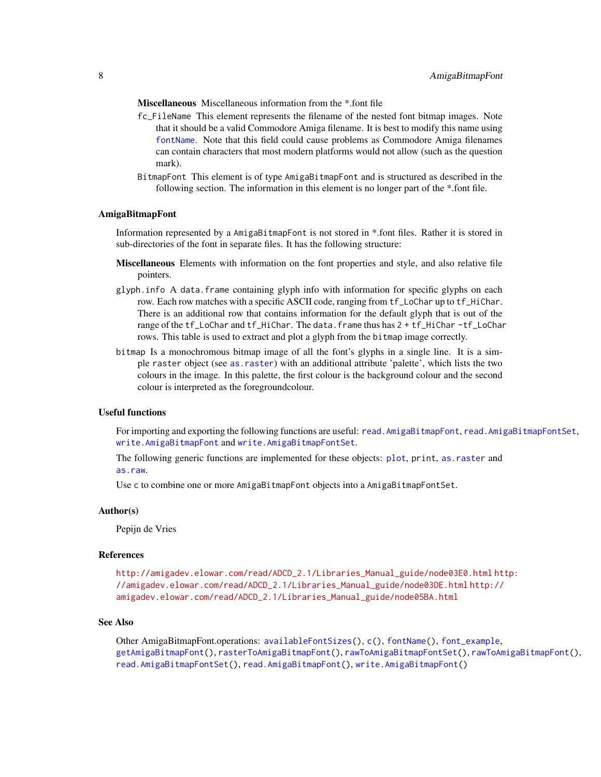Miscellaneous Miscellaneous information from the \*.font file

- fc\_FileName This element represents the filename of the nested font bitmap images. Note that it should be a valid Commodore Amiga filename. It is best to modify this name using [fontName](#page-34-1). Note that this field could cause problems as Commodore Amiga filenames can contain characters that most modern platforms would not allow (such as the question mark).
- BitmapFont This element is of type AmigaBitmapFont and is structured as described in the following section. The information in this element is no longer part of the \*.font file.

#### AmigaBitmapFont

Information represented by a AmigaBitmapFont is not stored in \*.font files. Rather it is stored in sub-directories of the font in separate files. It has the following structure:

- Miscellaneous Elements with information on the font properties and style, and also relative file pointers.
- glyph.info A data.frame containing glyph info with information for specific glyphs on each row. Each row matches with a specific ASCII code, ranging from tf\_LoChar up to tf\_HiChar. There is an additional row that contains information for the default glyph that is out of the range of the tf\_LoChar and tf\_HiChar. The data.frame thus has 2 + tf\_HiChar -tf\_LoChar rows. This table is used to extract and plot a glyph from the bitmap image correctly.
- bitmap Is a monochromous bitmap image of all the font's glyphs in a single line. It is a simple raster object (see [as.raster](#page-18-1)) with an additional attribute 'palette', which lists the two colours in the image. In this palette, the first colour is the background colour and the second colour is interpreted as the foregroundcolour.

#### Useful functions

For importing and exporting the following functions are useful: [read.AmigaBitmapFont](#page-83-1), [read.AmigaBitmapFontSet](#page-84-1), [write.AmigaBitmapFont](#page-98-1) and [write.AmigaBitmapFontSet](#page-98-2).

The following generic functions are implemented for these objects: [plot](#page-55-1), print, [as.raster](#page-18-1) and [as.raw](#page-20-1).

Use [c](#page-25-1) to combine one or more AmigaBitmapFont objects into a AmigaBitmapFontSet.

#### Author(s)

Pepijn de Vries

#### References

[http://amigadev.elowar.com/read/ADCD\\_2.1/Libraries\\_Manual\\_guide/node03E0.html](http://amigadev.elowar.com/read/ADCD_2.1/Libraries_Manual_guide/node03E0.html) [ht](http://amigadev.elowar.com/read/ADCD_2.1/Libraries_Manual_guide/node03DE.html)tp: [//amigadev.elowar.com/read/ADCD\\_2.1/Libraries\\_Manual\\_guide/node03DE.html](http://amigadev.elowar.com/read/ADCD_2.1/Libraries_Manual_guide/node03DE.html) [http://](http://amigadev.elowar.com/read/ADCD_2.1/Libraries_Manual_guide/node05BA.html) [amigadev.elowar.com/read/ADCD\\_2.1/Libraries\\_Manual\\_guide/node05BA.html](http://amigadev.elowar.com/read/ADCD_2.1/Libraries_Manual_guide/node05BA.html)

#### See Also

Other AmigaBitmapFont.operations: [availableFontSizes\(](#page-22-1)), [c\(](#page-25-1)), [fontName\(](#page-34-1)), [font\\_example](#page-35-1), [getAmigaBitmapFont\(](#page-36-1)), [rasterToAmigaBitmapFont\(](#page-59-1)), [rawToAmigaBitmapFontSet\(](#page-73-1)), [rawToAmigaBitmapFont\(](#page-72-1)), [read.AmigaBitmapFontSet\(](#page-84-1)), [read.AmigaBitmapFont\(](#page-83-1)), [write.AmigaBitmapFont\(](#page-98-1))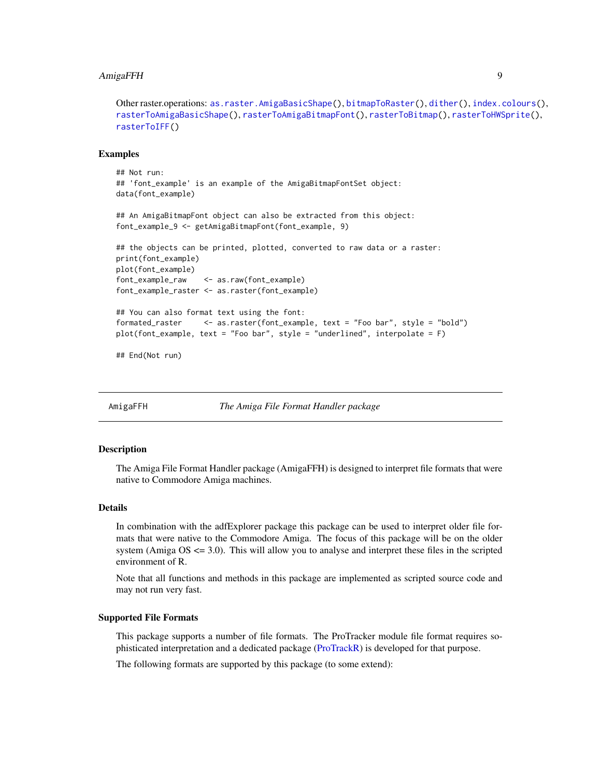# <span id="page-8-0"></span>AmigaFFH 9

Other raster.operations: [as.raster.AmigaBasicShape\(](#page-18-2)), [bitmapToRaster\(](#page-23-1)), [dither\(](#page-31-1)), [index.colours\(](#page-48-1)), [rasterToAmigaBasicShape\(](#page-58-1)), [rasterToAmigaBitmapFont\(](#page-59-1)), [rasterToBitmap\(](#page-62-1)), [rasterToHWSprite\(](#page-65-1)), [rasterToIFF\(](#page-66-1))

#### Examples

```
## Not run:
## 'font_example' is an example of the AmigaBitmapFontSet object:
data(font_example)
## An AmigaBitmapFont object can also be extracted from this object:
font_example_9 <- getAmigaBitmapFont(font_example, 9)
## the objects can be printed, plotted, converted to raw data or a raster:
print(font_example)
plot(font_example)
font_example_raw <- as.raw(font_example)
font_example_raster <- as.raster(font_example)
## You can also format text using the font:
formated_raster <- as.raster(font_example, text = "Foo bar", style = "bold")
plot(font_example, text = "Foo bar", style = "underlined", interpolate = F)
## End(Not run)
```
AmigaFFH *The Amiga File Format Handler package*

#### **Description**

The Amiga File Format Handler package (AmigaFFH) is designed to interpret file formats that were native to Commodore Amiga machines.

#### Details

In combination with the adfExplorer package this package can be used to interpret older file formats that were native to the Commodore Amiga. The focus of this package will be on the older system (Amiga  $OS \leq 3.0$ ). This will allow you to analyse and interpret these files in the scripted environment of R.

Note that all functions and methods in this package are implemented as scripted source code and may not run very fast.

#### Supported File Formats

This package supports a number of file formats. The ProTracker module file format requires sophisticated interpretation and a dedicated package [\(ProTrackR\)](#page-0-0) is developed for that purpose.

The following formats are supported by this package (to some extend):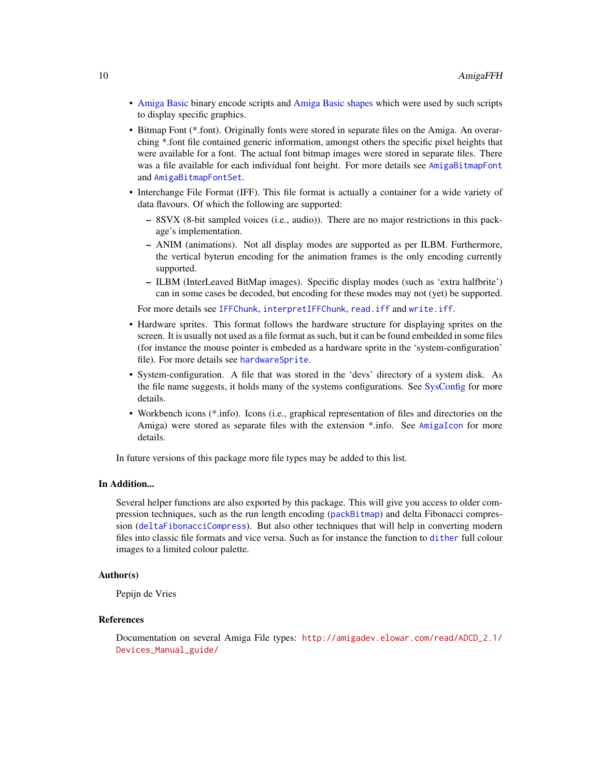- [Amiga Basic](#page-0-0) binary encode scripts and [Amiga Basic shapes](#page-0-0) which were used by such scripts to display specific graphics.
- Bitmap Font (\*.font). Originally fonts were stored in separate files on the Amiga. An overarching \*.font file contained generic information, amongst others the specific pixel heights that were available for a font. The actual font bitmap images were stored in separate files. There was a file available for each individual font height. For more details see [AmigaBitmapFont](#page-6-1) and [AmigaBitmapFontSet](#page-6-2).
- Interchange File Format (IFF). This file format is actually a container for a wide variety of data flavours. Of which the following are supported:
	- 8SVX (8-bit sampled voices (i.e., audio)). There are no major restrictions in this package's implementation.
	- ANIM (animations). Not all display modes are supported as per ILBM. Furthermore, the vertical byterun encoding for the animation frames is the only encoding currently supported.
	- ILBM (InterLeaved BitMap images). Specific display modes (such as 'extra halfbrite') can in some cases be decoded, but encoding for these modes may not (yet) be supported.

For more details see [IFFChunk](#page-41-1), [interpretIFFChunk](#page-50-1), [read.iff](#page-87-1) and [write.iff](#page-101-1).

- Hardware sprites. This format follows the hardware structure for displaying sprites on the screen. It is usually not used as a file format as such, but it can be found embedded in some files (for instance the mouse pointer is embeded as a hardware sprite in the 'system-configuration' file). For more details see [hardwareSprite](#page-38-1).
- System-configuration. A file that was stored in the 'devs' directory of a system disk. As the file name suggests, it holds many of the systems configurations. See [SysConfig](#page-92-1) for more details.
- Workbench icons (\*.info). Icons (i.e., graphical representation of files and directories on the Amiga) were stored as separate files with the extension \*.info. See [AmigaIcon](#page-10-1) for more details.

In future versions of this package more file types may be added to this list.

# In Addition...

Several helper functions are also exported by this package. This will give you access to older compression techniques, such as the run length encoding ([packBitmap](#page-53-1)) and delta Fibonacci compression ([deltaFibonacciCompress](#page-29-1)). But also other techniques that will help in converting modern files into classic file formats and vice versa. Such as for instance the function to [dither](#page-31-1) full colour images to a limited colour palette.

#### Author(s)

Pepijn de Vries

#### References

Documentation on several Amiga File types: [http://amigadev.elowar.com/read/ADCD\\_2.1/](http://amigadev.elowar.com/read/ADCD_2.1/Devices_Manual_guide/) [Devices\\_Manual\\_guide/](http://amigadev.elowar.com/read/ADCD_2.1/Devices_Manual_guide/)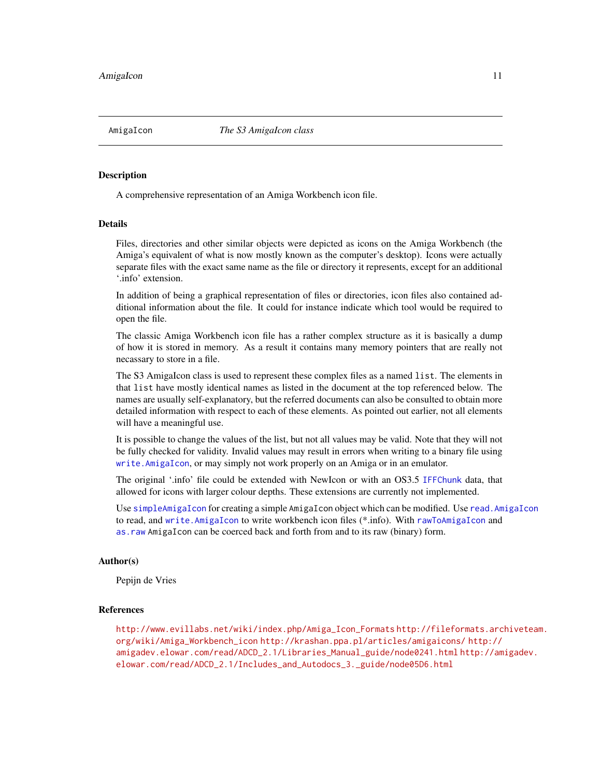<span id="page-10-1"></span><span id="page-10-0"></span>

### Description

A comprehensive representation of an Amiga Workbench icon file.

# Details

Files, directories and other similar objects were depicted as icons on the Amiga Workbench (the Amiga's equivalent of what is now mostly known as the computer's desktop). Icons were actually separate files with the exact same name as the file or directory it represents, except for an additional '.info' extension.

In addition of being a graphical representation of files or directories, icon files also contained additional information about the file. It could for instance indicate which tool would be required to open the file.

The classic Amiga Workbench icon file has a rather complex structure as it is basically a dump of how it is stored in memory. As a result it contains many memory pointers that are really not necassary to store in a file.

The S3 AmigaIcon class is used to represent these complex files as a named list. The elements in that list have mostly identical names as listed in the document at the top referenced below. The names are usually self-explanatory, but the referred documents can also be consulted to obtain more detailed information with respect to each of these elements. As pointed out earlier, not all elements will have a meaningful use.

It is possible to change the values of the list, but not all values may be valid. Note that they will not be fully checked for validity. Invalid values may result in errors when writing to a binary file using [write.AmigaIcon](#page-100-1), or may simply not work properly on an Amiga or in an emulator.

The original '.info' file could be extended with NewIcon or with an OS3.5 [IFFChunk](#page-41-1) data, that allowed for icons with larger colour depths. These extensions are currently not implemented.

Use [simpleAmigaIcon](#page-89-1) for creating a simple AmigaIcon object which can be modified. Use [read.AmigaIcon](#page-86-1) to read, and [write.AmigaIcon](#page-100-1) to write workbench icon files (\*.info). With [rawToAmigaIcon](#page-74-1) and [as.raw](#page-20-1) AmigaIcon can be coerced back and forth from and to its raw (binary) form.

# Author(s)

Pepijn de Vries

# References

[http://www.evillabs.net/wiki/index.php/Amiga\\_Icon\\_Formats](http://www.evillabs.net/wiki/index.php/Amiga_Icon_Formats) [http://fileformats.arc](http://fileformats.archiveteam.org/wiki/Amiga_Workbench_icon)hiveteam. [org/wiki/Amiga\\_Workbench\\_icon](http://fileformats.archiveteam.org/wiki/Amiga_Workbench_icon) <http://krashan.ppa.pl/articles/amigaicons/> [http://](http://amigadev.elowar.com/read/ADCD_2.1/Libraries_Manual_guide/node0241.html) [amigadev.elowar.com/read/ADCD\\_2.1/Libraries\\_Manual\\_guide/node0241.html](http://amigadev.elowar.com/read/ADCD_2.1/Libraries_Manual_guide/node0241.html) [http://am](http://amigadev.elowar.com/read/ADCD_2.1/Includes_and_Autodocs_3._guide/node05D6.html)igadev. [elowar.com/read/ADCD\\_2.1/Includes\\_and\\_Autodocs\\_3.\\_guide/node05D6.html](http://amigadev.elowar.com/read/ADCD_2.1/Includes_and_Autodocs_3._guide/node05D6.html)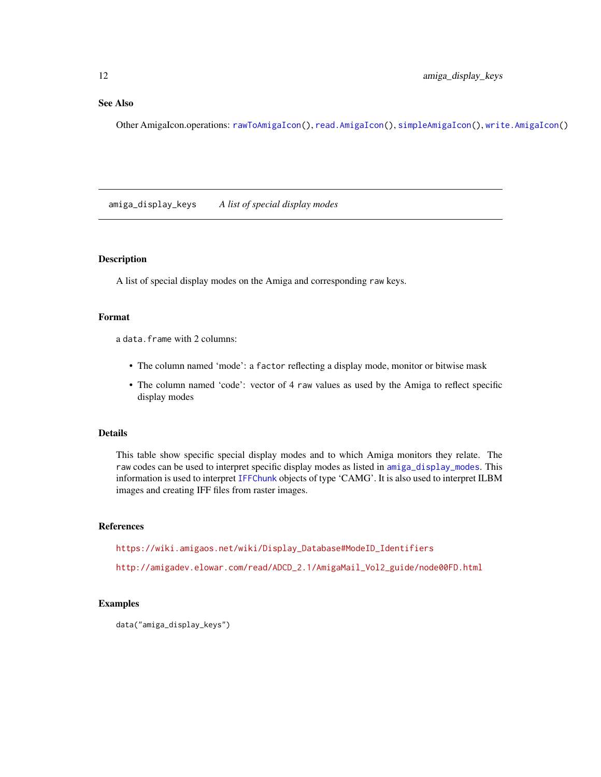# <span id="page-11-0"></span>See Also

Other AmigaIcon.operations: [rawToAmigaIcon\(](#page-74-1)), [read.AmigaIcon\(](#page-86-1)), [simpleAmigaIcon\(](#page-89-1)), [write.AmigaIcon\(](#page-100-1))

amiga\_display\_keys *A list of special display modes*

# Description

A list of special display modes on the Amiga and corresponding raw keys.

# Format

a data.frame with 2 columns:

- The column named 'mode': a factor reflecting a display mode, monitor or bitwise mask
- The column named 'code': vector of 4 raw values as used by the Amiga to reflect specific display modes

# Details

This table show specific special display modes and to which Amiga monitors they relate. The raw codes can be used to interpret specific display modes as listed in [amiga\\_display\\_modes](#page-12-1). This information is used to interpret [IFFChunk](#page-41-1) objects of type 'CAMG'. It is also used to interpret ILBM images and creating IFF files from raster images.

# References

[https://wiki.amigaos.net/wiki/Display\\_Database#ModeID\\_Identifiers](https://wiki.amigaos.net/wiki/Display_Database#ModeID_Identifiers)

[http://amigadev.elowar.com/read/ADCD\\_2.1/AmigaMail\\_Vol2\\_guide/node00FD.html](http://amigadev.elowar.com/read/ADCD_2.1/AmigaMail_Vol2_guide/node00FD.html)

# Examples

data("amiga\_display\_keys")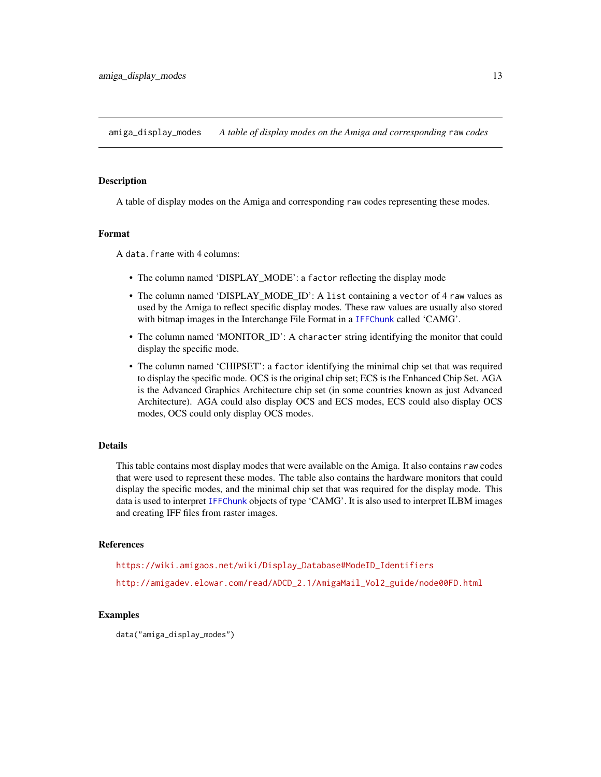<span id="page-12-1"></span><span id="page-12-0"></span>amiga\_display\_modes *A table of display modes on the Amiga and corresponding* raw *codes*

#### Description

A table of display modes on the Amiga and corresponding raw codes representing these modes.

# Format

A data.frame with 4 columns:

- The column named 'DISPLAY\_MODE': a factor reflecting the display mode
- The column named 'DISPLAY\_MODE\_ID': A list containing a vector of 4 raw values as used by the Amiga to reflect specific display modes. These raw values are usually also stored with bitmap images in the Interchange File Format in a [IFFChunk](#page-41-1) called 'CAMG'.
- The column named 'MONITOR\_ID': A character string identifying the monitor that could display the specific mode.
- The column named 'CHIPSET': a factor identifying the minimal chip set that was required to display the specific mode. OCS is the original chip set; ECS is the Enhanced Chip Set. AGA is the Advanced Graphics Architecture chip set (in some countries known as just Advanced Architecture). AGA could also display OCS and ECS modes, ECS could also display OCS modes, OCS could only display OCS modes.

# Details

This table contains most display modes that were available on the Amiga. It also contains raw codes that were used to represent these modes. The table also contains the hardware monitors that could display the specific modes, and the minimal chip set that was required for the display mode. This data is used to interpret [IFFChunk](#page-41-1) objects of type 'CAMG'. It is also used to interpret ILBM images and creating IFF files from raster images.

# References

[https://wiki.amigaos.net/wiki/Display\\_Database#ModeID\\_Identifiers](https://wiki.amigaos.net/wiki/Display_Database#ModeID_Identifiers)

[http://amigadev.elowar.com/read/ADCD\\_2.1/AmigaMail\\_Vol2\\_guide/node00FD.html](http://amigadev.elowar.com/read/ADCD_2.1/AmigaMail_Vol2_guide/node00FD.html)

# Examples

data("amiga\_display\_modes")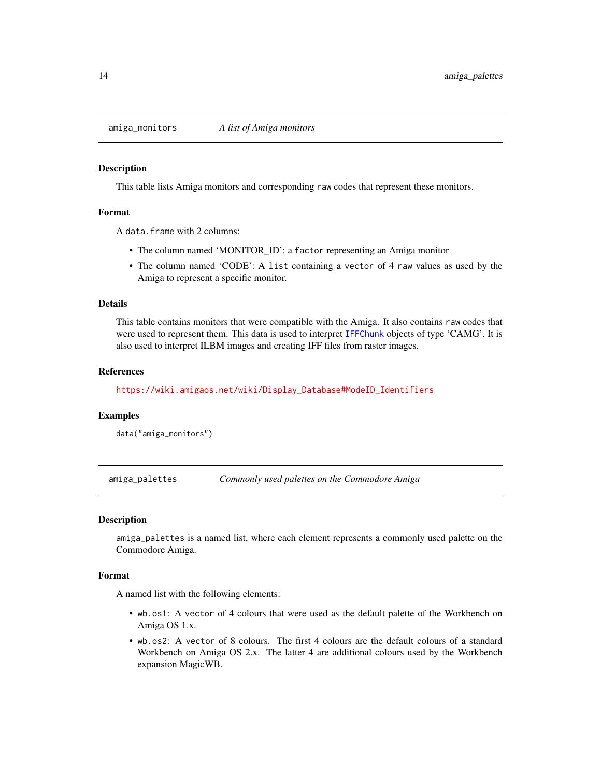<span id="page-13-0"></span>amiga\_monitors *A list of Amiga monitors*

#### **Description**

This table lists Amiga monitors and corresponding raw codes that represent these monitors.

#### Format

A data.frame with 2 columns:

- The column named 'MONITOR\_ID': a factor representing an Amiga monitor
- The column named 'CODE': A list containing a vector of 4 raw values as used by the Amiga to represent a specific monitor.

# Details

This table contains monitors that were compatible with the Amiga. It also contains raw codes that were used to represent them. This data is used to interpret [IFFChunk](#page-41-1) objects of type 'CAMG'. It is also used to interpret ILBM images and creating IFF files from raster images.

# References

[https://wiki.amigaos.net/wiki/Display\\_Database#ModeID\\_Identifiers](https://wiki.amigaos.net/wiki/Display_Database#ModeID_Identifiers)

#### Examples

```
data("amiga_monitors")
```
amiga\_palettes *Commonly used palettes on the Commodore Amiga*

#### Description

amiga\_palettes is a named list, where each element represents a commonly used palette on the Commodore Amiga.

#### Format

A named list with the following elements:

- wb.os1: A vector of 4 colours that were used as the default palette of the Workbench on Amiga OS 1.x.
- wb.os2: A vector of 8 colours. The first 4 colours are the default colours of a standard Workbench on Amiga OS 2.x. The latter 4 are additional colours used by the Workbench expansion MagicWB.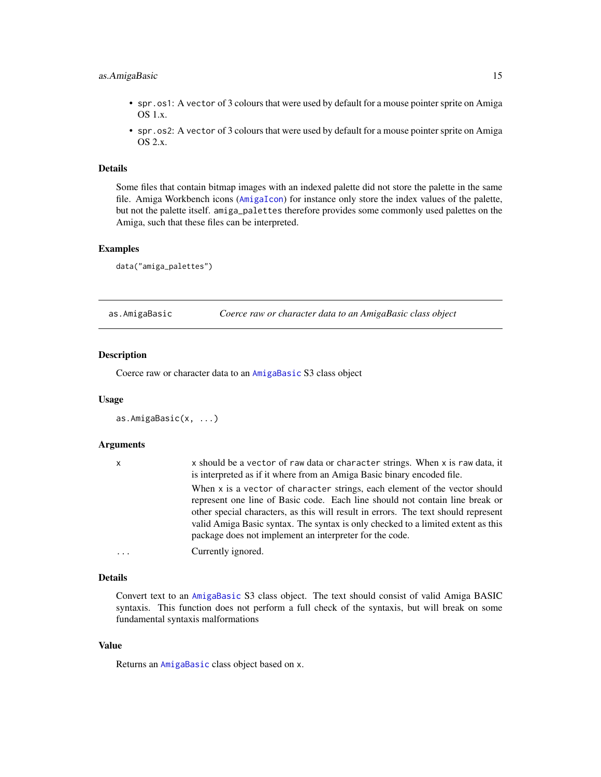# <span id="page-14-0"></span>as. AmigaBasic 15

- spr. os1: A vector of 3 colours that were used by default for a mouse pointer sprite on Amiga OS 1.x.
- spr.os2: A vector of 3 colours that were used by default for a mouse pointer sprite on Amiga OS 2.x.

# Details

Some files that contain bitmap images with an indexed palette did not store the palette in the same file. Amiga Workbench icons ([AmigaIcon](#page-10-1)) for instance only store the index values of the palette, but not the palette itself. amiga\_palettes therefore provides some commonly used palettes on the Amiga, such that these files can be interpreted.

# Examples

data("amiga\_palettes")

<span id="page-14-1"></span>as.AmigaBasic *Coerce raw or character data to an AmigaBasic class object*

# Description

Coerce raw or character data to an [AmigaBasic](#page-2-1) S3 class object

#### Usage

```
as.AmigaBasic(x, ...)
```
#### Arguments

| $\mathsf{x}$ | x should be a vector of raw data or character strings. When x is raw data, it<br>is interpreted as if it where from an Amiga Basic binary encoded file.                                                                                                                                                                                                                                         |
|--------------|-------------------------------------------------------------------------------------------------------------------------------------------------------------------------------------------------------------------------------------------------------------------------------------------------------------------------------------------------------------------------------------------------|
|              | When x is a vector of character strings, each element of the vector should<br>represent one line of Basic code. Each line should not contain line break or<br>other special characters, as this will result in errors. The text should represent<br>valid Amiga Basic syntax. The syntax is only checked to a limited extent as this<br>package does not implement an interpreter for the code. |
| $\cdots$     | Currently ignored.                                                                                                                                                                                                                                                                                                                                                                              |

# Details

Convert text to an [AmigaBasic](#page-2-1) S3 class object. The text should consist of valid Amiga BASIC syntaxis. This function does not perform a full check of the syntaxis, but will break on some fundamental syntaxis malformations

# Value

Returns an [AmigaBasic](#page-2-1) class object based on x.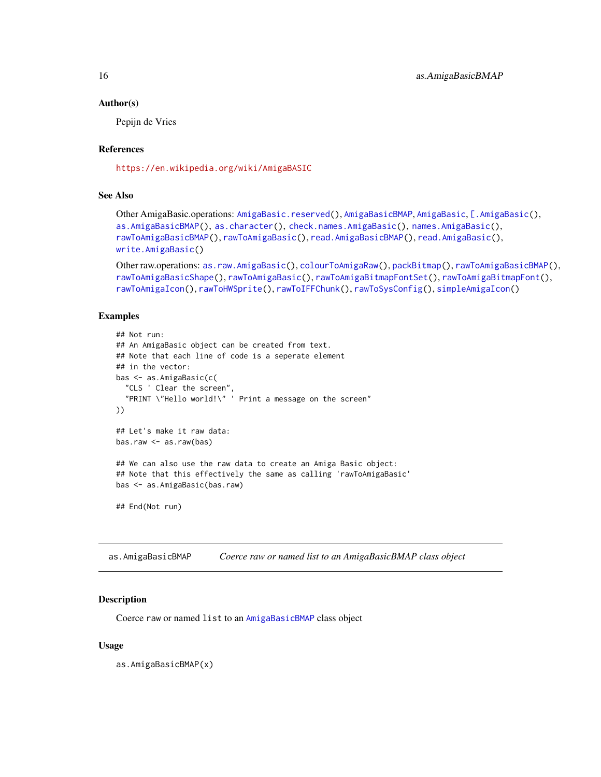#### <span id="page-15-0"></span>Author(s)

Pepijn de Vries

# References

<https://en.wikipedia.org/wiki/AmigaBASIC>

# See Also

```
Other AmigaBasic.operations: AmigaBasic.reserved(), AmigaBasicBMAP, AmigaBasic, [.AmigaBasic(),
as.AmigaBasicBMAP(), as.character(), check.names.AmigaBasic(), names.AmigaBasic(),
rawToAmigaBasicBMAP(), rawToAmigaBasic(), read.AmigaBasicBMAP(), read.AmigaBasic(),
write.AmigaBasic()
```

```
Other raw.operations: as.raw.AmigaBasic(), colourToAmigaRaw(), packBitmap(), rawToAmigaBasicBMAP(),
rawToAmigaBasicShape(), rawToAmigaBasic(), rawToAmigaBitmapFontSet(), rawToAmigaBitmapFont(),
rawToAmigaIcon(), rawToHWSprite(), rawToIFFChunk(), rawToSysConfig(), simpleAmigaIcon()
```
# Examples

```
## Not run:
## An AmigaBasic object can be created from text.
## Note that each line of code is a seperate element
## in the vector:
bas <- as.AmigaBasic(c(
  "CLS ' Clear the screen",
  "PRINT \"Hello world!\" ' Print a message on the screen"
))
## Let's make it raw data:
bas.raw <- as.raw(bas)
## We can also use the raw data to create an Amiga Basic object:
## Note that this effectively the same as calling 'rawToAmigaBasic'
bas <- as.AmigaBasic(bas.raw)
## End(Not run)
```
<span id="page-15-1"></span>as.AmigaBasicBMAP *Coerce raw or named list to an AmigaBasicBMAP class object*

# **Description**

Coerce raw or named list to an [AmigaBasicBMAP](#page-4-2) class object

#### Usage

as.AmigaBasicBMAP(x)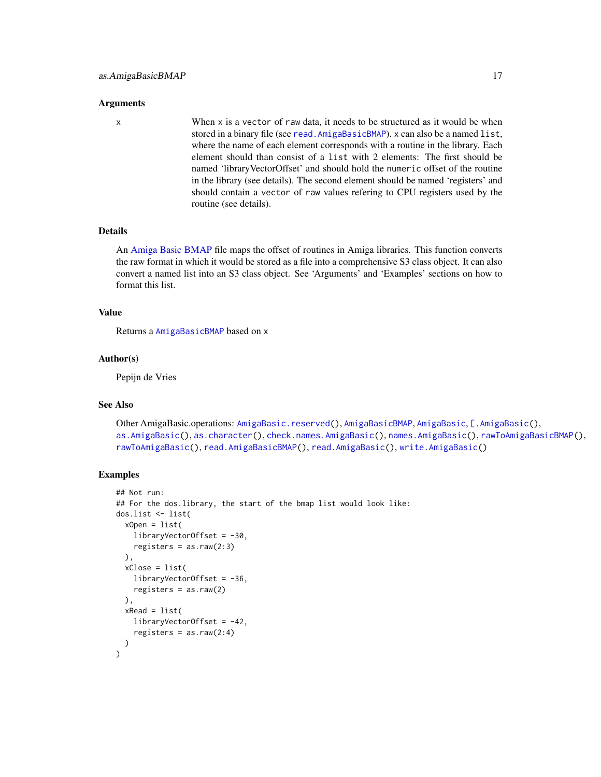#### Arguments

x When x is a vector of raw data, it needs to be structured as it would be when stored in a binary file (see [read.AmigaBasicBMAP](#page-80-1)). x can also be a named list, where the name of each element corresponds with a routine in the library. Each element should than consist of a list with 2 elements: The first should be named 'libraryVectorOffset' and should hold the numeric offset of the routine in the library (see details). The second element should be named 'registers' and should contain a vector of raw values refering to CPU registers used by the routine (see details).

# Details

An [Amiga Basic BMAP](#page-0-0) file maps the offset of routines in Amiga libraries. This function converts the raw format in which it would be stored as a file into a comprehensive S3 class object. It can also convert a named list into an S3 class object. See 'Arguments' and 'Examples' sections on how to format this list.

# Value

Returns a [AmigaBasicBMAP](#page-4-2) based on x

#### Author(s)

Pepijn de Vries

# See Also

```
Other AmigaBasic.operations: AmigaBasic.reserved(), AmigaBasicBMAP, AmigaBasic, [.AmigaBasic(),
as.AmigaBasic(), as.character(), check.names.AmigaBasic(), names.AmigaBasic(), rawToAmigaBasicBMAP(),
rawToAmigaBasic(), read.AmigaBasicBMAP(), read.AmigaBasic(), write.AmigaBasic()
```
# Examples

```
## Not run:
## For the dos.library, the start of the bmap list would look like:
dos.list <- list(
 xOpen = list(
   libraryVectorOffset = -30,
    registers = as.raw(2:3)),
 xClose = list(
    libraryVectorOffset = -36,
    registers = as.raw(2)
 ),
 xRead = list(libraryVectorOffset = -42,
    registers = as.raw(2:4))
\mathcal{L}
```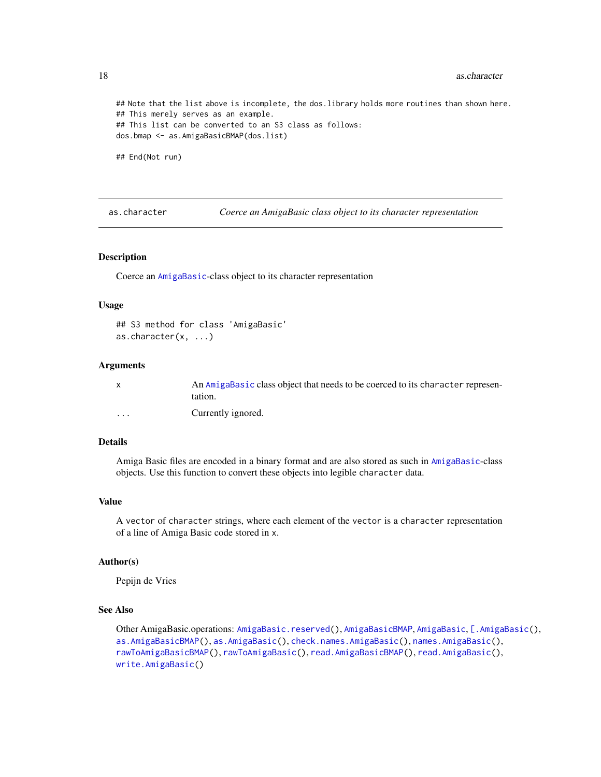```
## Note that the list above is incomplete, the dos.library holds more routines than shown here.
## This merely serves as an example.
## This list can be converted to an S3 class as follows:
dos.bmap <- as.AmigaBasicBMAP(dos.list)
```
## End(Not run)

<span id="page-17-1"></span>as.character *Coerce an AmigaBasic class object to its character representation*

#### Description

Coerce an [AmigaBasic](#page-2-1)-class object to its character representation

#### Usage

```
## S3 method for class 'AmigaBasic'
as.character(x, ...)
```
#### Arguments

|                         | An AmigaBasic class object that needs to be coerced to its character represen-<br>tation. |
|-------------------------|-------------------------------------------------------------------------------------------|
| $\cdot$ $\cdot$ $\cdot$ | Currently ignored.                                                                        |

# Details

Amiga Basic files are encoded in a binary format and are also stored as such in [AmigaBasic](#page-2-1)-class objects. Use this function to convert these objects into legible character data.

### Value

A vector of character strings, where each element of the vector is a character representation of a line of Amiga Basic code stored in x.

# Author(s)

Pepijn de Vries

# See Also

Other AmigaBasic.operations: [AmigaBasic.reserved\(](#page-4-1)), [AmigaBasicBMAP](#page-4-2), [AmigaBasic](#page-2-1), [\[.AmigaBasic\(](#page-103-1)), [as.AmigaBasicBMAP\(](#page-15-1)), [as.AmigaBasic\(](#page-14-1)), [check.names.AmigaBasic\(](#page-26-1)), [names.AmigaBasic\(](#page-51-1)), [rawToAmigaBasicBMAP\(](#page-69-1)), [rawToAmigaBasic\(](#page-68-1)), [read.AmigaBasicBMAP\(](#page-80-1)), [read.AmigaBasic\(](#page-79-1)), [write.AmigaBasic\(](#page-96-1))

<span id="page-17-0"></span>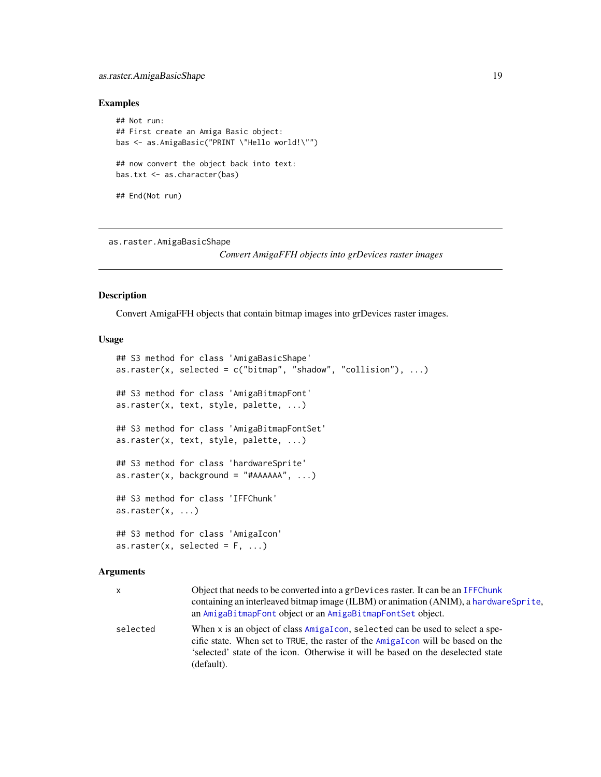# <span id="page-18-0"></span>as.raster.AmigaBasicShape 19

# Examples

```
## Not run:
## First create an Amiga Basic object:
bas <- as.AmigaBasic("PRINT \"Hello world!\"")
## now convert the object back into text:
bas.txt <- as.character(bas)
## End(Not run)
```
<span id="page-18-2"></span>as.raster.AmigaBasicShape

*Convert AmigaFFH objects into grDevices raster images*

#### <span id="page-18-1"></span>Description

Convert AmigaFFH objects that contain bitmap images into grDevices raster images.

# Usage

```
## S3 method for class 'AmigaBasicShape'
as.raster(x, selected = c("bitmap", "shadow", "collision"), ...)
## S3 method for class 'AmigaBitmapFont'
as.raster(x, text, style, palette, ...)
## S3 method for class 'AmigaBitmapFontSet'
as.raster(x, text, style, palette, ...)
## S3 method for class 'hardwareSprite'
as.raster(x, background = "#AAAA", ...)## S3 method for class 'IFFChunk'
as.raster(x, \ldots)## S3 method for class 'AmigaIcon'
as.raster(x, selected = F, ...)
```
# Arguments

| x        | Object that needs to be converted into a grDevices raster. It can be an IFFChunk<br>containing an interleaved bitmap image (ILBM) or animation (ANIM), a hardware Sprite,<br>an AmigaBitmapFont object or an AmigaBitmapFontSet object.                            |
|----------|--------------------------------------------------------------------------------------------------------------------------------------------------------------------------------------------------------------------------------------------------------------------|
| selected | When x is an object of class AmigaIcon, selected can be used to select a spe-<br>cific state. When set to TRUE, the raster of the AmigaIcon will be based on the<br>'selected' state of the icon. Otherwise it will be based on the deselected state<br>(default). |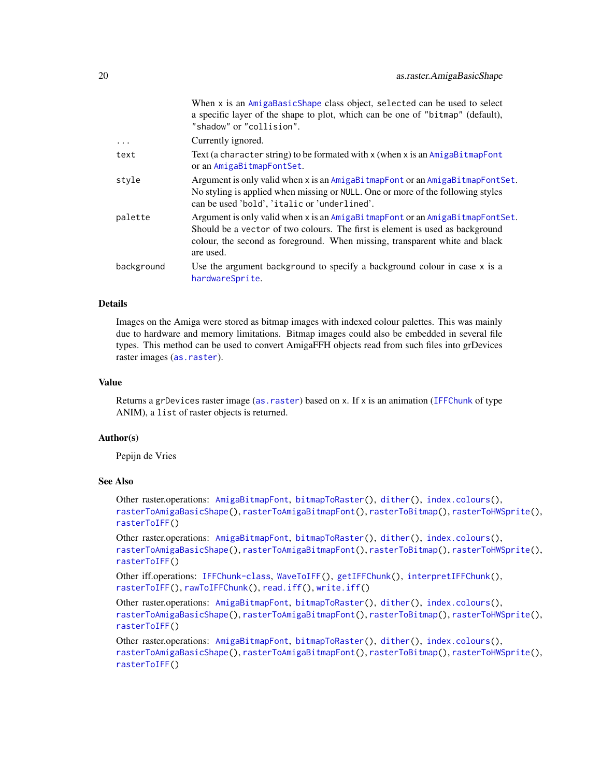|            | When x is an AmigaBasicShape class object, selected can be used to select<br>a specific layer of the shape to plot, which can be one of "bitmap" (default),<br>"shadow" or "collision".                                                                    |
|------------|------------------------------------------------------------------------------------------------------------------------------------------------------------------------------------------------------------------------------------------------------------|
| $\cdots$   | Currently ignored.                                                                                                                                                                                                                                         |
| text       | Text (a character string) to be formated with $x$ (when $x$ is an $AmigabitmapFont$<br>or an AmigaBitmapFontSet.                                                                                                                                           |
| style      | Argument is only valid when x is an AmigaBitmapFont or an AmigaBitmapFontSet.<br>No styling is applied when missing or NULL. One or more of the following styles<br>can be used 'bold', 'italic or 'underlined'.                                           |
| palette    | Argument is only valid when x is an AmigaBitmapFont or an AmigaBitmapFontSet.<br>Should be a vector of two colours. The first is element is used as background<br>colour, the second as foreground. When missing, transparent white and black<br>are used. |
| background | Use the argument background to specify a background colour in case x is a<br>hardwareSprite.                                                                                                                                                               |

# Details

Images on the Amiga were stored as bitmap images with indexed colour palettes. This was mainly due to hardware and memory limitations. Bitmap images could also be embedded in several file types. This method can be used to convert AmigaFFH objects read from such files into grDevices raster images ([as.raster](#page-18-1)).

# Value

Returns a grDevices raster image ([as.raster](#page-18-1)) based on x. If x is an animation ([IFFChunk](#page-41-1) of type ANIM), a list of raster objects is returned.

# Author(s)

Pepijn de Vries

# See Also

Other raster.operations: [AmigaBitmapFont](#page-6-1), [bitmapToRaster\(](#page-23-1)), [dither\(](#page-31-1)), [index.colours\(](#page-48-1)), [rasterToAmigaBasicShape\(](#page-58-1)), [rasterToAmigaBitmapFont\(](#page-59-1)), [rasterToBitmap\(](#page-62-1)), [rasterToHWSprite\(](#page-65-1)), [rasterToIFF\(](#page-66-1))

Other raster.operations: [AmigaBitmapFont](#page-6-1), [bitmapToRaster\(](#page-23-1)), [dither\(](#page-31-1)), [index.colours\(](#page-48-1)), [rasterToAmigaBasicShape\(](#page-58-1)), [rasterToAmigaBitmapFont\(](#page-59-1)), [rasterToBitmap\(](#page-62-1)), [rasterToHWSprite\(](#page-65-1)), [rasterToIFF\(](#page-66-1))

Other iff.operations: [IFFChunk-class](#page-40-1), [WaveToIFF\(](#page-94-1)), [getIFFChunk\(](#page-37-1)), [interpretIFFChunk\(](#page-50-1)), [rasterToIFF\(](#page-66-1)), [rawToIFFChunk\(](#page-77-1)), [read.iff\(](#page-87-1)), [write.iff\(](#page-101-1))

Other raster.operations: [AmigaBitmapFont](#page-6-1), [bitmapToRaster\(](#page-23-1)), [dither\(](#page-31-1)), [index.colours\(](#page-48-1)), [rasterToAmigaBasicShape\(](#page-58-1)), [rasterToAmigaBitmapFont\(](#page-59-1)), [rasterToBitmap\(](#page-62-1)), [rasterToHWSprite\(](#page-65-1)), [rasterToIFF\(](#page-66-1))

Other raster.operations: [AmigaBitmapFont](#page-6-1), [bitmapToRaster\(](#page-23-1)), [dither\(](#page-31-1)), [index.colours\(](#page-48-1)), [rasterToAmigaBasicShape\(](#page-58-1)), [rasterToAmigaBitmapFont\(](#page-59-1)), [rasterToBitmap\(](#page-62-1)), [rasterToHWSprite\(](#page-65-1)), [rasterToIFF\(](#page-66-1))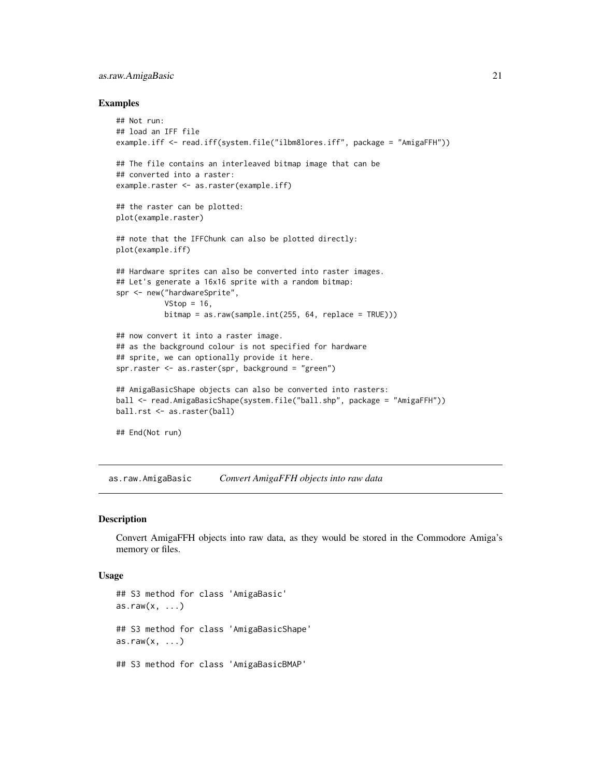# <span id="page-20-0"></span>as.raw.AmigaBasic 21

#### Examples

```
## Not run:
## load an IFF file
example.iff <- read.iff(system.file("ilbm8lores.iff", package = "AmigaFFH"))
## The file contains an interleaved bitmap image that can be
## converted into a raster:
example.raster <- as.raster(example.iff)
## the raster can be plotted:
plot(example.raster)
## note that the IFFChunk can also be plotted directly:
plot(example.iff)
## Hardware sprites can also be converted into raster images.
## Let's generate a 16x16 sprite with a random bitmap:
spr <- new("hardwareSprite",
           VStop = 16,
           bitmap = as.raw(sample.int(255, 64, replace = TRUE)))
## now convert it into a raster image.
## as the background colour is not specified for hardware
## sprite, we can optionally provide it here.
spr.raster <- as.raster(spr, background = "green")
## AmigaBasicShape objects can also be converted into rasters:
ball <- read.AmigaBasicShape(system.file("ball.shp", package = "AmigaFFH"))
ball.rst <- as.raster(ball)
## End(Not run)
```
<span id="page-20-2"></span>as.raw.AmigaBasic *Convert AmigaFFH objects into raw data*

# <span id="page-20-1"></span>Description

Convert AmigaFFH objects into raw data, as they would be stored in the Commodore Amiga's memory or files.

# Usage

```
## S3 method for class 'AmigaBasic'
as.raw(x, \ldots)## S3 method for class 'AmigaBasicShape'
as.raw(x, \ldots)## S3 method for class 'AmigaBasicBMAP'
```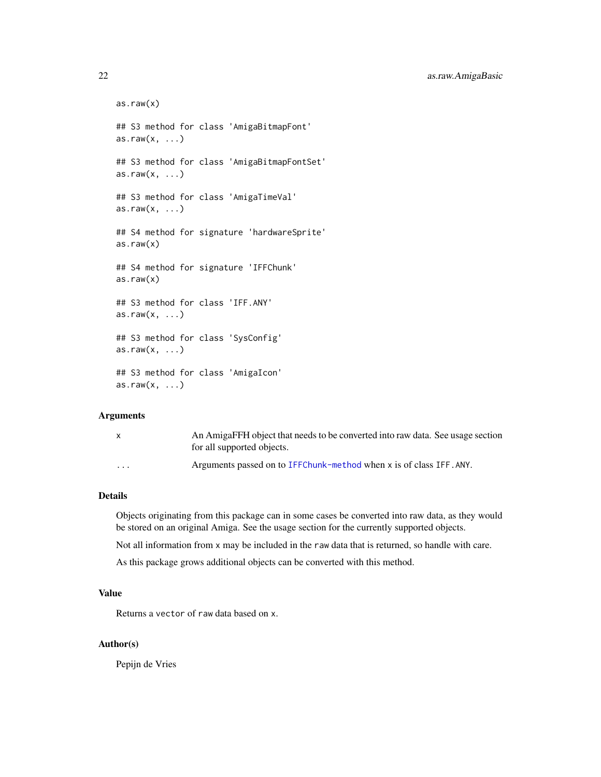22 as.raw.AmigaBasic

```
as.raw(x)## S3 method for class 'AmigaBitmapFont'
as.raw(x, \ldots)## S3 method for class 'AmigaBitmapFontSet'
as.raw(x, \ldots)## S3 method for class 'AmigaTimeVal'
as.raw(x, \ldots)## S4 method for signature 'hardwareSprite'
as.raw(x)
## S4 method for signature 'IFFChunk'
as.raw(x)## S3 method for class 'IFF.ANY'
as.raw(x, \ldots)## S3 method for class 'SysConfig'
as.raw(x, \ldots)## S3 method for class 'AmigaIcon'
as.raw(x, \ldots)
```
# Arguments

|          | An AmigaFFH object that needs to be converted into raw data. See usage section<br>for all supported objects. |
|----------|--------------------------------------------------------------------------------------------------------------|
| $\cdots$ | Arguments passed on to IFFChunk-method when x is of class IFF. ANY.                                          |

# Details

Objects originating from this package can in some cases be converted into raw data, as they would be stored on an original Amiga. See the usage section for the currently supported objects.

Not all information from x may be included in the raw data that is returned, so handle with care.

As this package grows additional objects can be converted with this method.

# Value

Returns a vector of raw data based on x.

#### Author(s)

Pepijn de Vries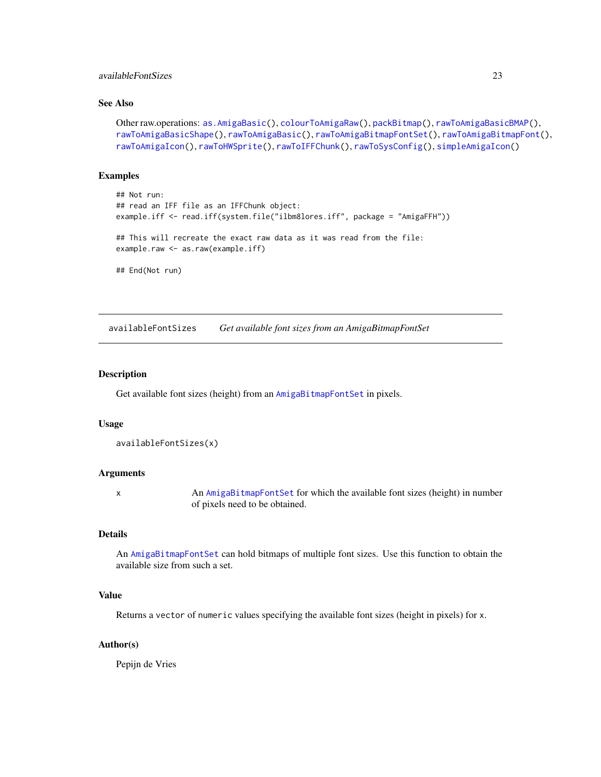# <span id="page-22-0"></span>availableFontSizes 23

# See Also

```
Other raw.operations: as.AmigaBasic(), colourToAmigaRaw(), packBitmap(), rawToAmigaBasicBMAP(),
rawToAmigaBasicShape(), rawToAmigaBasic(), rawToAmigaBitmapFontSet(), rawToAmigaBitmapFont(),
rawToAmigaIcon(), rawToHWSprite(), rawToIFFChunk(), rawToSysConfig(), simpleAmigaIcon()
```
# Examples

```
## Not run:
## read an IFF file as an IFFChunk object:
example.iff <- read.iff(system.file("ilbm8lores.iff", package = "AmigaFFH"))
## This will recreate the exact raw data as it was read from the file:
example.raw <- as.raw(example.iff)
## End(Not run)
```
<span id="page-22-1"></span>

availableFontSizes *Get available font sizes from an AmigaBitmapFontSet*

#### Description

Get available font sizes (height) from an [AmigaBitmapFontSet](#page-6-2) in pixels.

#### Usage

```
availableFontSizes(x)
```
#### Arguments

x An [AmigaBitmapFontSet](#page-6-2) for which the available font sizes (height) in number of pixels need to be obtained.

#### Details

An [AmigaBitmapFontSet](#page-6-2) can hold bitmaps of multiple font sizes. Use this function to obtain the available size from such a set.

#### Value

Returns a vector of numeric values specifying the available font sizes (height in pixels) for x.

#### Author(s)

Pepijn de Vries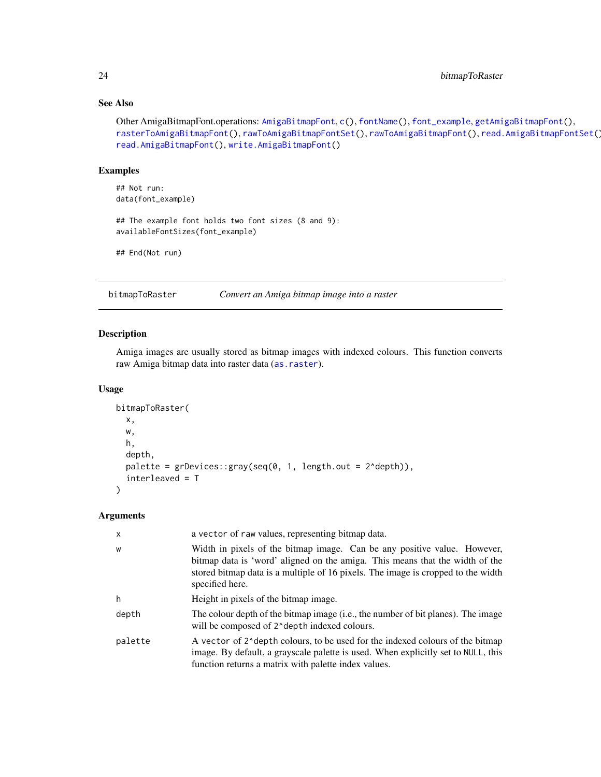# See Also

```
AmigaBitmapFontc(fontName(font_examplegetAmigaBitmapFont(),
rasterToAmigaBitmapFont(), rawToAmigaBitmapFontSet(), rawToAmigaBitmapFont(), read.AmigaBitmapFontSet(),
read.AmigaBitmapFont(), write.AmigaBitmapFont()
```
# Examples

```
## Not run:
data(font_example)
```
## The example font holds two font sizes (8 and 9): availableFontSizes(font\_example)

```
## End(Not run)
```
<span id="page-23-1"></span>bitmapToRaster *Convert an Amiga bitmap image into a raster*

# Description

Amiga images are usually stored as bitmap images with indexed colours. This function converts raw Amiga bitmap data into raster data ([as.raster](#page-18-1)).

#### Usage

```
bitmapToRaster(
  x,
  w,
  h,
  depth,
  palette = grDevices::gray(seq(0, 1, length.out = 2^depth)),
  interleaved = T
\lambda
```
# Arguments

| X       | a vector of raw values, representing bitmap data.                                                                                                                                                                                                               |
|---------|-----------------------------------------------------------------------------------------------------------------------------------------------------------------------------------------------------------------------------------------------------------------|
| W       | Width in pixels of the bitmap image. Can be any positive value. However,<br>bitmap data is 'word' aligned on the amiga. This means that the width of the<br>stored bitmap data is a multiple of 16 pixels. The image is cropped to the width<br>specified here. |
| h       | Height in pixels of the bitmap image.                                                                                                                                                                                                                           |
| depth   | The colour depth of the bitmap image (i.e., the number of bit planes). The image<br>will be composed of 2^depth indexed colours.                                                                                                                                |
| palette | A vector of 2^depth colours, to be used for the indexed colours of the bitmap<br>image. By default, a grayscale palette is used. When explicitly set to NULL, this<br>function returns a matrix with palette index values.                                      |

<span id="page-23-0"></span>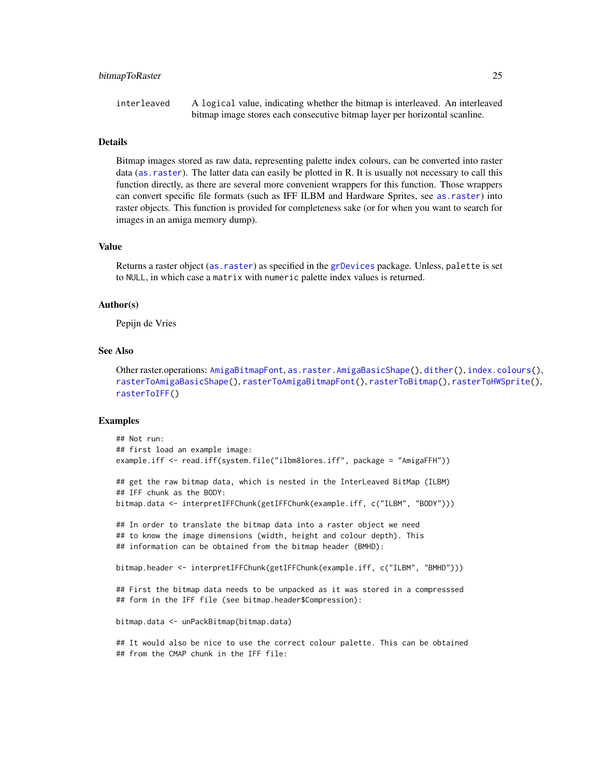#### bitmapToRaster 25

interleaved A logical value, indicating whether the bitmap is interleaved. An interleaved bitmap image stores each consecutive bitmap layer per horizontal scanline.

#### Details

Bitmap images stored as raw data, representing palette index colours, can be converted into raster data ([as.raster](#page-18-1)). The latter data can easily be plotted in R. It is usually not necessary to call this function directly, as there are several more convenient wrappers for this function. Those wrappers can convert specific file formats (such as IFF ILBM and Hardware Sprites, see [as.raster](#page-18-1)) into raster objects. This function is provided for completeness sake (or for when you want to search for images in an amiga memory dump).

#### Value

Returns a raster object ([as.raster](#page-18-1)) as specified in the [grDevices](#page-0-0) package. Unless, palette is set to NULL, in which case a matrix with numeric palette index values is returned.

#### Author(s)

Pepijn de Vries

# See Also

Other raster.operations: [AmigaBitmapFont](#page-6-1), [as.raster.AmigaBasicShape\(](#page-18-2)), [dither\(](#page-31-1)), [index.colours\(](#page-48-1)), [rasterToAmigaBasicShape\(](#page-58-1)), [rasterToAmigaBitmapFont\(](#page-59-1)), [rasterToBitmap\(](#page-62-1)), [rasterToHWSprite\(](#page-65-1)), [rasterToIFF\(](#page-66-1))

#### Examples

```
## Not run:
## first load an example image:
example.iff <- read.iff(system.file("ilbm8lores.iff", package = "AmigaFFH"))
## get the raw bitmap data, which is nested in the InterLeaved BitMap (ILBM)
## IFF chunk as the BODY:
bitmap.data <- interpretIFFChunk(getIFFChunk(example.iff, c("ILBM", "BODY")))
## In order to translate the bitmap data into a raster object we need
## to know the image dimensions (width, height and colour depth). This
## information can be obtained from the bitmap header (BMHD):
bitmap.header <- interpretIFFChunk(getIFFChunk(example.iff, c("ILBM", "BMHD")))
## First the bitmap data needs to be unpacked as it was stored in a compresssed
## form in the IFF file (see bitmap.header$Compression):
bitmap.data <- unPackBitmap(bitmap.data)
## It would also be nice to use the correct colour palette. This can be obtained
## from the CMAP chunk in the IFF file:
```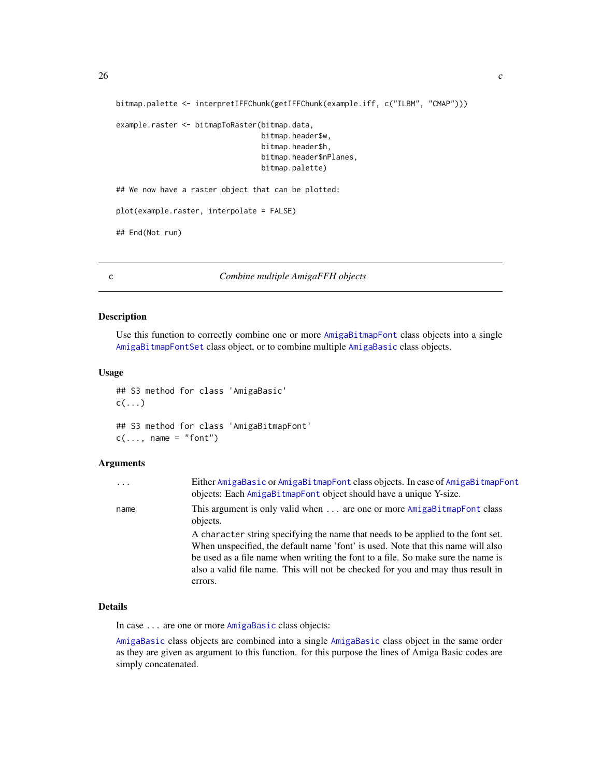```
bitmap.palette <- interpretIFFChunk(getIFFChunk(example.iff, c("ILBM", "CMAP")))
example.raster <- bitmapToRaster(bitmap.data,
                                 bitmap.header$w,
                                 bitmap.header$h,
                                 bitmap.header$nPlanes,
                                 bitmap.palette)
## We now have a raster object that can be plotted:
plot(example.raster, interpolate = FALSE)
## End(Not run)
```
#### <span id="page-25-1"></span>c *Combine multiple AmigaFFH objects*

#### Description

Use this function to correctly combine one or more [AmigaBitmapFont](#page-6-1) class objects into a single [AmigaBitmapFontSet](#page-6-2) class object, or to combine multiple [AmigaBasic](#page-2-1) class objects.

#### Usage

```
## S3 method for class 'AmigaBasic'
c(\ldots)## S3 method for class 'AmigaBitmapFont'
```

```
c(\ldots, name = "font")
```
# Arguments

| $\cdots$ | Either AmigaBasic or AmigaBitmapFont class objects. In case of AmigaBitmapFont<br>objects: Each AmigaBitmapFont object should have a unique Y-size.                                                                                                                                                                                                    |
|----------|--------------------------------------------------------------------------------------------------------------------------------------------------------------------------------------------------------------------------------------------------------------------------------------------------------------------------------------------------------|
| name     | This argument is only valid when  are one or more AmigaBitmapFont class<br>objects.                                                                                                                                                                                                                                                                    |
|          | A character string specifying the name that needs to be applied to the font set.<br>When unspecified, the default name 'font' is used. Note that this name will also<br>be used as a file name when writing the font to a file. So make sure the name is<br>also a valid file name. This will not be checked for you and may thus result in<br>errors. |

# Details

In case ... are one or more [AmigaBasic](#page-2-1) class objects:

[AmigaBasic](#page-2-1) class objects are combined into a single [AmigaBasic](#page-2-1) class object in the same order as they are given as argument to this function. for this purpose the lines of Amiga Basic codes are simply concatenated.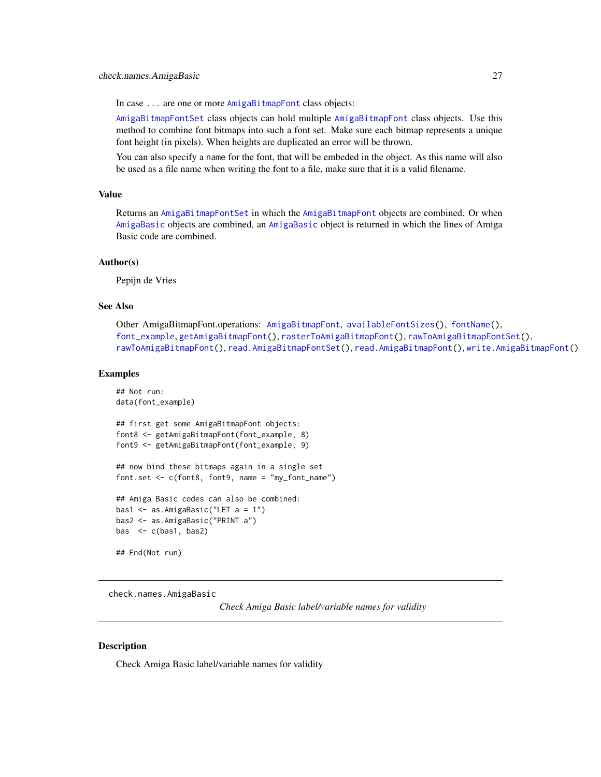<span id="page-26-0"></span>In case ... are one or more [AmigaBitmapFont](#page-6-1) class objects:

[AmigaBitmapFontSet](#page-6-2) class objects can hold multiple [AmigaBitmapFont](#page-6-1) class objects. Use this method to combine font bitmaps into such a font set. Make sure each bitmap represents a unique font height (in pixels). When heights are duplicated an error will be thrown.

You can also specify a name for the font, that will be embeded in the object. As this name will also be used as a file name when writing the font to a file, make sure that it is a valid filename.

# Value

Returns an [AmigaBitmapFontSet](#page-6-2) in which the [AmigaBitmapFont](#page-6-1) objects are combined. Or when [AmigaBasic](#page-2-1) objects are combined, an [AmigaBasic](#page-2-1) object is returned in which the lines of Amiga Basic code are combined.

# Author(s)

Pepijn de Vries

# See Also

```
Other AmigaBitmapFont.operations: AmigaBitmapFont, availableFontSizes(), fontName(),
font_example, getAmigaBitmapFont(), rasterToAmigaBitmapFont(), rawToAmigaBitmapFontSet(),
rawToAmigaBitmapFont(), read.AmigaBitmapFontSet(), read.AmigaBitmapFont(), write.AmigaBitmapFont()
```
## Examples

```
## Not run:
data(font_example)
## first get some AmigaBitmapFont objects:
font8 <- getAmigaBitmapFont(font_example, 8)
font9 <- getAmigaBitmapFont(font_example, 9)
## now bind these bitmaps again in a single set
font.set <- c(font8, font9, name = "my_font_name")
## Amiga Basic codes can also be combined:
bas1 \leq as. AmigaBasic("LET a = 1")
bas2 <- as.AmigaBasic("PRINT a")
bas \leq c(bas1, bas2)
## End(Not run)
```
<span id="page-26-1"></span>check.names.AmigaBasic

*Check Amiga Basic label/variable names for validity*

# **Description**

Check Amiga Basic label/variable names for validity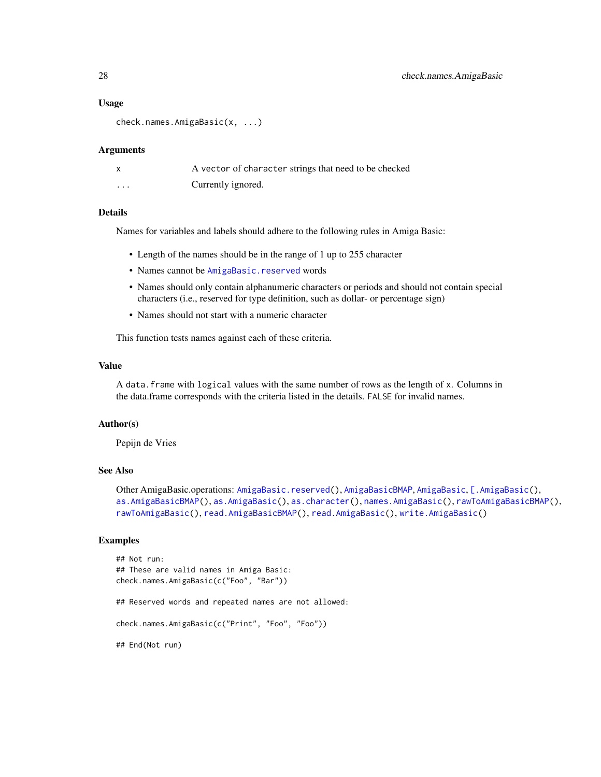#### Usage

```
check.names.AmigaBasic(x, ...)
```
#### Arguments

|          | A vector of character strings that need to be checked |
|----------|-------------------------------------------------------|
| $\cdots$ | Currently ignored.                                    |

#### Details

Names for variables and labels should adhere to the following rules in Amiga Basic:

- Length of the names should be in the range of 1 up to 255 character
- Names cannot be [AmigaBasic.reserved](#page-4-1) words
- Names should only contain alphanumeric characters or periods and should not contain special characters (i.e., reserved for type definition, such as dollar- or percentage sign)
- Names should not start with a numeric character

This function tests names against each of these criteria.

#### Value

A data.frame with logical values with the same number of rows as the length of x. Columns in the data.frame corresponds with the criteria listed in the details. FALSE for invalid names.

#### Author(s)

Pepijn de Vries

# See Also

```
Other AmigaBasic.operations: AmigaBasic.reserved(), AmigaBasicBMAP, AmigaBasic, [.AmigaBasic(),
as.AmigaBasicBMAP(), as.AmigaBasic(), as.character(), names.AmigaBasic(), rawToAmigaBasicBMAP(),
rawToAmigaBasic(), read.AmigaBasicBMAP(), read.AmigaBasic(), write.AmigaBasic()
```
# Examples

```
## Not run:
## These are valid names in Amiga Basic:
check.names.AmigaBasic(c("Foo", "Bar"))
## Reserved words and repeated names are not allowed:
check.names.AmigaBasic(c("Print", "Foo", "Foo"))
## End(Not run)
```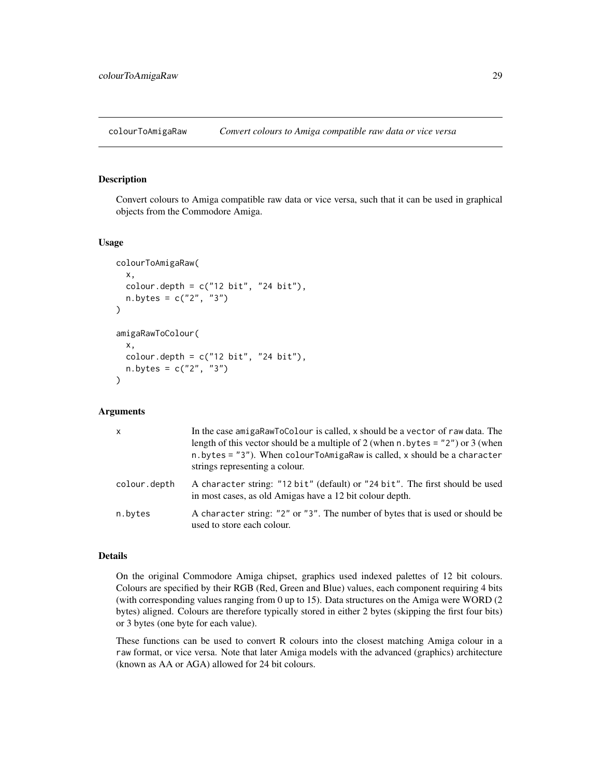<span id="page-28-1"></span><span id="page-28-0"></span>colourToAmigaRaw *Convert colours to Amiga compatible raw data or vice versa*

# Description

Convert colours to Amiga compatible raw data or vice versa, such that it can be used in graphical objects from the Commodore Amiga.

#### Usage

```
colourToAmigaRaw(
  x,
  colour.depth = c("12 bit", "24 bit"),n. bytes = c("2", "3")\lambdaamigaRawToColour(
  x,
  colour.depth = c("12 bit", "24 bit"),n.bytes = c("2", "3")
)
```
#### Arguments

| $\mathsf{x}$ | In the case amigaRawToColour is called, x should be a vector of raw data. The<br>length of this vector should be a multiple of 2 (when n. bytes = $"2"$ ) or 3 (when<br>$n.$ bytes = "3"). When colour ToAmigaRaw is called, x should be a character<br>strings representing a colour. |
|--------------|----------------------------------------------------------------------------------------------------------------------------------------------------------------------------------------------------------------------------------------------------------------------------------------|
| colour.depth | A character string: "12 bit" (default) or "24 bit". The first should be used<br>in most cases, as old Amigas have a 12 bit colour depth.                                                                                                                                               |
| n.bytes      | A character string: "2" or "3". The number of bytes that is used or should be<br>used to store each colour.                                                                                                                                                                            |

# Details

On the original Commodore Amiga chipset, graphics used indexed palettes of 12 bit colours. Colours are specified by their RGB (Red, Green and Blue) values, each component requiring 4 bits (with corresponding values ranging from 0 up to 15). Data structures on the Amiga were WORD (2 bytes) aligned. Colours are therefore typically stored in either 2 bytes (skipping the first four bits) or 3 bytes (one byte for each value).

These functions can be used to convert R colours into the closest matching Amiga colour in a raw format, or vice versa. Note that later Amiga models with the advanced (graphics) architecture (known as AA or AGA) allowed for 24 bit colours.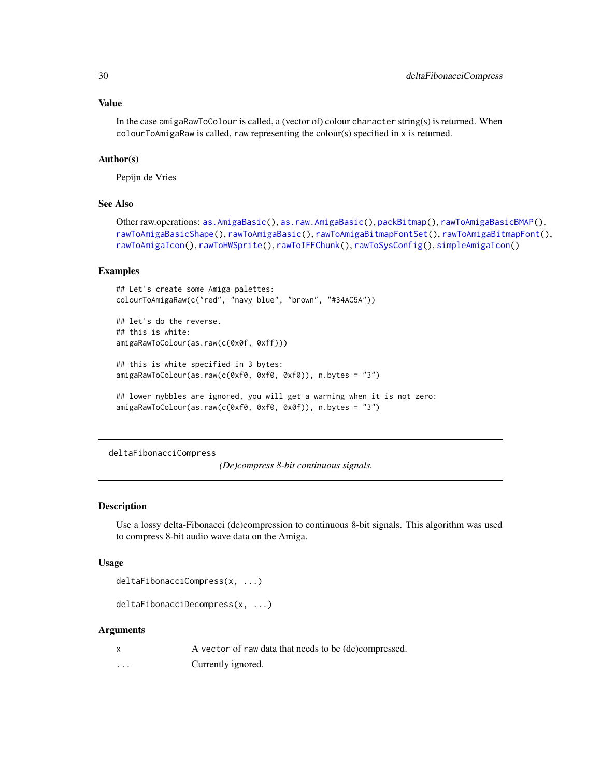# Value

In the case amigaRawToColour is called, a (vector of) colour character string(s) is returned. When colourToAmigaRaw is called, raw representing the colour(s) specified in x is returned.

# Author(s)

Pepijn de Vries

# See Also

```
Other raw.operations: as.AmigaBasic(), as.raw.AmigaBasic(), packBitmap(), rawToAmigaBasicBMAP(),
rawToAmigaBasicShape(), rawToAmigaBasic(), rawToAmigaBitmapFontSet(), rawToAmigaBitmapFont(),
rawToAmigaIcon(), rawToHWSprite(), rawToIFFChunk(), rawToSysConfig(), simpleAmigaIcon()
```
#### Examples

```
## Let's create some Amiga palettes:
colourToAmigaRaw(c("red", "navy blue", "brown", "#34AC5A"))
## let's do the reverse.
## this is white:
amigaRawToColour(as.raw(c(0x0f, 0xff)))
## this is white specified in 3 bytes:
amigaRawToColour(as.raw(c(0xf0, 0xf0, 0xf0)), n.bytes = "3")
## lower nybbles are ignored, you will get a warning when it is not zero:
amigaRawToColour(as.raw(c(0xf0, 0xf0, 0x0f)), n.bytes = "3")
```
<span id="page-29-1"></span>deltaFibonacciCompress

*(De)compress 8-bit continuous signals.*

# Description

Use a lossy delta-Fibonacci (de)compression to continuous 8-bit signals. This algorithm was used to compress 8-bit audio wave data on the Amiga.

#### Usage

```
deltaFibonacciCompress(x, ...)
```

```
deltaFibonacciDecompress(x, ...)
```
# Arguments

| $\boldsymbol{\mathsf{x}}$ | A vector of raw data that needs to be (de)compressed. |
|---------------------------|-------------------------------------------------------|
| $\cdots$                  | Currently ignored.                                    |

<span id="page-29-0"></span>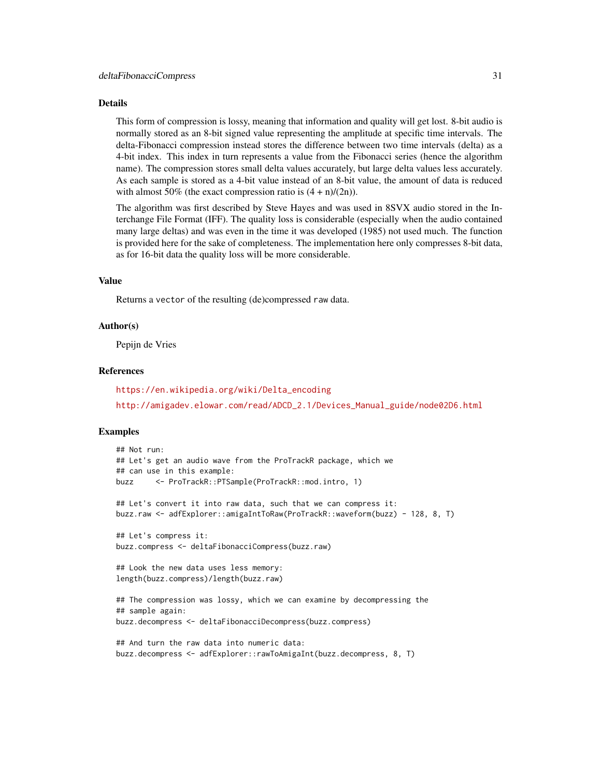#### Details

This form of compression is lossy, meaning that information and quality will get lost. 8-bit audio is normally stored as an 8-bit signed value representing the amplitude at specific time intervals. The delta-Fibonacci compression instead stores the difference between two time intervals (delta) as a 4-bit index. This index in turn represents a value from the Fibonacci series (hence the algorithm name). The compression stores small delta values accurately, but large delta values less accurately. As each sample is stored as a 4-bit value instead of an 8-bit value, the amount of data is reduced with almost 50% (the exact compression ratio is  $(4 + n)/(2n)$ ).

The algorithm was first described by Steve Hayes and was used in 8SVX audio stored in the Interchange File Format (IFF). The quality loss is considerable (especially when the audio contained many large deltas) and was even in the time it was developed (1985) not used much. The function is provided here for the sake of completeness. The implementation here only compresses 8-bit data, as for 16-bit data the quality loss will be more considerable.

# Value

Returns a vector of the resulting (de)compressed raw data.

#### Author(s)

Pepijn de Vries

# References

[https://en.wikipedia.org/wiki/Delta\\_encoding](https://en.wikipedia.org/wiki/Delta_encoding) [http://amigadev.elowar.com/read/ADCD\\_2.1/Devices\\_Manual\\_guide/node02D6.html](http://amigadev.elowar.com/read/ADCD_2.1/Devices_Manual_guide/node02D6.html)

# Examples

```
## Not run:
## Let's get an audio wave from the ProTrackR package, which we
## can use in this example:
buzz <- ProTrackR::PTSample(ProTrackR::mod.intro, 1)
## Let's convert it into raw data, such that we can compress it:
buzz.raw <- adfExplorer::amigaIntToRaw(ProTrackR::waveform(buzz) - 128, 8, T)
## Let's compress it:
buzz.compress <- deltaFibonacciCompress(buzz.raw)
## Look the new data uses less memory:
length(buzz.compress)/length(buzz.raw)
## The compression was lossy, which we can examine by decompressing the
## sample again:
buzz.decompress <- deltaFibonacciDecompress(buzz.compress)
## And turn the raw data into numeric data:
buzz.decompress <- adfExplorer::rawToAmigaInt(buzz.decompress, 8, T)
```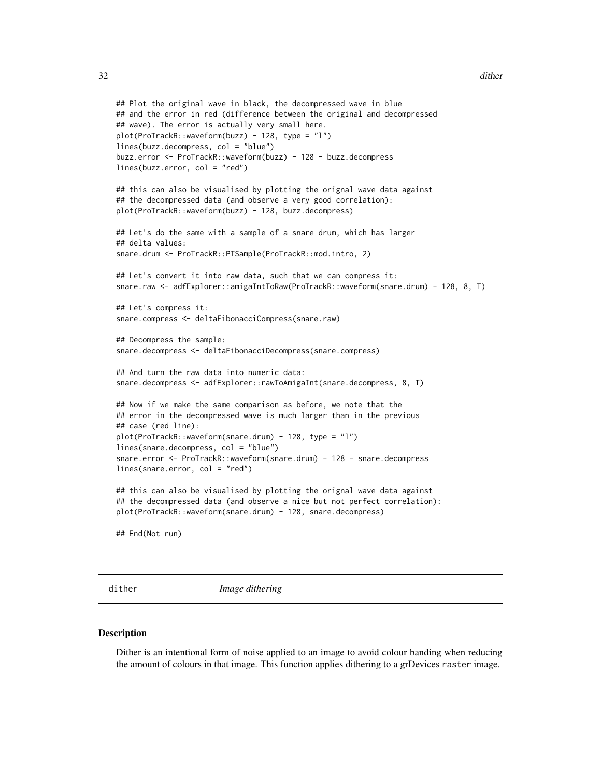```
## Plot the original wave in black, the decompressed wave in blue
## and the error in red (difference between the original and decompressed
## wave). The error is actually very small here.
plot(ProTrackR::waveform(buzz) - 128, type = "l")
lines(buzz.decompress, col = "blue")
buzz.error <- ProTrackR::waveform(buzz) - 128 - buzz.decompress
lines(buzz.error, col = "red")
## this can also be visualised by plotting the orignal wave data against
## the decompressed data (and observe a very good correlation):
plot(ProTrackR::waveform(buzz) - 128, buzz.decompress)
## Let's do the same with a sample of a snare drum, which has larger
## delta values:
snare.drum <- ProTrackR::PTSample(ProTrackR::mod.intro, 2)
## Let's convert it into raw data, such that we can compress it:
snare.raw <- adfExplorer::amigaIntToRaw(ProTrackR::waveform(snare.drum) - 128, 8, T)
## Let's compress it:
snare.compress <- deltaFibonacciCompress(snare.raw)
## Decompress the sample:
snare.decompress <- deltaFibonacciDecompress(snare.compress)
## And turn the raw data into numeric data:
snare.decompress <- adfExplorer::rawToAmigaInt(snare.decompress, 8, T)
## Now if we make the same comparison as before, we note that the
## error in the decompressed wave is much larger than in the previous
## case (red line):
plot(ProTrackR::waveform(snare.drum) - 128, type = "l")
lines(snare.decompress, col = "blue")
snare.error <- ProTrackR::waveform(snare.drum) - 128 - snare.decompress
lines(snare.error, col = "red")
## this can also be visualised by plotting the orignal wave data against
## the decompressed data (and observe a nice but not perfect correlation):
plot(ProTrackR::waveform(snare.drum) - 128, snare.decompress)
## End(Not run)
```
<span id="page-31-1"></span>

dither *Image dithering*

#### **Description**

Dither is an intentional form of noise applied to an image to avoid colour banding when reducing the amount of colours in that image. This function applies dithering to a grDevices raster image.

<span id="page-31-0"></span>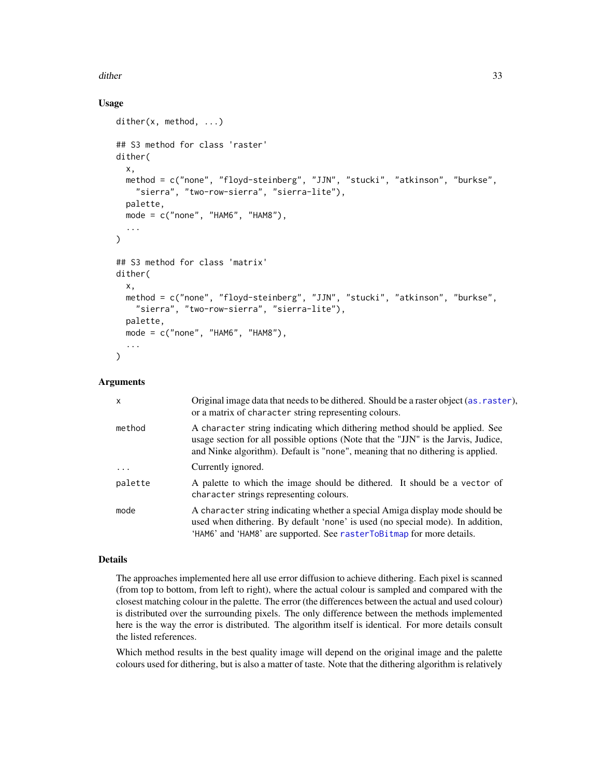# dither 33

# Usage

```
dither(x, method, ...)
## S3 method for class 'raster'
dither(
  x,
 method = c("none", "floyd-steinberg", "JJN", "stucki", "atkinson", "burkse",
    "sierra", "two-row-sierra", "sierra-lite"),
 palette,
 mode = c("none", "HAM6", "HAM8"),
  ...
)
## S3 method for class 'matrix'
dither(
  x,
 method = c("none", "floyd-steinberg", "JJN", "stucki", "atkinson", "burkse",
    "sierra", "two-row-sierra", "sierra-lite"),
 palette,
 mode = c("none", "HAM6", "HAM8"),
  ...
)
```
# Arguments

| X                 | Original image data that needs to be dithered. Should be a raster object (as . raster),<br>or a matrix of character string representing colours.                                                                                                    |
|-------------------|-----------------------------------------------------------------------------------------------------------------------------------------------------------------------------------------------------------------------------------------------------|
| method            | A character string indicating which dithering method should be applied. See<br>usage section for all possible options (Note that the "JJN" is the Jarvis, Judice,<br>and Ninke algorithm). Default is "none", meaning that no dithering is applied. |
| $\cdot\cdot\cdot$ | Currently ignored.                                                                                                                                                                                                                                  |
| palette           | A palette to which the image should be dithered. It should be a vector of<br>character strings representing colours.                                                                                                                                |
| mode              | A character string indicating whether a special Amiga display mode should be<br>used when dithering. By default 'none' is used (no special mode). In addition,<br>'HAM6' and 'HAM8' are supported. See rasterToBitmap for more details.             |

#### Details

The approaches implemented here all use error diffusion to achieve dithering. Each pixel is scanned (from top to bottom, from left to right), where the actual colour is sampled and compared with the closest matching colour in the palette. The error (the differences between the actual and used colour) is distributed over the surrounding pixels. The only difference between the methods implemented here is the way the error is distributed. The algorithm itself is identical. For more details consult the listed references.

Which method results in the best quality image will depend on the original image and the palette colours used for dithering, but is also a matter of taste. Note that the dithering algorithm is relatively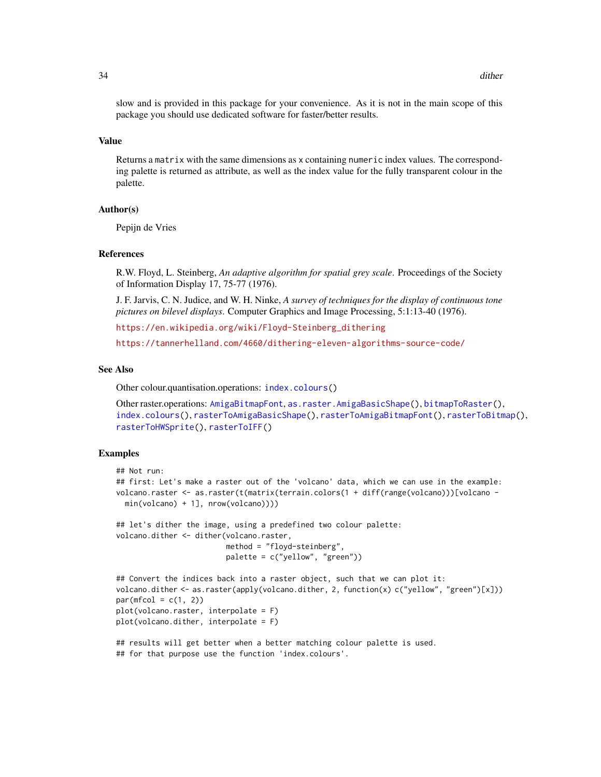slow and is provided in this package for your convenience. As it is not in the main scope of this package you should use dedicated software for faster/better results.

# Value

Returns a matrix with the same dimensions as x containing numeric index values. The corresponding palette is returned as attribute, as well as the index value for the fully transparent colour in the palette.

#### Author(s)

Pepijn de Vries

# References

R.W. Floyd, L. Steinberg, *An adaptive algorithm for spatial grey scale*. Proceedings of the Society of Information Display 17, 75-77 (1976).

J. F. Jarvis, C. N. Judice, and W. H. Ninke, *A survey of techniques for the display of continuous tone pictures on bilevel displays*. Computer Graphics and Image Processing, 5:1:13-40 (1976).

[https://en.wikipedia.org/wiki/Floyd-Steinberg\\_dithering](https://en.wikipedia.org/wiki/Floyd-Steinberg_dithering)

<https://tannerhelland.com/4660/dithering-eleven-algorithms-source-code/>

#### See Also

Other colour.quantisation.operations: [index.colours\(](#page-48-1))

```
Other raster.operations: AmigaBitmapFont, as.raster.AmigaBasicShape(), bitmapToRaster(),
index.colours(), rasterToAmigaBasicShape(), rasterToAmigaBitmapFont(), rasterToBitmap(),
rasterToHWSprite(), rasterToIFF()
```
# Examples

```
## Not run:
## first: Let's make a raster out of the 'volcano' data, which we can use in the example:
volcano.raster <- as.raster(t(matrix(terrain.colors(1 + diff(range(volcano)))[volcano -
 min(volcano) + 1], nrow(volcano))))
## let's dither the image, using a predefined two colour palette:
volcano.dither <- dither(volcano.raster,
                         method = "floyd-steinberg",
                         palette = c("yellow", "green"))
## Convert the indices back into a raster object, such that we can plot it:
volcano.dither <- as.raster(apply(volcano.dither, 2, function(x) c("yellow", "green")[x]))
par(mfcol = c(1, 2))plot(volcano.raster, interpolate = F)
plot(volcano.dither, interpolate = F)
```

```
## results will get better when a better matching colour palette is used.
## for that purpose use the function 'index.colours'.
```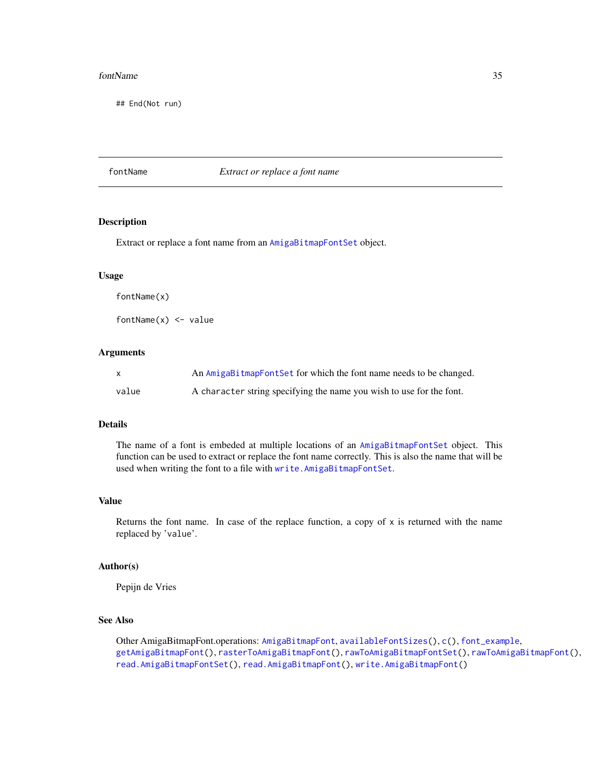#### <span id="page-34-0"></span>fontName 35

## End(Not run)

# <span id="page-34-1"></span>fontName *Extract or replace a font name*

# Description

Extract or replace a font name from an [AmigaBitmapFontSet](#page-6-2) object.

# Usage

fontName(x)

fontName $(x)$  <- value

# **Arguments**

|       | An AmigaBitmapFontSet for which the font name needs to be changed.   |
|-------|----------------------------------------------------------------------|
| value | A character string specifying the name you wish to use for the font. |

# Details

The name of a font is embeded at multiple locations of an [AmigaBitmapFontSet](#page-6-2) object. This function can be used to extract or replace the font name correctly. This is also the name that will be used when writing the font to a file with [write.AmigaBitmapFontSet](#page-98-2).

# Value

Returns the font name. In case of the replace function, a copy of  $x$  is returned with the name replaced by 'value'.

# Author(s)

Pepijn de Vries

# See Also

Other AmigaBitmapFont.operations: [AmigaBitmapFont](#page-6-1), [availableFontSizes\(](#page-22-1)), [c\(](#page-25-1)), [font\\_example](#page-35-1), [getAmigaBitmapFont\(](#page-36-1)), [rasterToAmigaBitmapFont\(](#page-59-1)), [rawToAmigaBitmapFontSet\(](#page-73-1)), [rawToAmigaBitmapFont\(](#page-72-1)), [read.AmigaBitmapFontSet\(](#page-84-1)), [read.AmigaBitmapFont\(](#page-83-1)), [write.AmigaBitmapFont\(](#page-98-1))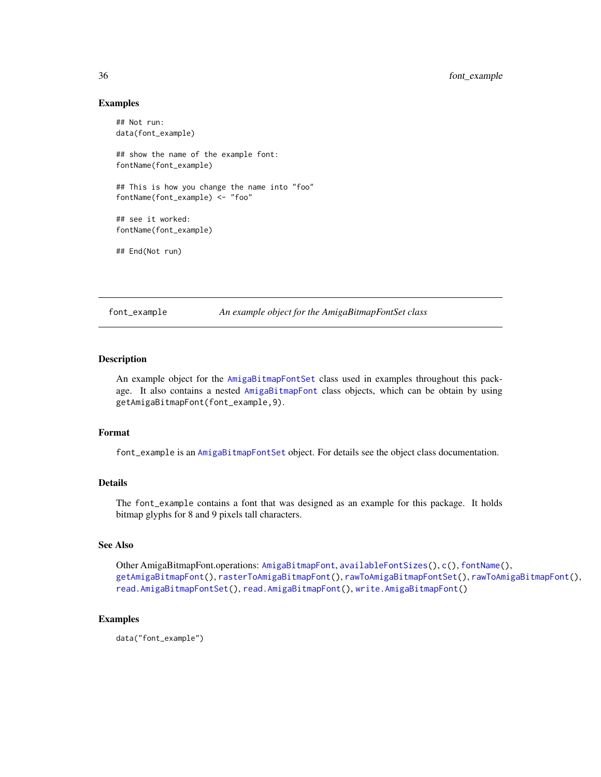### Examples

```
## Not run:
data(font_example)
## show the name of the example font:
fontName(font_example)
## This is how you change the name into "foo"
fontName(font_example) <- "foo"
## see it worked:
fontName(font_example)
## End(Not run)
```
<span id="page-35-1"></span>font\_example *An example object for the AmigaBitmapFontSet class*

# Description

An example object for the [AmigaBitmapFontSet](#page-6-2) class used in examples throughout this package. It also contains a nested [AmigaBitmapFont](#page-6-1) class objects, which can be obtain by using getAmigaBitmapFont(font\_example,9).

# Format

font\_example is an [AmigaBitmapFontSet](#page-6-2) object. For details see the object class documentation.

# Details

The font\_example contains a font that was designed as an example for this package. It holds bitmap glyphs for 8 and 9 pixels tall characters.

# See Also

Other AmigaBitmapFont.operations: [AmigaBitmapFont](#page-6-1), [availableFontSizes\(](#page-22-1)), [c\(](#page-25-1)), [fontName\(](#page-34-1)), [getAmigaBitmapFont\(](#page-36-1)), [rasterToAmigaBitmapFont\(](#page-59-1)), [rawToAmigaBitmapFontSet\(](#page-73-1)), [rawToAmigaBitmapFont\(](#page-72-1)), [read.AmigaBitmapFontSet\(](#page-84-1)), [read.AmigaBitmapFont\(](#page-83-1)), [write.AmigaBitmapFont\(](#page-98-1))

# Examples

data("font\_example")

<span id="page-35-0"></span>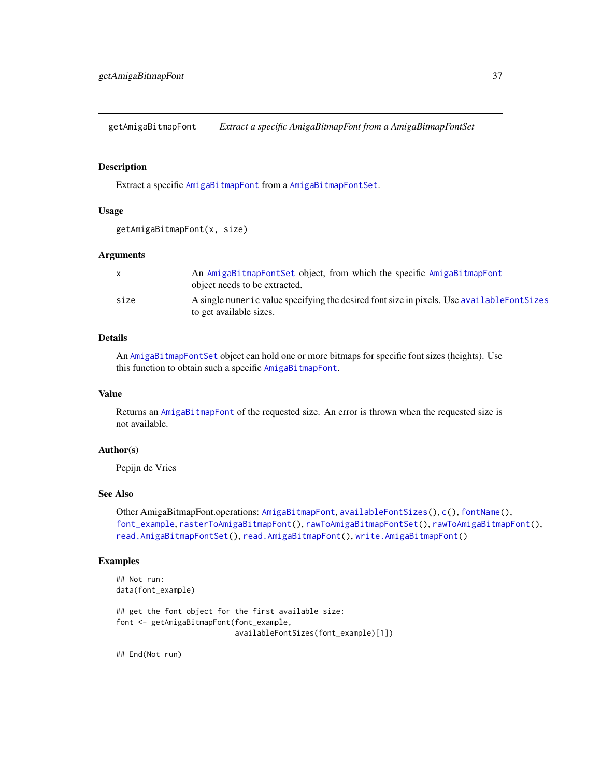<span id="page-36-0"></span>getAmigaBitmapFont *Extract a specific AmigaBitmapFont from a AmigaBitmapFontSet*

## Description

Extract a specific [AmigaBitmapFont](#page-6-0) from a [AmigaBitmapFontSet](#page-6-1).

## Usage

```
getAmigaBitmapFont(x, size)
```
#### Arguments

|      | An AmigaBitmapFontSet object, from which the specific AmigaBitmapFont<br>object needs to be extracted.                 |
|------|------------------------------------------------------------------------------------------------------------------------|
| size | A single numeric value specifying the desired font size in pixels. Use available Font Sizes<br>to get available sizes. |

## Details

An [AmigaBitmapFontSet](#page-6-1) object can hold one or more bitmaps for specific font sizes (heights). Use this function to obtain such a specific [AmigaBitmapFont](#page-6-0).

## Value

Returns an [AmigaBitmapFont](#page-6-0) of the requested size. An error is thrown when the requested size is not available.

## Author(s)

Pepijn de Vries

## See Also

Other AmigaBitmapFont.operations: [AmigaBitmapFont](#page-6-0), [availableFontSizes\(](#page-22-0)), [c\(](#page-25-0)), [fontName\(](#page-34-0)), [font\\_example](#page-35-0), [rasterToAmigaBitmapFont\(](#page-59-0)), [rawToAmigaBitmapFontSet\(](#page-73-0)), [rawToAmigaBitmapFont\(](#page-72-0)), [read.AmigaBitmapFontSet\(](#page-84-0)), [read.AmigaBitmapFont\(](#page-83-0)), [write.AmigaBitmapFont\(](#page-98-0))

## Examples

```
## Not run:
data(font_example)
## get the font object for the first available size:
font <- getAmigaBitmapFont(font_example,
                           availableFontSizes(font_example)[1])
```
## End(Not run)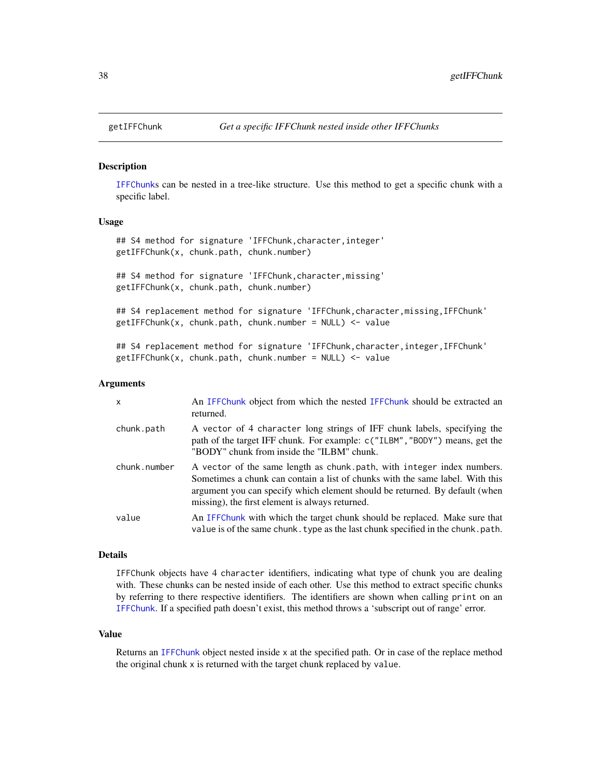<span id="page-37-0"></span>

#### **Description**

[IFFChunk](#page-41-0)s can be nested in a tree-like structure. Use this method to get a specific chunk with a specific label.

#### Usage

## S4 method for signature 'IFFChunk, character, integer' getIFFChunk(x, chunk.path, chunk.number)

## S4 method for signature 'IFFChunk,character,missing' getIFFChunk(x, chunk.path, chunk.number)

## S4 replacement method for signature 'IFFChunk,character,missing,IFFChunk' getIFFChunk(x, chunk.path, chunk.number = NULL) <- value

```
## S4 replacement method for signature 'IFFChunk,character,integer,IFFChunk'
getIFFChunk(x, chunk.path, chunk.number = NULL) <- value
```
#### Arguments

| $\mathsf{x}$ | An IFFChunk object from which the nested IFFChunk should be extracted an<br>returned.                                                                                                                                                                                                     |
|--------------|-------------------------------------------------------------------------------------------------------------------------------------------------------------------------------------------------------------------------------------------------------------------------------------------|
| chunk.path   | A vector of 4 character long strings of IFF chunk labels, specifying the<br>path of the target IFF chunk. For example: c("ILBM", "BODY") means, get the<br>"BODY" chunk from inside the "ILBM" chunk.                                                                                     |
| chunk.number | A vector of the same length as chunk path, with integer index numbers.<br>Sometimes a chunk can contain a list of chunks with the same label. With this<br>argument you can specify which element should be returned. By default (when<br>missing), the first element is always returned. |
| value        | An IFFC hunk with which the target chunk should be replaced. Make sure that<br>value is of the same chunk. type as the last chunk specified in the chunk. path.                                                                                                                           |

#### Details

IFFChunk objects have 4 character identifiers, indicating what type of chunk you are dealing with. These chunks can be nested inside of each other. Use this method to extract specific chunks by referring to there respective identifiers. The identifiers are shown when calling print on an [IFFChunk](#page-41-0). If a specified path doesn't exist, this method throws a 'subscript out of range' error.

#### Value

Returns an [IFFChunk](#page-41-0) object nested inside x at the specified path. Or in case of the replace method the original chunk x is returned with the target chunk replaced by value.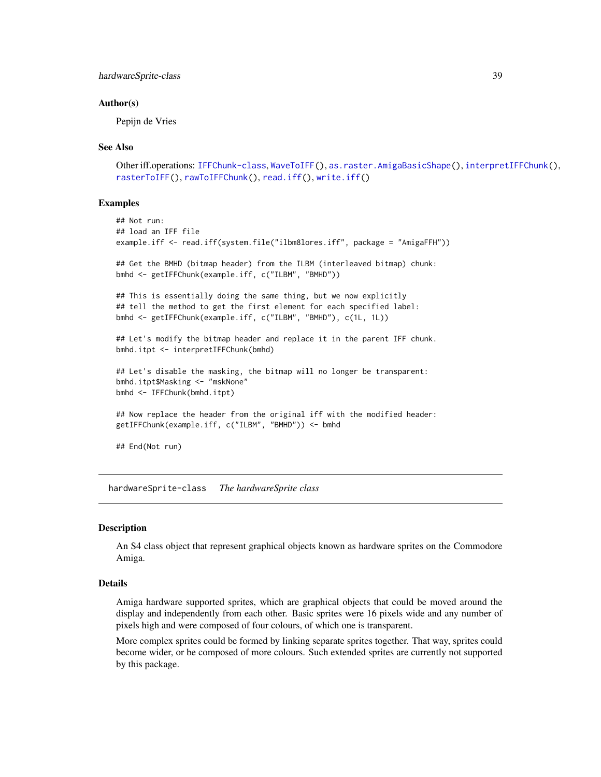## hardwareSprite-class 39

#### Author(s)

Pepijn de Vries

#### See Also

```
Other iff.operations: IFFChunk-class, WaveToIFF(), as.raster.AmigaBasicShape(), interpretIFFChunk(),
rasterToIFF(), rawToIFFChunk(), read.iff(), write.iff()
```
#### Examples

```
## Not run:
## load an IFF file
example.iff <- read.iff(system.file("ilbm8lores.iff", package = "AmigaFFH"))
## Get the BMHD (bitmap header) from the ILBM (interleaved bitmap) chunk:
bmhd <- getIFFChunk(example.iff, c("ILBM", "BMHD"))
## This is essentially doing the same thing, but we now explicitly
## tell the method to get the first element for each specified label:
bmhd <- getIFFChunk(example.iff, c("ILBM", "BMHD"), c(1L, 1L))
## Let's modify the bitmap header and replace it in the parent IFF chunk.
bmhd.itpt <- interpretIFFChunk(bmhd)
## Let's disable the masking, the bitmap will no longer be transparent:
bmhd.itpt$Masking <- "mskNone"
bmhd <- IFFChunk(bmhd.itpt)
## Now replace the header from the original iff with the modified header:
getIFFChunk(example.iff, c("ILBM", "BMHD")) <- bmhd
## End(Not run)
```
hardwareSprite-class *The hardwareSprite class*

#### <span id="page-38-0"></span>Description

An S4 class object that represent graphical objects known as hardware sprites on the Commodore Amiga.

## Details

Amiga hardware supported sprites, which are graphical objects that could be moved around the display and independently from each other. Basic sprites were 16 pixels wide and any number of pixels high and were composed of four colours, of which one is transparent.

More complex sprites could be formed by linking separate sprites together. That way, sprites could become wider, or be composed of more colours. Such extended sprites are currently not supported by this package.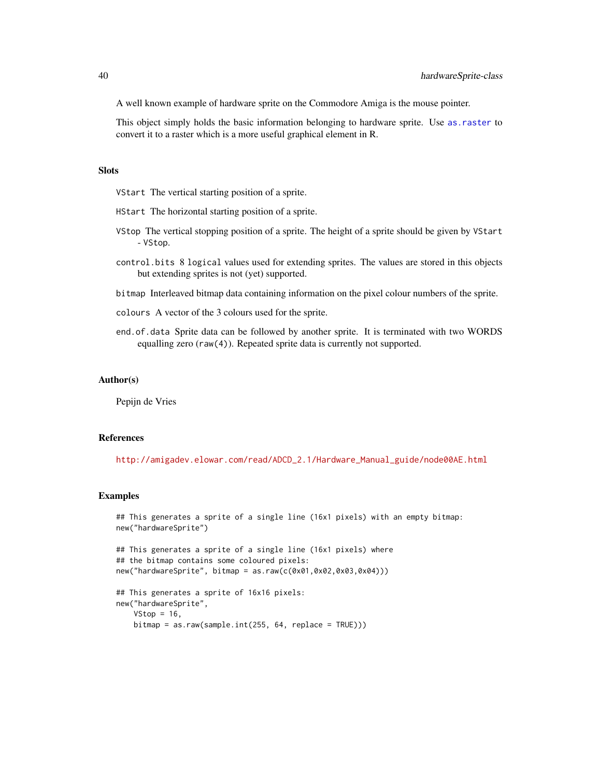A well known example of hardware sprite on the Commodore Amiga is the mouse pointer.

This object simply holds the basic information belonging to hardware sprite. Use [as.raster](#page-18-1) to convert it to a raster which is a more useful graphical element in R.

### **Slots**

VStart The vertical starting position of a sprite.

- HStart The horizontal starting position of a sprite.
- VStop The vertical stopping position of a sprite. The height of a sprite should be given by VStart - VStop.
- control.bits 8 logical values used for extending sprites. The values are stored in this objects but extending sprites is not (yet) supported.
- bitmap Interleaved bitmap data containing information on the pixel colour numbers of the sprite.
- colours A vector of the 3 colours used for the sprite.
- end.of.data Sprite data can be followed by another sprite. It is terminated with two WORDS equalling zero (raw(4)). Repeated sprite data is currently not supported.

#### Author(s)

Pepijn de Vries

#### References

[http://amigadev.elowar.com/read/ADCD\\_2.1/Hardware\\_Manual\\_guide/node00AE.html](http://amigadev.elowar.com/read/ADCD_2.1/Hardware_Manual_guide/node00AE.html)

```
## This generates a sprite of a single line (16x1 pixels) with an empty bitmap:
new("hardwareSprite")
```

```
## This generates a sprite of a single line (16x1 pixels) where
## the bitmap contains some coloured pixels:
new("hardwareSprite", bitmap = as.raw(c(0x01,0x02,0x03,0x04)))
```

```
## This generates a sprite of 16x16 pixels:
new("hardwareSprite",
   VStop = 16,
   bitmap = as.raw(sample.int(255, 64, replace = TRUE)))
```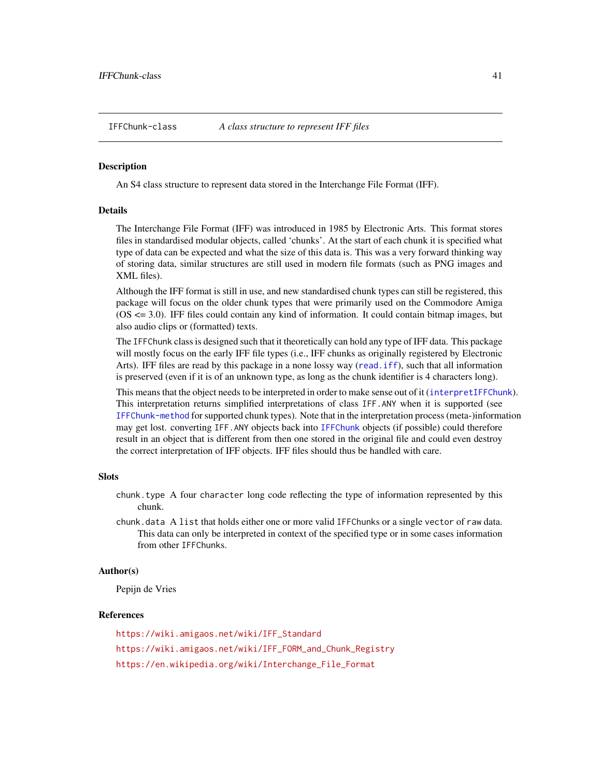<span id="page-40-0"></span>

#### **Description**

An S4 class structure to represent data stored in the Interchange File Format (IFF).

## Details

The Interchange File Format (IFF) was introduced in 1985 by Electronic Arts. This format stores files in standardised modular objects, called 'chunks'. At the start of each chunk it is specified what type of data can be expected and what the size of this data is. This was a very forward thinking way of storing data, similar structures are still used in modern file formats (such as PNG images and XML files).

Although the IFF format is still in use, and new standardised chunk types can still be registered, this package will focus on the older chunk types that were primarily used on the Commodore Amiga (OS <= 3.0). IFF files could contain any kind of information. It could contain bitmap images, but also audio clips or (formatted) texts.

The IFFChunk class is designed such that it theoretically can hold any type of IFF data. This package will mostly focus on the early IFF file types (i.e., IFF chunks as originally registered by Electronic Arts). IFF files are read by this package in a none lossy way ([read.iff](#page-87-0)), such that all information is preserved (even if it is of an unknown type, as long as the chunk identifier is 4 characters long).

This means that the object needs to be interpreted in order to make sense out of it ([interpretIFFChunk](#page-50-0)). This interpretation returns simplified interpretations of class IFF.ANY when it is supported (see [IFFChunk-method](#page-41-1) for supported chunk types). Note that in the interpretation process (meta-)information may get lost. converting IFF.ANY objects back into [IFFChunk](#page-41-0) objects (if possible) could therefore result in an object that is different from then one stored in the original file and could even destroy the correct interpretation of IFF objects. IFF files should thus be handled with care.

#### **Slots**

- chunk.type A four character long code reflecting the type of information represented by this chunk.
- chunk.data A list that holds either one or more valid IFFChunks or a single vector of raw data. This data can only be interpreted in context of the specified type or in some cases information from other IFFChunks.

#### Author(s)

Pepijn de Vries

#### References

[https://wiki.amigaos.net/wiki/IFF\\_Standard](https://wiki.amigaos.net/wiki/IFF_Standard) [https://wiki.amigaos.net/wiki/IFF\\_FORM\\_and\\_Chunk\\_Registry](https://wiki.amigaos.net/wiki/IFF_FORM_and_Chunk_Registry) [https://en.wikipedia.org/wiki/Interchange\\_File\\_Format](https://en.wikipedia.org/wiki/Interchange_File_Format)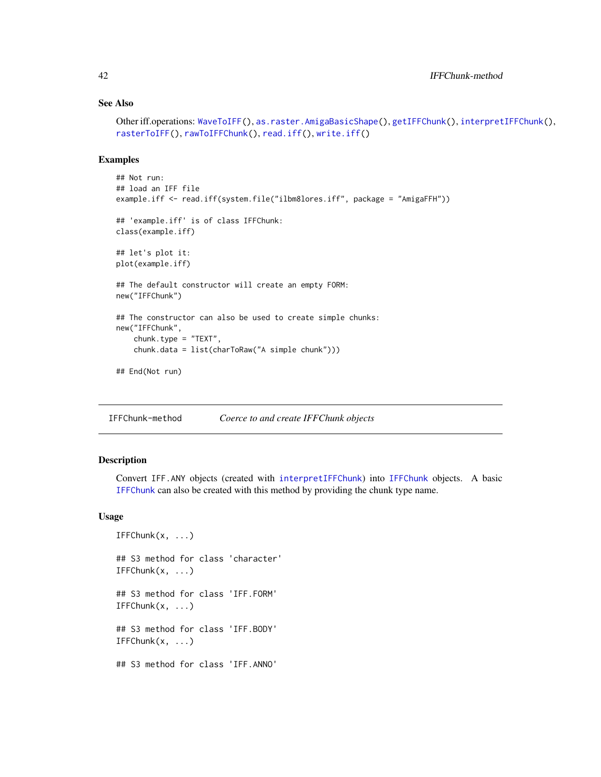## See Also

```
Other iff.operations: WaveToIFF(), as.raster.AmigaBasicShape(), getIFFChunk(), interpretIFFChunk(),
rasterToIFF(), rawToIFFChunk(), read.iff(), write.iff()
```
## Examples

```
## Not run:
## load an IFF file
example.iff <- read.iff(system.file("ilbm8lores.iff", package = "AmigaFFH"))
## 'example.iff' is of class IFFChunk:
class(example.iff)
## let's plot it:
plot(example.iff)
## The default constructor will create an empty FORM:
new("IFFChunk")
## The constructor can also be used to create simple chunks:
new("IFFChunk",
    chunk.type = "TEXT",
    chunk.data = list(charToRaw("A simple chunk")))
## End(Not run)
```
<span id="page-41-1"></span>IFFChunk-method *Coerce to and create IFFChunk objects*

## <span id="page-41-0"></span>Description

Convert IFF.ANY objects (created with [interpretIFFChunk](#page-50-0)) into [IFFChunk](#page-41-0) objects. A basic [IFFChunk](#page-41-0) can also be created with this method by providing the chunk type name.

#### Usage

```
IFFChunk(x, \ldots)## S3 method for class 'character'
IFFChunk(x, ...)
## S3 method for class 'IFF.FORM'
IFFChunk(x, ...)
## S3 method for class 'IFF.BODY'
IFFChunk(x, ...)
## S3 method for class 'IFF.ANNO'
```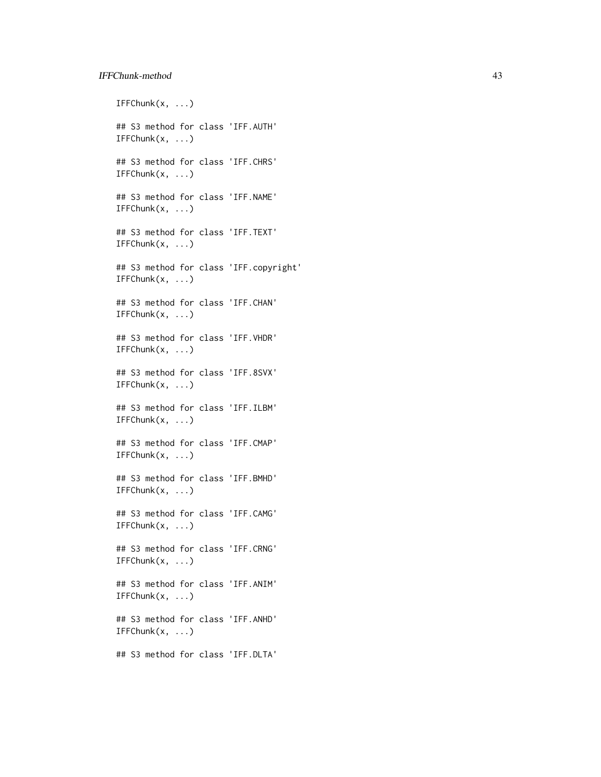## IFFChunk-method 43

 $IFFChunk(x, \ldots)$ ## S3 method for class 'IFF.AUTH'  $IFFChunk(x, \ldots)$ ## S3 method for class 'IFF.CHRS'  $IFFChunk(x, \ldots)$ ## S3 method for class 'IFF.NAME'  $IFFChunk(x, \ldots)$ ## S3 method for class 'IFF.TEXT' IFFChunk(x, ...) ## S3 method for class 'IFF.copyright'  $IFFChunk(x, \ldots)$ ## S3 method for class 'IFF.CHAN'  $IFFChunk(x, \ldots)$ ## S3 method for class 'IFF.VHDR'  $IFFChunk(x, \ldots)$ ## S3 method for class 'IFF.8SVX'  $IFFChunk(x, \ldots)$ ## S3 method for class 'IFF.ILBM' IFFChunk(x, ...) ## S3 method for class 'IFF.CMAP' IFFChunk(x, ...) ## S3 method for class 'IFF.BMHD'  $IFFChunk(x, ...)$ ## S3 method for class 'IFF.CAMG' IFFChunk(x, ...) ## S3 method for class 'IFF.CRNG' IFFChunk(x, ...) ## S3 method for class 'IFF.ANIM' IFFChunk(x, ...) ## S3 method for class 'IFF.ANHD'  $IFFChunk(x, ...)$ ## S3 method for class 'IFF.DLTA'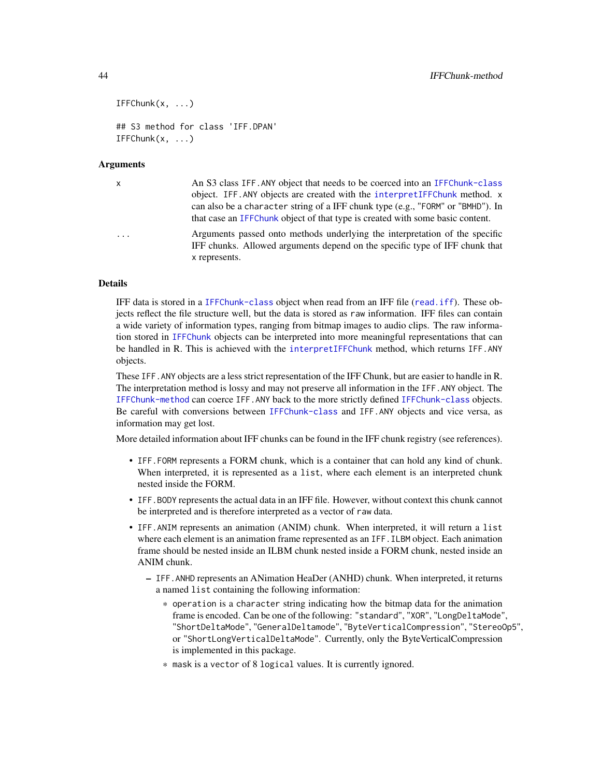```
IFFChunk(x, \ldots)## S3 method for class 'IFF.DPAN'
IFFChunk(x, ...)
```
## **Arguments**

| $\mathsf{x}$ | An S3 class IFF. ANY object that needs to be coerced into an IFFChunk-class<br>object. IFF. ANY objects are created with the interpretIFFChunk method. x<br>can also be a character string of a IFF chunk type (e.g., "FORM" or "BMHD"). In<br>that case an IFFChunk object of that type is created with some basic content. |
|--------------|------------------------------------------------------------------------------------------------------------------------------------------------------------------------------------------------------------------------------------------------------------------------------------------------------------------------------|
| $\ddots$     | Arguments passed onto methods underlying the interpretation of the specific<br>IFF chunks. Allowed arguments depend on the specific type of IFF chunk that<br>x represents.                                                                                                                                                  |

## Details

IFF data is stored in a [IFFChunk-class](#page-40-0) object when read from an IFF file ([read.iff](#page-87-0)). These objects reflect the file structure well, but the data is stored as raw information. IFF files can contain a wide variety of information types, ranging from bitmap images to audio clips. The raw information stored in [IFFChunk](#page-41-0) objects can be interpreted into more meaningful representations that can be handled in R. This is achieved with the [interpretIFFChunk](#page-50-0) method, which returns IFF.ANY objects.

These IFF.ANY objects are a less strict representation of the IFF Chunk, but are easier to handle in R. The interpretation method is lossy and may not preserve all information in the IFF.ANY object. The [IFFChunk-method](#page-41-1) can coerce IFF.ANY back to the more strictly defined [IFFChunk-class](#page-40-0) objects. Be careful with conversions between [IFFChunk-class](#page-40-0) and IFF.ANY objects and vice versa, as information may get lost.

More detailed information about IFF chunks can be found in the IFF chunk registry (see references).

- IFF.FORM represents a FORM chunk, which is a container that can hold any kind of chunk. When interpreted, it is represented as a list, where each element is an interpreted chunk nested inside the FORM.
- IFF.BODY represents the actual data in an IFF file. However, without context this chunk cannot be interpreted and is therefore interpreted as a vector of raw data.
- IFF.ANIM represents an animation (ANIM) chunk. When interpreted, it will return a list where each element is an animation frame represented as an IFF. ILBM object. Each animation frame should be nested inside an ILBM chunk nested inside a FORM chunk, nested inside an ANIM chunk.
	- IFF.ANHD represents an ANimation HeaDer (ANHD) chunk. When interpreted, it returns a named list containing the following information:
		- \* operation is a character string indicating how the bitmap data for the animation frame is encoded. Can be one of the following: "standard", "XOR", "LongDeltaMode", "ShortDeltaMode", "GeneralDeltamode", "ByteVerticalCompression", "StereoOp5", or "ShortLongVerticalDeltaMode". Currently, only the ByteVerticalCompression is implemented in this package.
		- \* mask is a vector of 8 logical values. It is currently ignored.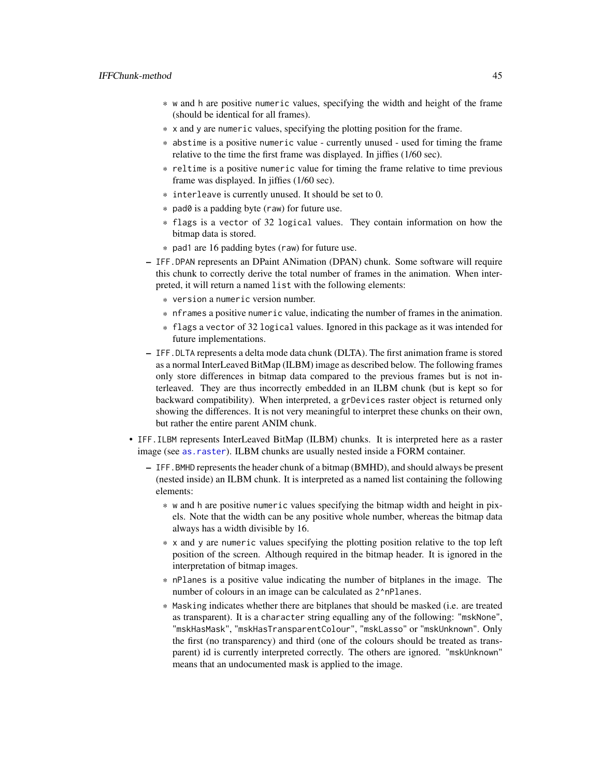- \* w and h are positive numeric values, specifying the width and height of the frame (should be identical for all frames).
- \* x and y are numeric values, specifying the plotting position for the frame.
- \* abstime is a positive numeric value currently unused used for timing the frame relative to the time the first frame was displayed. In jiffies (1/60 sec).
- \* reltime is a positive numeric value for timing the frame relative to time previous frame was displayed. In jiffies (1/60 sec).
- \* interleave is currently unused. It should be set to 0.
- \* pad0 is a padding byte (raw) for future use.
- \* flags is a vector of 32 logical values. They contain information on how the bitmap data is stored.
- \* pad1 are 16 padding bytes (raw) for future use.
- IFF.DPAN represents an DPaint ANimation (DPAN) chunk. Some software will require this chunk to correctly derive the total number of frames in the animation. When interpreted, it will return a named list with the following elements:
	- \* version a numeric version number.
	- \* nframes a positive numeric value, indicating the number of frames in the animation.
	- \* flags a vector of 32 logical values. Ignored in this package as it was intended for future implementations.
- IFF.DLTA represents a delta mode data chunk (DLTA). The first animation frame is stored as a normal InterLeaved BitMap (ILBM) image as described below. The following frames only store differences in bitmap data compared to the previous frames but is not interleaved. They are thus incorrectly embedded in an ILBM chunk (but is kept so for backward compatibility). When interpreted, a grDevices raster object is returned only showing the differences. It is not very meaningful to interpret these chunks on their own, but rather the entire parent ANIM chunk.
- IFF.ILBM represents InterLeaved BitMap (ILBM) chunks. It is interpreted here as a raster image (see [as.raster](#page-18-1)). ILBM chunks are usually nested inside a FORM container.
	- IFF.BMHD represents the header chunk of a bitmap (BMHD), and should always be present (nested inside) an ILBM chunk. It is interpreted as a named list containing the following elements:
		- \* w and h are positive numeric values specifying the bitmap width and height in pixels. Note that the width can be any positive whole number, whereas the bitmap data always has a width divisible by 16.
		- \* x and y are numeric values specifying the plotting position relative to the top left position of the screen. Although required in the bitmap header. It is ignored in the interpretation of bitmap images.
		- \* nPlanes is a positive value indicating the number of bitplanes in the image. The number of colours in an image can be calculated as 2^nPlanes.
		- \* Masking indicates whether there are bitplanes that should be masked (i.e. are treated as transparent). It is a character string equalling any of the following: "mskNone", "mskHasMask", "mskHasTransparentColour", "mskLasso" or "mskUnknown". Only the first (no transparency) and third (one of the colours should be treated as transparent) id is currently interpreted correctly. The others are ignored. "mskUnknown" means that an undocumented mask is applied to the image.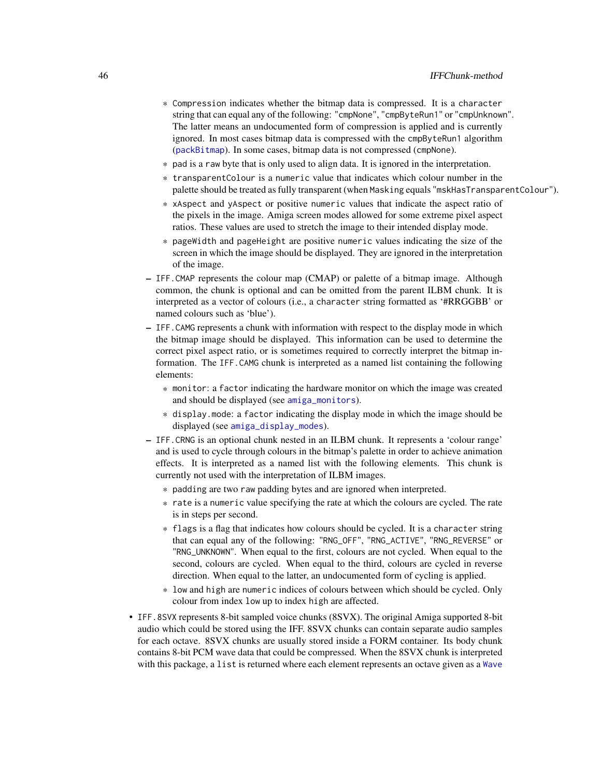- \* Compression indicates whether the bitmap data is compressed. It is a character string that can equal any of the following: "cmpNone", "cmpByteRun1" or "cmpUnknown". The latter means an undocumented form of compression is applied and is currently ignored. In most cases bitmap data is compressed with the cmpByteRun1 algorithm ([packBitmap](#page-53-0)). In some cases, bitmap data is not compressed (cmpNone).
- \* pad is a raw byte that is only used to align data. It is ignored in the interpretation.
- \* transparentColour is a numeric value that indicates which colour number in the palette should be treated as fully transparent (when Masking equals "mskHasTransparentColour").
- \* xAspect and yAspect or positive numeric values that indicate the aspect ratio of the pixels in the image. Amiga screen modes allowed for some extreme pixel aspect ratios. These values are used to stretch the image to their intended display mode.
- \* pageWidth and pageHeight are positive numeric values indicating the size of the screen in which the image should be displayed. They are ignored in the interpretation of the image.
- IFF.CMAP represents the colour map (CMAP) or palette of a bitmap image. Although common, the chunk is optional and can be omitted from the parent ILBM chunk. It is interpreted as a vector of colours (i.e., a character string formatted as '#RRGGBB' or named colours such as 'blue').
- IFF.CAMG represents a chunk with information with respect to the display mode in which the bitmap image should be displayed. This information can be used to determine the correct pixel aspect ratio, or is sometimes required to correctly interpret the bitmap information. The IFF.CAMG chunk is interpreted as a named list containing the following elements:
	- \* monitor: a factor indicating the hardware monitor on which the image was created and should be displayed (see [amiga\\_monitors](#page-13-0)).
	- \* display.mode: a factor indicating the display mode in which the image should be displayed (see [amiga\\_display\\_modes](#page-12-0)).
- IFF.CRNG is an optional chunk nested in an ILBM chunk. It represents a 'colour range' and is used to cycle through colours in the bitmap's palette in order to achieve animation effects. It is interpreted as a named list with the following elements. This chunk is currently not used with the interpretation of ILBM images.
	- \* padding are two raw padding bytes and are ignored when interpreted.
	- \* rate is a numeric value specifying the rate at which the colours are cycled. The rate is in steps per second.
	- \* flags is a flag that indicates how colours should be cycled. It is a character string that can equal any of the following: "RNG\_OFF", "RNG\_ACTIVE", "RNG\_REVERSE" or "RNG\_UNKNOWN". When equal to the first, colours are not cycled. When equal to the second, colours are cycled. When equal to the third, colours are cycled in reverse direction. When equal to the latter, an undocumented form of cycling is applied.
	- \* low and high are numeric indices of colours between which should be cycled. Only colour from index low up to index high are affected.
- IFF.8SVX represents 8-bit sampled voice chunks (8SVX). The original Amiga supported 8-bit audio which could be stored using the IFF. 8SVX chunks can contain separate audio samples for each octave. 8SVX chunks are usually stored inside a FORM container. Its body chunk contains 8-bit PCM wave data that could be compressed. When the 8SVX chunk is interpreted with this package, a list is returned where each element represents an octave given as a [Wave](#page-0-0)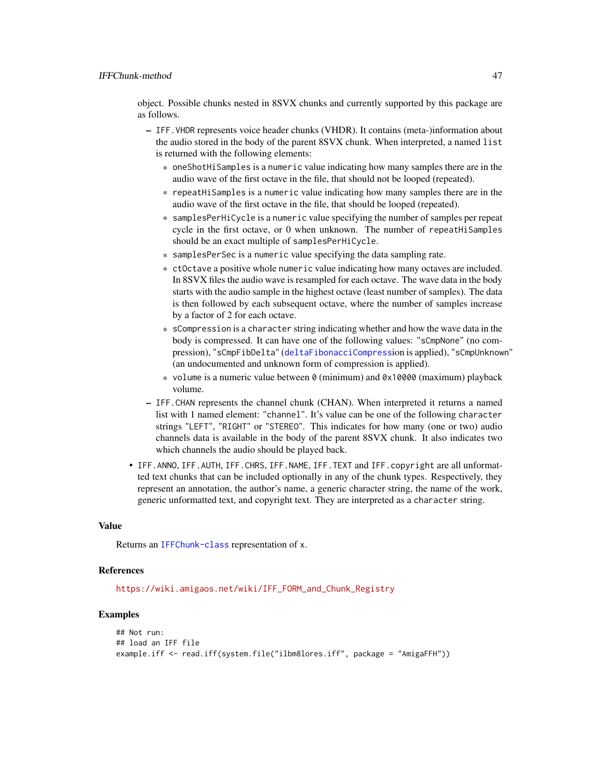object. Possible chunks nested in 8SVX chunks and currently supported by this package are as follows.

- IFF.VHDR represents voice header chunks (VHDR). It contains (meta-)information about the audio stored in the body of the parent 8SVX chunk. When interpreted, a named list is returned with the following elements:
	- \* oneShotHiSamples is a numeric value indicating how many samples there are in the audio wave of the first octave in the file, that should not be looped (repeated).
	- \* repeatHiSamples is a numeric value indicating how many samples there are in the audio wave of the first octave in the file, that should be looped (repeated).
	- \* samplesPerHiCycle is a numeric value specifying the number of samples per repeat cycle in the first octave, or 0 when unknown. The number of repeatHiSamples should be an exact multiple of samplesPerHiCycle.
	- \* samplesPerSec is a numeric value specifying the data sampling rate.
	- \* ctOctave a positive whole numeric value indicating how many octaves are included. In 8SVX files the audio wave is resampled for each octave. The wave data in the body starts with the audio sample in the highest octave (least number of samples). The data is then followed by each subsequent octave, where the number of samples increase by a factor of 2 for each octave.
	- \* sCompression is a character string indicating whether and how the wave data in the body is compressed. It can have one of the following values: "sCmpNone" (no compression), "sCmpFibDelta" ([deltaFibonacciCompress](#page-29-0)ion is applied), "sCmpUnknown" (an undocumented and unknown form of compression is applied).
	- \* volume is a numeric value between  $\theta$  (minimum) and  $\theta \times 10000$  (maximum) playback volume.
- IFF.CHAN represents the channel chunk (CHAN). When interpreted it returns a named list with 1 named element: "channel". It's value can be one of the following character strings "LEFT", "RIGHT" or "STEREO". This indicates for how many (one or two) audio channels data is available in the body of the parent 8SVX chunk. It also indicates two which channels the audio should be played back.
- IFF.ANNO, IFF.AUTH, IFF.CHRS, IFF.NAME, IFF.TEXT and IFF.copyright are all unformatted text chunks that can be included optionally in any of the chunk types. Respectively, they represent an annotation, the author's name, a generic character string, the name of the work, generic unformatted text, and copyright text. They are interpreted as a character string.

#### Value

Returns an [IFFChunk-class](#page-40-0) representation of x.

## References

[https://wiki.amigaos.net/wiki/IFF\\_FORM\\_and\\_Chunk\\_Registry](https://wiki.amigaos.net/wiki/IFF_FORM_and_Chunk_Registry)

```
## Not run:
## load an IFF file
example.iff <- read.iff(system.file("ilbm8lores.iff", package = "AmigaFFH"))
```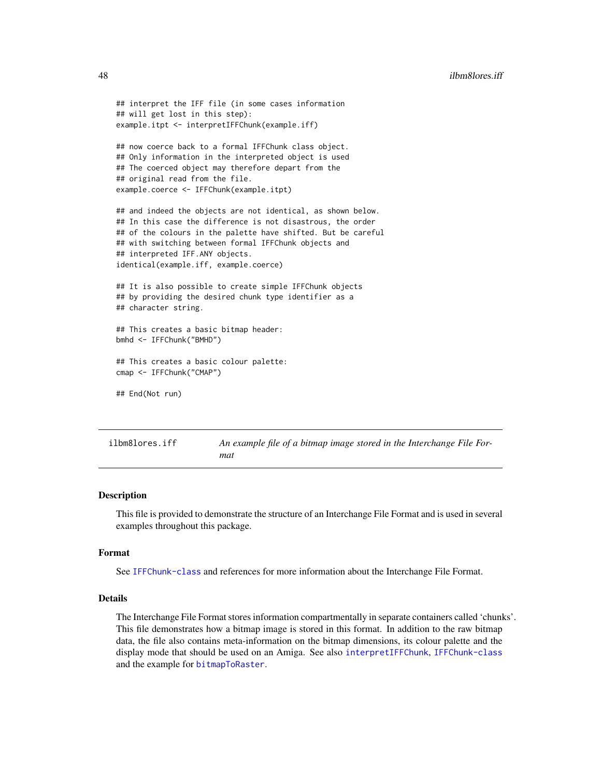```
## interpret the IFF file (in some cases information
## will get lost in this step):
example.itpt <- interpretIFFChunk(example.iff)
## now coerce back to a formal IFFChunk class object.
## Only information in the interpreted object is used
## The coerced object may therefore depart from the
## original read from the file.
example.coerce <- IFFChunk(example.itpt)
## and indeed the objects are not identical, as shown below.
## In this case the difference is not disastrous, the order
## of the colours in the palette have shifted. But be careful
## with switching between formal IFFChunk objects and
## interpreted IFF.ANY objects.
identical(example.iff, example.coerce)
## It is also possible to create simple IFFChunk objects
## by providing the desired chunk type identifier as a
## character string.
## This creates a basic bitmap header:
bmhd <- IFFChunk("BMHD")
## This creates a basic colour palette:
cmap <- IFFChunk("CMAP")
## End(Not run)
```

```
ilbm8lores.iff An example file of a bitmap image stored in the Interchange File For-
                        mat
```
#### Description

This file is provided to demonstrate the structure of an Interchange File Format and is used in several examples throughout this package.

#### Format

See [IFFChunk-class](#page-40-0) and references for more information about the Interchange File Format.

## Details

The Interchange File Format stores information compartmentally in separate containers called 'chunks'. This file demonstrates how a bitmap image is stored in this format. In addition to the raw bitmap data, the file also contains meta-information on the bitmap dimensions, its colour palette and the display mode that should be used on an Amiga. See also [interpretIFFChunk](#page-50-0), [IFFChunk-class](#page-40-0) and the example for [bitmapToRaster](#page-23-0).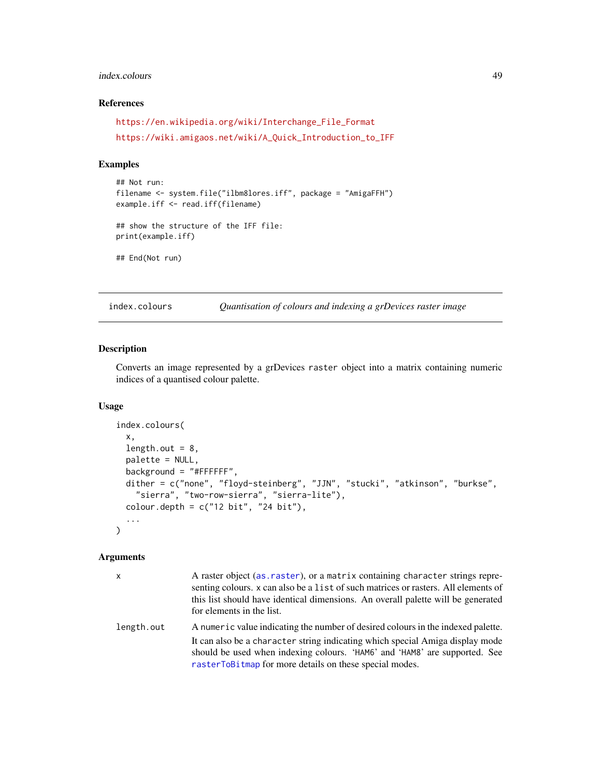## index.colours 49

## References

```
https://en.wikipedia.org/wiki/Interchange_File_Format
https://wiki.amigaos.net/wiki/A_Quick_Introduction_to_IFF
```
#### Examples

```
## Not run:
filename <- system.file("ilbm8lores.iff", package = "AmigaFFH")
example.iff <- read.iff(filename)
## show the structure of the IFF file:
print(example.iff)
## End(Not run)
```
<span id="page-48-0"></span>index.colours *Quantisation of colours and indexing a grDevices raster image*

## Description

Converts an image represented by a grDevices raster object into a matrix containing numeric indices of a quantised colour palette.

#### Usage

```
index.colours(
 x,
 length.out = 8,
 palette = NULL,
 background = "#FFFFFF",
 dither = c("none", "floyd-steinberg", "JJN", "stucki", "atkinson", "burkse",
    "sierra", "two-row-sierra", "sierra-lite"),
 colour.depth = c("12 bit", "24 bit"),...
\mathcal{L}
```
## Arguments

| $\mathsf{x}$ | A raster object (as. raster), or a matrix containing character strings repre-<br>senting colours. x can also be a list of such matrices or rasters. All elements of<br>this list should have identical dimensions. An overall palette will be generated<br>for elements in the list. |
|--------------|--------------------------------------------------------------------------------------------------------------------------------------------------------------------------------------------------------------------------------------------------------------------------------------|
| length.out   | A numeric value indicating the number of desired colours in the indexed palette.<br>It can also be a character string indicating which special Amiga display mode                                                                                                                    |
|              | should be used when indexing colours. 'HAM6' and 'HAM8' are supported. See<br>rasterToBitmap for more details on these special modes.                                                                                                                                                |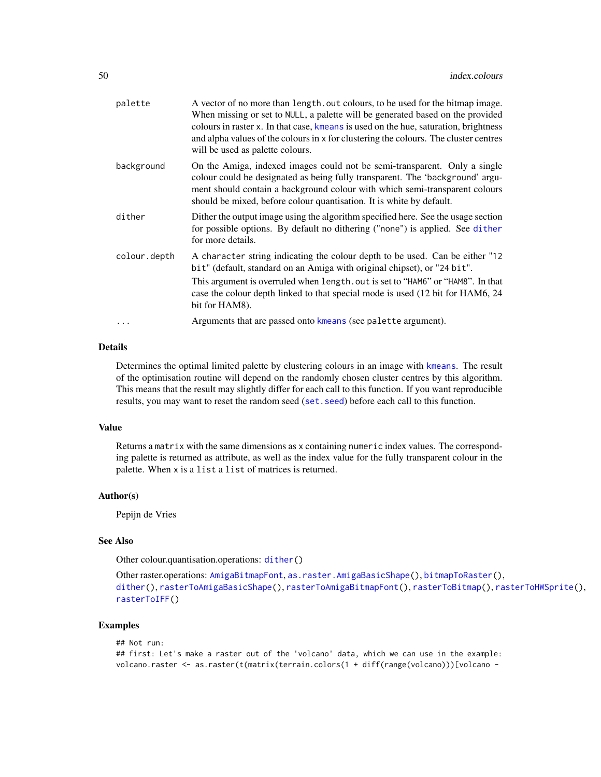| palette      | A vector of no more than length, out colours, to be used for the bitmap image.<br>When missing or set to NULL, a palette will be generated based on the provided<br>colours in raster x. In that case, kmeans is used on the hue, saturation, brightness<br>and alpha values of the colours in x for clustering the colours. The cluster centres<br>will be used as palette colours. |
|--------------|--------------------------------------------------------------------------------------------------------------------------------------------------------------------------------------------------------------------------------------------------------------------------------------------------------------------------------------------------------------------------------------|
| background   | On the Amiga, indexed images could not be semi-transparent. Only a single<br>colour could be designated as being fully transparent. The 'background' argu-<br>ment should contain a background colour with which semi-transparent colours<br>should be mixed, before colour quantisation. It is white by default.                                                                    |
| dither       | Dither the output image using the algorithm specified here. See the usage section<br>for possible options. By default no dithering ("none") is applied. See dither<br>for more details.                                                                                                                                                                                              |
| colour.depth | A character string indicating the colour depth to be used. Can be either "12<br>bit" (default, standard on an Amiga with original chipset), or "24 bit".<br>This argument is overruled when length. out is set to "HAM6" or "HAM8". In that<br>case the colour depth linked to that special mode is used (12 bit for HAM6, 24)<br>bit for HAM8).                                     |
|              | Arguments that are passed onto kmeans (see palette argument).                                                                                                                                                                                                                                                                                                                        |

#### Details

Determines the optimal limited palette by clustering colours in an image with [kmeans](#page-0-0). The result of the optimisation routine will depend on the randomly chosen cluster centres by this algorithm. This means that the result may slightly differ for each call to this function. If you want reproducible results, you may want to reset the random seed ([set.seed](#page-0-0)) before each call to this function.

#### Value

Returns a matrix with the same dimensions as x containing numeric index values. The corresponding palette is returned as attribute, as well as the index value for the fully transparent colour in the palette. When x is a list a list of matrices is returned.

## Author(s)

Pepijn de Vries

#### See Also

Other colour.quantisation.operations: [dither\(](#page-31-0))

```
Other raster.operations: AmigaBitmapFont, as.raster.AmigaBasicShape(), bitmapToRaster(),
dither(), rasterToAmigaBasicShape(), rasterToAmigaBitmapFont(), rasterToBitmap(), rasterToHWSprite(),
rasterToIFF()
```

```
## Not run:
## first: Let's make a raster out of the 'volcano' data, which we can use in the example:
volcano.raster <- as.raster(t(matrix(terrain.colors(1 + diff(range(volcano)))[volcano -
```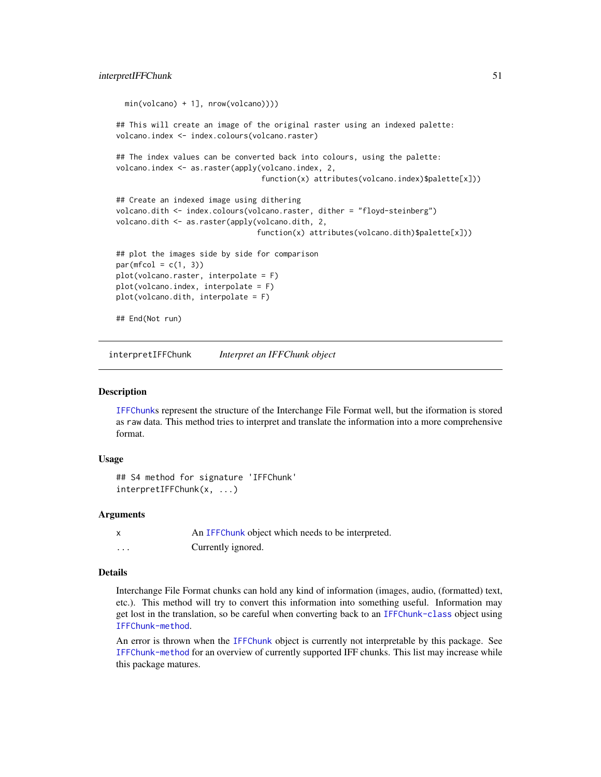```
min(volcano) + 1], nrow(volcano))))
## This will create an image of the original raster using an indexed palette:
volcano.index <- index.colours(volcano.raster)
## The index values can be converted back into colours, using the palette:
volcano.index <- as.raster(apply(volcano.index, 2,
                                 function(x) attributes(volcano.index)$palette[x]))
## Create an indexed image using dithering
volcano.dith <- index.colours(volcano.raster, dither = "floyd-steinberg")
volcano.dith <- as.raster(apply(volcano.dith, 2,
                                function(x) attributes(volcano.dith)$palette[x]))
## plot the images side by side for comparison
par(mfcol = c(1, 3))plot(volcano.raster, interpolate = F)
plot(volcano.index, interpolate = F)
plot(volcano.dith, interpolate = F)
## End(Not run)
```
<span id="page-50-0"></span>interpretIFFChunk *Interpret an IFFChunk object*

#### Description

[IFFChunk](#page-41-0)s represent the structure of the Interchange File Format well, but the iformation is stored as raw data. This method tries to interpret and translate the information into a more comprehensive format.

### Usage

```
## S4 method for signature 'IFFChunk'
interpretIFFChunk(x, ...)
```
#### Arguments

|          | An IFFC hunk object which needs to be interpreted. |
|----------|----------------------------------------------------|
| $\cdots$ | Currently ignored.                                 |

## Details

Interchange File Format chunks can hold any kind of information (images, audio, (formatted) text, etc.). This method will try to convert this information into something useful. Information may get lost in the translation, so be careful when converting back to an [IFFChunk-class](#page-40-0) object using [IFFChunk-method](#page-41-1).

An error is thrown when the [IFFChunk](#page-41-0) object is currently not interpretable by this package. See [IFFChunk-method](#page-41-1) for an overview of currently supported IFF chunks. This list may increase while this package matures.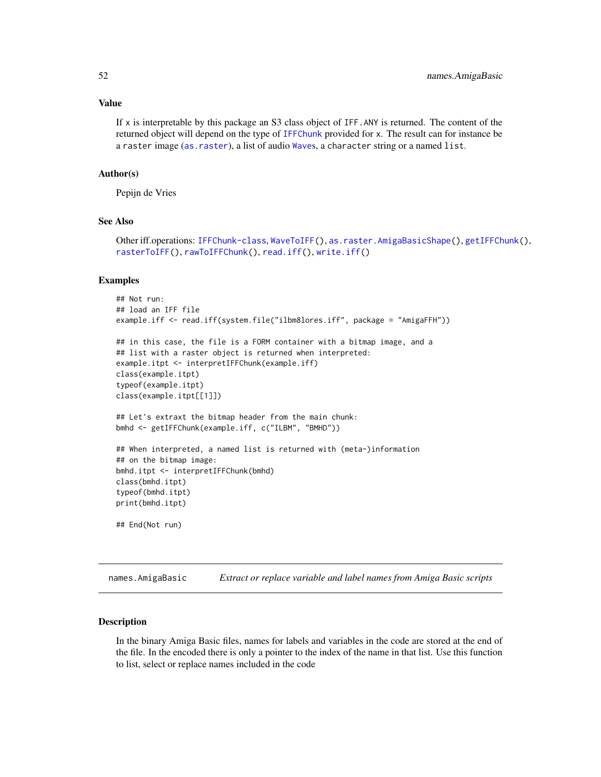#### Value

If x is interpretable by this package an S3 class object of IFF.ANY is returned. The content of the returned object will depend on the type of [IFFChunk](#page-41-0) provided for x. The result can for instance be a raster image ([as.raster](#page-18-1)), a list of audio [Wave](#page-0-0)s, a character string or a named list.

#### Author(s)

Pepijn de Vries

## See Also

Other iff.operations: [IFFChunk-class](#page-40-0), [WaveToIFF\(](#page-94-0)), [as.raster.AmigaBasicShape\(](#page-18-0)), [getIFFChunk\(](#page-37-0)), [rasterToIFF\(](#page-66-0)), [rawToIFFChunk\(](#page-77-0)), [read.iff\(](#page-87-0)), [write.iff\(](#page-101-0))

## Examples

```
## Not run:
## load an IFF file
example.iff <- read.iff(system.file("ilbm8lores.iff", package = "AmigaFFH"))
## in this case, the file is a FORM container with a bitmap image, and a
## list with a raster object is returned when interpreted:
example.itpt <- interpretIFFChunk(example.iff)
class(example.itpt)
typeof(example.itpt)
class(example.itpt[[1]])
## Let's extraxt the bitmap header from the main chunk:
bmhd <- getIFFChunk(example.iff, c("ILBM", "BMHD"))
## When interpreted, a named list is returned with (meta-)information
## on the bitmap image:
bmhd.itpt <- interpretIFFChunk(bmhd)
class(bmhd.itpt)
typeof(bmhd.itpt)
print(bmhd.itpt)
## End(Not run)
```
<span id="page-51-0"></span>names.AmigaBasic *Extract or replace variable and label names from Amiga Basic scripts*

#### **Description**

In the binary Amiga Basic files, names for labels and variables in the code are stored at the end of the file. In the encoded there is only a pointer to the index of the name in that list. Use this function to list, select or replace names included in the code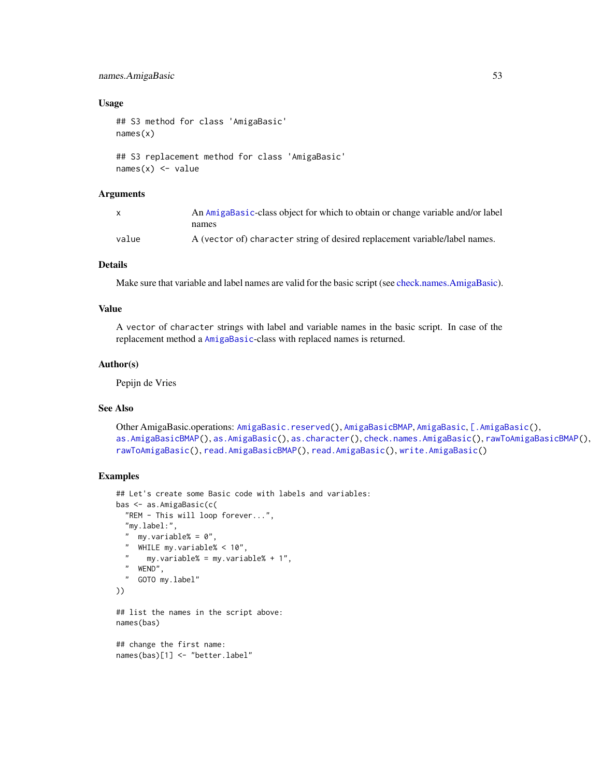## names.AmigaBasic 53

#### Usage

```
## S3 method for class 'AmigaBasic'
names(x)
## S3 replacement method for class 'AmigaBasic'
names(x) <- value
```
# Arguments

|       | An AmigaBasic-class object for which to obtain or change variable and/or label |
|-------|--------------------------------------------------------------------------------|
|       | names                                                                          |
| value | A (vector of) character string of desired replacement variable/label names.    |

## Details

Make sure that variable and label names are valid for the basic script (see [check.names.AmigaBasic\)](#page-26-0).

## Value

A vector of character strings with label and variable names in the basic script. In case of the replacement method a [AmigaBasic](#page-2-0)-class with replaced names is returned.

#### Author(s)

Pepijn de Vries

#### See Also

```
Other AmigaBasic.operations: AmigaBasic.reserved(), AmigaBasicBMAP, AmigaBasic, [.AmigaBasic(),
as.AmigaBasicBMAP(), as.AmigaBasic(), as.character(), check.names.AmigaBasic(), rawToAmigaBasicBMAP(),
rawToAmigaBasic(), read.AmigaBasicBMAP(), read.AmigaBasic(), write.AmigaBasic()
```

```
## Let's create some Basic code with labels and variables:
bas <- as.AmigaBasic(c(
  "REM - This will loop forever...",
  "my.label:",
  " my.variable% = 0",
  " WHILE my.variable% < 10",
      my.variable% = my.variable% + 1"," WEND",
  " GOTO my.label"
))
## list the names in the script above:
names(bas)
## change the first name:
```

```
names(bas)[1] <- "better.label"
```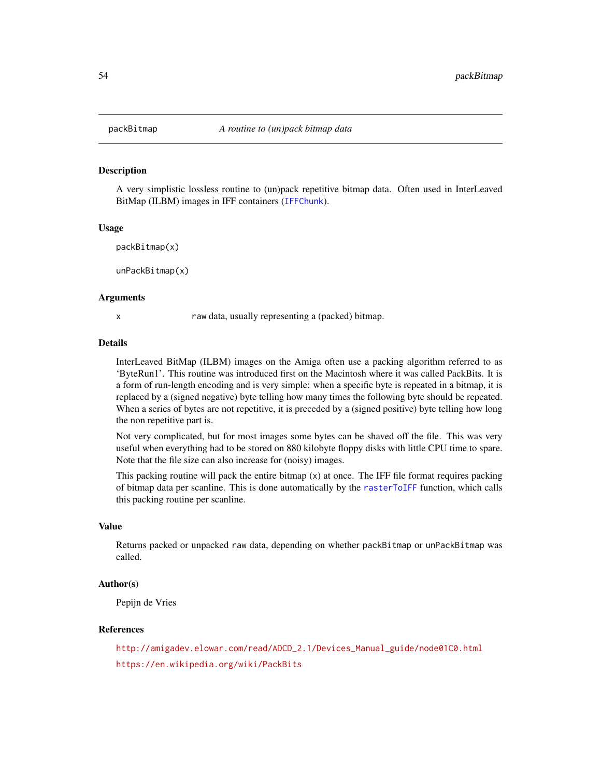<span id="page-53-0"></span>

## Description

A very simplistic lossless routine to (un)pack repetitive bitmap data. Often used in InterLeaved BitMap (ILBM) images in IFF containers ([IFFChunk](#page-41-0)).

#### Usage

```
packBitmap(x)
```
unPackBitmap(x)

#### Arguments

x raw data, usually representing a (packed) bitmap.

#### Details

InterLeaved BitMap (ILBM) images on the Amiga often use a packing algorithm referred to as 'ByteRun1'. This routine was introduced first on the Macintosh where it was called PackBits. It is a form of run-length encoding and is very simple: when a specific byte is repeated in a bitmap, it is replaced by a (signed negative) byte telling how many times the following byte should be repeated. When a series of bytes are not repetitive, it is preceded by a (signed positive) byte telling how long the non repetitive part is.

Not very complicated, but for most images some bytes can be shaved off the file. This was very useful when everything had to be stored on 880 kilobyte floppy disks with little CPU time to spare. Note that the file size can also increase for (noisy) images.

This packing routine will pack the entire bitmap  $(x)$  at once. The IFF file format requires packing of bitmap data per scanline. This is done automatically by the [rasterToIFF](#page-66-0) function, which calls this packing routine per scanline.

## Value

Returns packed or unpacked raw data, depending on whether packBitmap or unPackBitmap was called.

## Author(s)

Pepijn de Vries

## References

[http://amigadev.elowar.com/read/ADCD\\_2.1/Devices\\_Manual\\_guide/node01C0.html](http://amigadev.elowar.com/read/ADCD_2.1/Devices_Manual_guide/node01C0.html) <https://en.wikipedia.org/wiki/PackBits>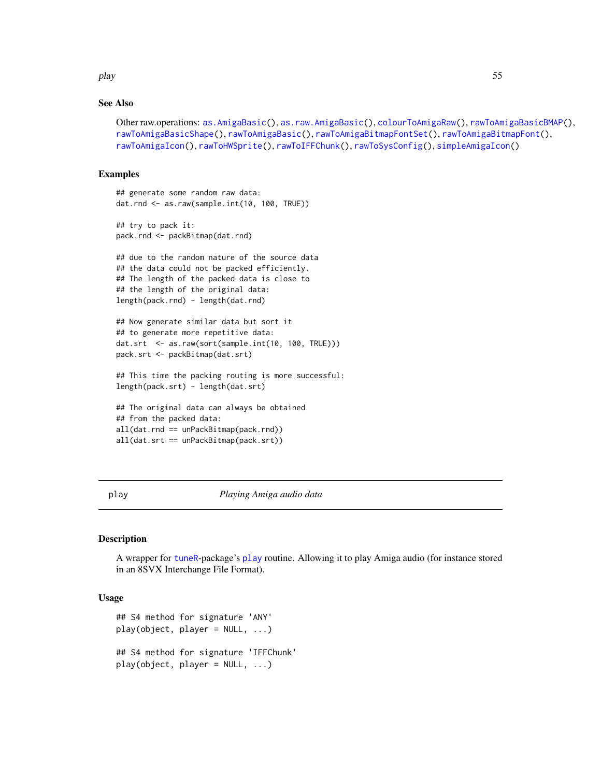play 55

## See Also

```
Other raw.operations: as.AmigaBasic(), as.raw.AmigaBasic(), colourToAmigaRaw(), rawToAmigaBasicBMAP(),
rawToAmigaBasicShape(), rawToAmigaBasic(), rawToAmigaBitmapFontSet(), rawToAmigaBitmapFont(),
rawToAmigaIcon(), rawToHWSprite(), rawToIFFChunk(), rawToSysConfig(), simpleAmigaIcon()
```
#### Examples

```
## generate some random raw data:
dat.rnd <- as.raw(sample.int(10, 100, TRUE))
```
## try to pack it: pack.rnd <- packBitmap(dat.rnd)

```
## due to the random nature of the source data
## the data could not be packed efficiently.
## The length of the packed data is close to
## the length of the original data:
length(pack.rnd) - length(dat.rnd)
```

```
## Now generate similar data but sort it
## to generate more repetitive data:
dat.srt <- as.raw(sort(sample.int(10, 100, TRUE)))
pack.srt <- packBitmap(dat.srt)
```

```
## This time the packing routing is more successful:
length(pack.srt) - length(dat.srt)
```

```
## The original data can always be obtained
## from the packed data:
all(dat.rnd == unPackBitmap(pack.rnd))
all(dat.srt == unPackBitmap(pack.srt))
```
<span id="page-54-0"></span>

play *Playing Amiga audio data*

#### Description

A wrapper for [tuneR](#page-0-0)-package's [play](#page-54-0) routine. Allowing it to play Amiga audio (for instance stored in an 8SVX Interchange File Format).

#### Usage

```
## S4 method for signature 'ANY'
play(object, player = NULL, ...)## S4 method for signature 'IFFChunk'
play(object, player = NULL, ...)
```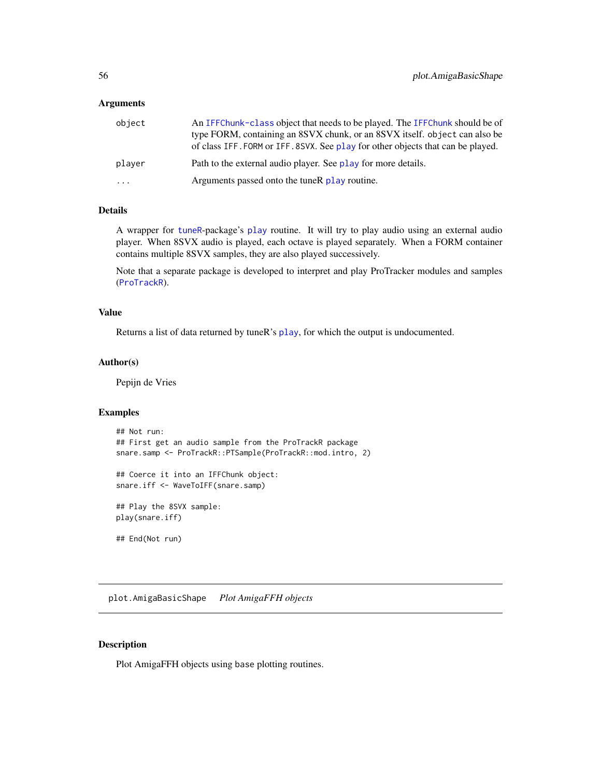#### **Arguments**

| object | An IFFChunk-class object that needs to be played. The IFFChunk should be of<br>type FORM, containing an 8SVX chunk, or an 8SVX itself. object can also be<br>of class IFF. FORM or IFF. 8SVX. See play for other objects that can be played. |
|--------|----------------------------------------------------------------------------------------------------------------------------------------------------------------------------------------------------------------------------------------------|
| player | Path to the external audio player. See play for more details.                                                                                                                                                                                |
| .      | Arguments passed onto the tuneR play routine.                                                                                                                                                                                                |

## Details

A wrapper for [tuneR](#page-0-0)-package's [play](#page-54-0) routine. It will try to play audio using an external audio player. When 8SVX audio is played, each octave is played separately. When a FORM container contains multiple 8SVX samples, they are also played successively.

Note that a separate package is developed to interpret and play ProTracker modules and samples ([ProTrackR](#page-0-0)).

## Value

Returns a list of data returned by tuneR's [play](#page-54-0), for which the output is undocumented.

#### Author(s)

Pepijn de Vries

## Examples

```
## Not run:
## First get an audio sample from the ProTrackR package
snare.samp <- ProTrackR::PTSample(ProTrackR::mod.intro, 2)
## Coerce it into an IFFChunk object:
snare.iff <- WaveToIFF(snare.samp)
## Play the 8SVX sample:
play(snare.iff)
## End(Not run)
```
plot.AmigaBasicShape *Plot AmigaFFH objects*

#### Description

Plot AmigaFFH objects using base plotting routines.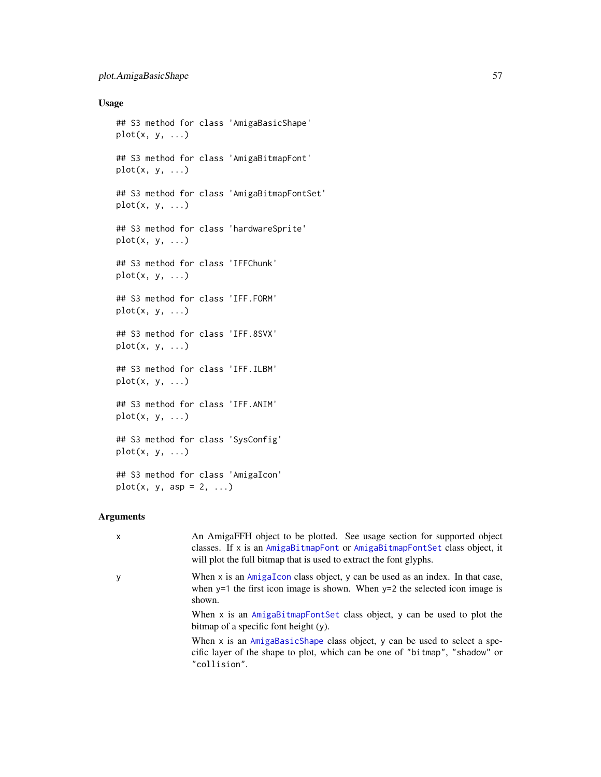## Usage

```
## S3 method for class 'AmigaBasicShape'
plot(x, y, ...)## S3 method for class 'AmigaBitmapFont'
plot(x, y, ...)
## S3 method for class 'AmigaBitmapFontSet'
plot(x, y, ...)## S3 method for class 'hardwareSprite'
plot(x, y, ...)## S3 method for class 'IFFChunk'
plot(x, y, ...)## S3 method for class 'IFF.FORM'
plot(x, y, ...)## S3 method for class 'IFF.8SVX'
plot(x, y, ...)## S3 method for class 'IFF.ILBM'
plot(x, y, ...)## S3 method for class 'IFF.ANIM'
plot(x, y, ...)## S3 method for class 'SysConfig'
plot(x, y, ...)
## S3 method for class 'AmigaIcon'
plot(x, y, asp = 2, ...)
```
## Arguments

| $\mathsf{x}$ | An AmigaFFH object to be plotted. See usage section for supported object<br>classes. If x is an AmigaBitmapFont or AmigaBitmapFontSet class object, it                           |
|--------------|----------------------------------------------------------------------------------------------------------------------------------------------------------------------------------|
|              | will plot the full bitmap that is used to extract the font glyphs.                                                                                                               |
| y            | When $x$ is an $AmigaIcon$ class object, $y$ can be used as an index. In that case,<br>when $y=1$ the first icon image is shown. When $y=2$ the selected icon image is<br>shown. |
|              | When x is an AmigaBitmapFontSet class object, y can be used to plot the<br>bitmap of a specific font height (y).                                                                 |
|              | When x is an AmigaBasicShape class object, y can be used to select a spe-<br>cific layer of the shape to plot, which can be one of "bitmap", "shadow" or<br>"collision".         |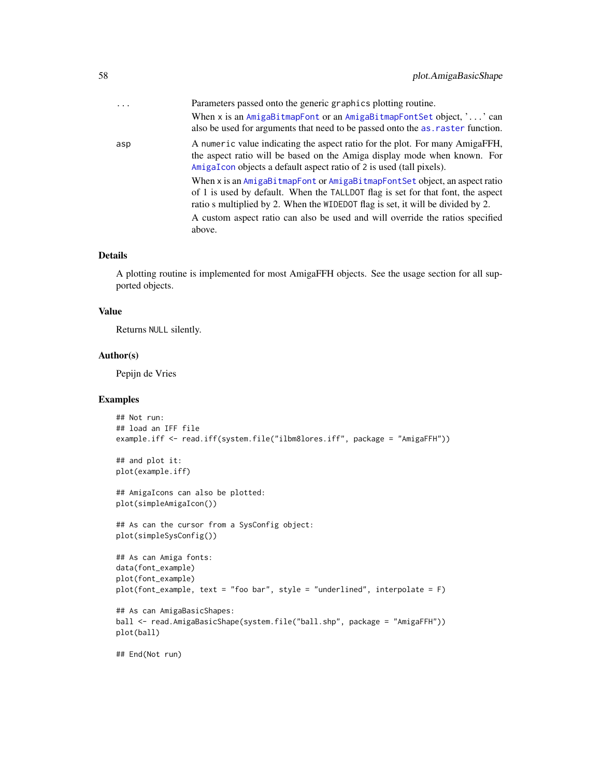| .   | Parameters passed onto the generic graphics plotting routine.<br>When x is an AmigaBitmapFont or an AmigaBitmapFontSet object, '' can<br>also be used for arguments that need to be passed onto the as raster function.                          |
|-----|--------------------------------------------------------------------------------------------------------------------------------------------------------------------------------------------------------------------------------------------------|
| asp | A numeric value indicating the aspect ratio for the plot. For many AmigaFFH,<br>the aspect ratio will be based on the Amiga display mode when known. For<br>AmigaIcon objects a default aspect ratio of 2 is used (tall pixels).                 |
|     | When x is an AmigaBitmapFont or AmigaBitmapFontSet object, an aspect ratio<br>of 1 is used by default. When the TALLDOT flag is set for that font, the aspect<br>ratio s multiplied by 2. When the WIDEDOT flag is set, it will be divided by 2. |
|     | A custom aspect ratio can also be used and will override the ratios specified<br>above.                                                                                                                                                          |

## Details

A plotting routine is implemented for most AmigaFFH objects. See the usage section for all supported objects.

#### Value

Returns NULL silently.

## Author(s)

Pepijn de Vries

```
## Not run:
## load an IFF file
example.iff <- read.iff(system.file("ilbm8lores.iff", package = "AmigaFFH"))
## and plot it:
plot(example.iff)
## AmigaIcons can also be plotted:
plot(simpleAmigaIcon())
## As can the cursor from a SysConfig object:
plot(simpleSysConfig())
## As can Amiga fonts:
data(font_example)
plot(font_example)
plot(font_example, text = "foo bar", style = "underlined", interpolate = F)
## As can AmigaBasicShapes:
ball <- read.AmigaBasicShape(system.file("ball.shp", package = "AmigaFFH"))
plot(ball)
```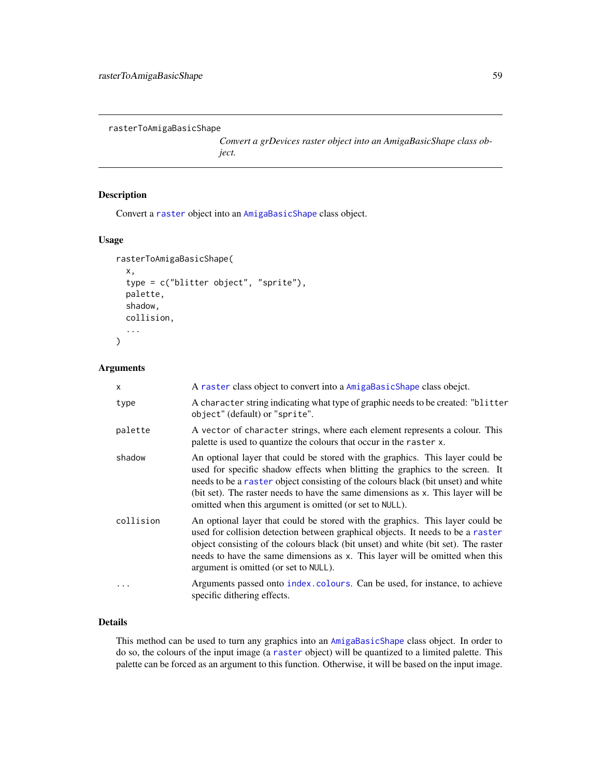```
rasterToAmigaBasicShape
```
*Convert a grDevices raster object into an AmigaBasicShape class object.*

## Description

Convert a [raster](#page-0-0) object into an [AmigaBasicShape](#page-5-0) class object.

## Usage

```
rasterToAmigaBasicShape(
  x,
  type = c("blitter object", "sprite"),
 palette,
  shadow,
 collision,
  ...
)
```
## Arguments

| X         | A raster class object to convert into a AmigaBasicShape class obejct.                                                                                                                                                                                                                                                                                                                              |
|-----------|----------------------------------------------------------------------------------------------------------------------------------------------------------------------------------------------------------------------------------------------------------------------------------------------------------------------------------------------------------------------------------------------------|
| type      | A character string indicating what type of graphic needs to be created: "blitter<br>object" (default) or "sprite".                                                                                                                                                                                                                                                                                 |
| palette   | A vector of character strings, where each element represents a colour. This<br>palette is used to quantize the colours that occur in the raster x.                                                                                                                                                                                                                                                 |
| shadow    | An optional layer that could be stored with the graphics. This layer could be<br>used for specific shadow effects when blitting the graphics to the screen. It<br>needs to be a raster object consisting of the colours black (bit unset) and white<br>(bit set). The raster needs to have the same dimensions as x. This layer will be<br>omitted when this argument is omitted (or set to NULL). |
| collision | An optional layer that could be stored with the graphics. This layer could be<br>used for collision detection between graphical objects. It needs to be a raster<br>object consisting of the colours black (bit unset) and white (bit set). The raster<br>needs to have the same dimensions as x. This layer will be omitted when this<br>argument is omitted (or set to NULL).                    |
| $\ddots$  | Arguments passed onto index.colours. Can be used, for instance, to achieve<br>specific dithering effects.                                                                                                                                                                                                                                                                                          |

## Details

This method can be used to turn any graphics into an [AmigaBasicShape](#page-5-0) class object. In order to do so, the colours of the input image (a [raster](#page-0-0) object) will be quantized to a limited palette. This palette can be forced as an argument to this function. Otherwise, it will be based on the input image.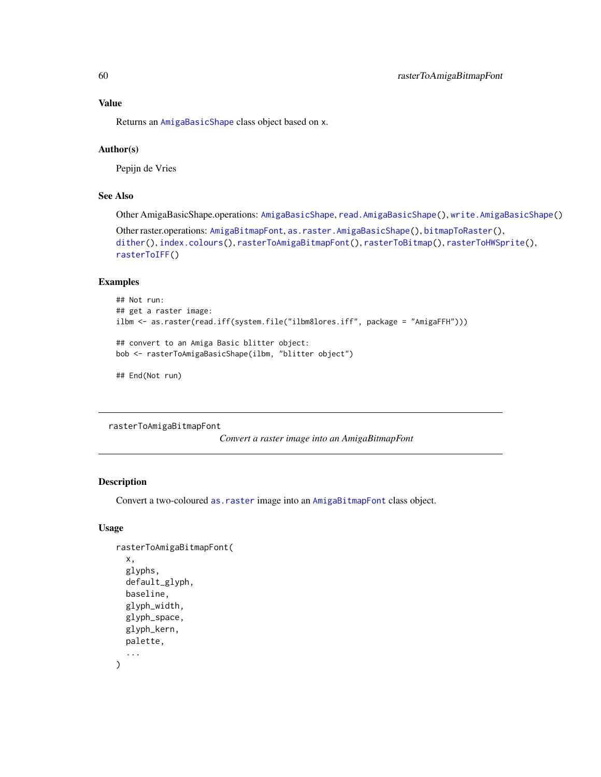Returns an [AmigaBasicShape](#page-5-0) class object based on x.

### Author(s)

Pepijn de Vries

## See Also

Other AmigaBasicShape.operations: [AmigaBasicShape](#page-5-0), [read.AmigaBasicShape\(](#page-82-0)), [write.AmigaBasicShape\(](#page-97-0))

Other raster.operations: [AmigaBitmapFont](#page-6-0), [as.raster.AmigaBasicShape\(](#page-18-0)), [bitmapToRaster\(](#page-23-0)), [dither\(](#page-31-0)), [index.colours\(](#page-48-0)), [rasterToAmigaBitmapFont\(](#page-59-0)), [rasterToBitmap\(](#page-62-0)), [rasterToHWSprite\(](#page-65-0)), [rasterToIFF\(](#page-66-0))

## Examples

```
## Not run:
## get a raster image:
ilbm <- as.raster(read.iff(system.file("ilbm8lores.iff", package = "AmigaFFH")))
## convert to an Amiga Basic blitter object:
bob <- rasterToAmigaBasicShape(ilbm, "blitter object")
```
## End(Not run)

<span id="page-59-0"></span>rasterToAmigaBitmapFont

*Convert a raster image into an AmigaBitmapFont*

## Description

Convert a two-coloured [as.raster](#page-18-1) image into an [AmigaBitmapFont](#page-6-0) class object.

#### Usage

```
rasterToAmigaBitmapFont(
  x,
  glyphs,
  default_glyph,
 baseline,
  glyph_width,
 glyph_space,
 glyph_kern,
 palette,
  ...
)
```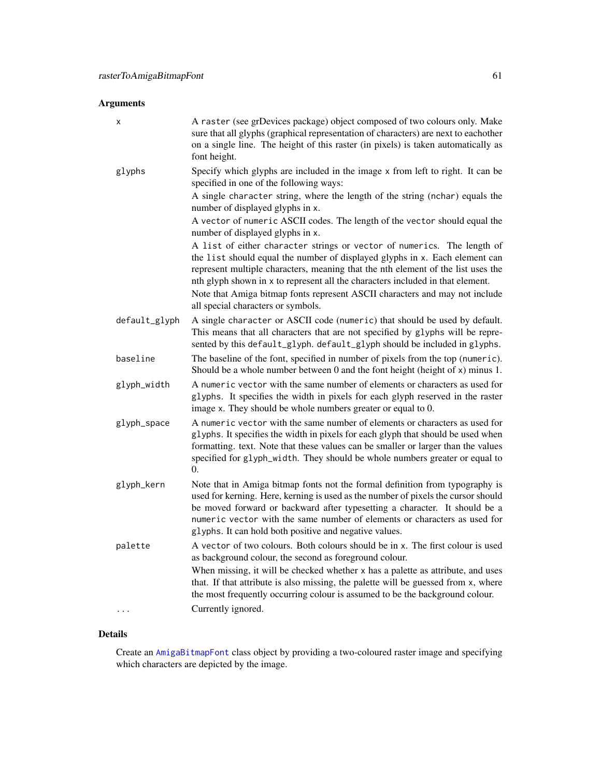## Arguments

| х             | A raster (see grDevices package) object composed of two colours only. Make<br>sure that all glyphs (graphical representation of characters) are next to eachother<br>on a single line. The height of this raster (in pixels) is taken automatically as<br>font height.                                                                                                                                                                            |
|---------------|---------------------------------------------------------------------------------------------------------------------------------------------------------------------------------------------------------------------------------------------------------------------------------------------------------------------------------------------------------------------------------------------------------------------------------------------------|
| glyphs        | Specify which glyphs are included in the image x from left to right. It can be<br>specified in one of the following ways:                                                                                                                                                                                                                                                                                                                         |
|               | A single character string, where the length of the string (nchar) equals the<br>number of displayed glyphs in x.                                                                                                                                                                                                                                                                                                                                  |
|               | A vector of numeric ASCII codes. The length of the vector should equal the<br>number of displayed glyphs in x.                                                                                                                                                                                                                                                                                                                                    |
|               | A list of either character strings or vector of numerics. The length of<br>the list should equal the number of displayed glyphs in x. Each element can<br>represent multiple characters, meaning that the nth element of the list uses the<br>nth glyph shown in x to represent all the characters included in that element.<br>Note that Amiga bitmap fonts represent ASCII characters and may not include<br>all special characters or symbols. |
| default_glyph | A single character or ASCII code (numeric) that should be used by default.<br>This means that all characters that are not specified by glyphs will be repre-<br>sented by this default_glyph. default_glyph should be included in glyphs.                                                                                                                                                                                                         |
| baseline      | The baseline of the font, specified in number of pixels from the top (numeric).<br>Should be a whole number between 0 and the font height (height of x) minus 1.                                                                                                                                                                                                                                                                                  |
| glyph_width   | A numeric vector with the same number of elements or characters as used for<br>glyphs. It specifies the width in pixels for each glyph reserved in the raster<br>image x. They should be whole numbers greater or equal to 0.                                                                                                                                                                                                                     |
| glyph_space   | A numeric vector with the same number of elements or characters as used for<br>glyphs. It specifies the width in pixels for each glyph that should be used when<br>formatting. text. Note that these values can be smaller or larger than the values<br>specified for glyph_width. They should be whole numbers greater or equal to<br>0.                                                                                                         |
| glyph_kern    | Note that in Amiga bitmap fonts not the formal definition from typography is<br>used for kerning. Here, kerning is used as the number of pixels the cursor should<br>be moved forward or backward after typesetting a character. It should be a<br>numeric vector with the same number of elements or characters as used for<br>glyphs. It can hold both positive and negative values.                                                            |
| palette       | A vector of two colours. Both colours should be in x. The first colour is used<br>as background colour, the second as foreground colour.                                                                                                                                                                                                                                                                                                          |
|               | When missing, it will be checked whether x has a palette as attribute, and uses<br>that. If that attribute is also missing, the palette will be guessed from x, where<br>the most frequently occurring colour is assumed to be the background colour.                                                                                                                                                                                             |
|               | Currently ignored.                                                                                                                                                                                                                                                                                                                                                                                                                                |

## Details

Create an [AmigaBitmapFont](#page-6-0) class object by providing a two-coloured raster image and specifying which characters are depicted by the image.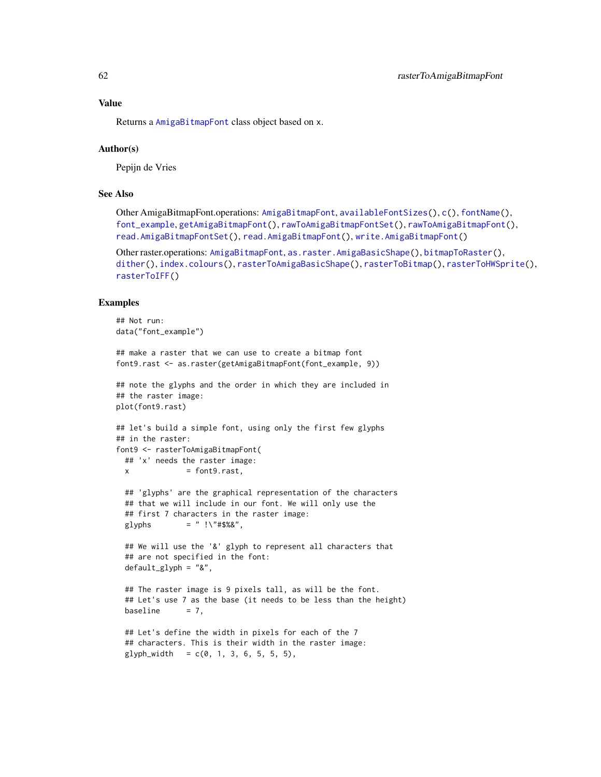Returns a [AmigaBitmapFont](#page-6-0) class object based on x.

#### Author(s)

Pepijn de Vries

## See Also

Other AmigaBitmapFont.operations: [AmigaBitmapFont](#page-6-0), [availableFontSizes\(](#page-22-0)), [c\(](#page-25-0)), [fontName\(](#page-34-0)), [font\\_example](#page-35-0), [getAmigaBitmapFont\(](#page-36-0)), [rawToAmigaBitmapFontSet\(](#page-73-0)), [rawToAmigaBitmapFont\(](#page-72-0)), [read.AmigaBitmapFontSet\(](#page-84-0)), [read.AmigaBitmapFont\(](#page-83-0)), [write.AmigaBitmapFont\(](#page-98-0))

Other raster.operations: [AmigaBitmapFont](#page-6-0), [as.raster.AmigaBasicShape\(](#page-18-0)), [bitmapToRaster\(](#page-23-0)), [dither\(](#page-31-0)), [index.colours\(](#page-48-0)), [rasterToAmigaBasicShape\(](#page-58-0)), [rasterToBitmap\(](#page-62-0)), [rasterToHWSprite\(](#page-65-0)), [rasterToIFF\(](#page-66-0))

```
## Not run:
data("font_example")
## make a raster that we can use to create a bitmap font
font9.rast <- as.raster(getAmigaBitmapFont(font_example, 9))
## note the glyphs and the order in which they are included in
## the raster image:
plot(font9.rast)
## let's build a simple font, using only the first few glyphs
## in the raster:
font9 <- rasterToAmigaBitmapFont(
 ## 'x' needs the raster image:
 x = font9.rast,## 'glyphs' are the graphical representation of the characters
 ## that we will include in our font. We will only use the
 ## first 7 characters in the raster image:
 glyphs = " ! \1, " #$%&",
 ## We will use the '&' glyph to represent all characters that
 ## are not specified in the font:
 default_glyph = "&",
 ## The raster image is 9 pixels tall, as will be the font.
 ## Let's use 7 as the base (it needs to be less than the height)
 baseline = 7,
 ## Let's define the width in pixels for each of the 7
 ## characters. This is their width in the raster image:
 glyph_width = c(0, 1, 3, 6, 5, 5, 5),
```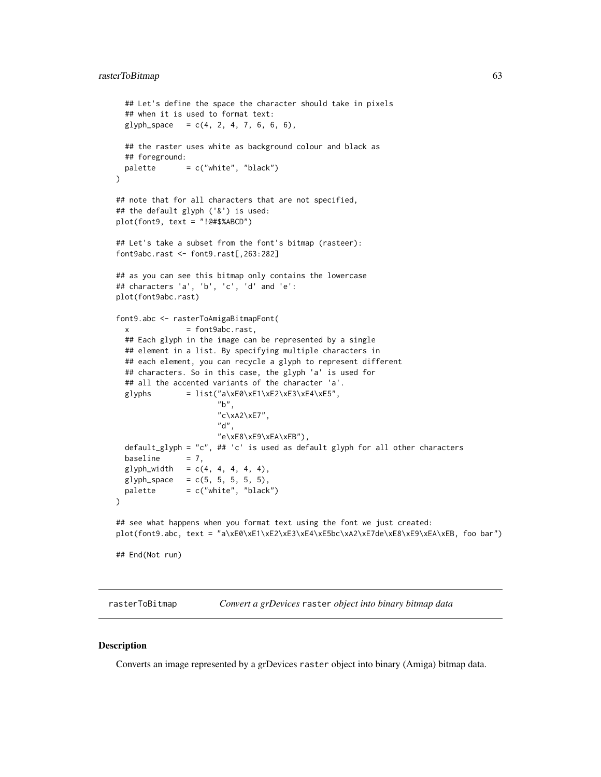```
## Let's define the space the character should take in pixels
 ## when it is used to format text:
 glyph\_space = c(4, 2, 4, 7, 6, 6, 6),## the raster uses white as background colour and black as
 ## foreground:
 palette = c("white", "black")\mathcal{L}## note that for all characters that are not specified,
## the default glyph ('&') is used:
plot(font9, text = "!@#$%ABCD")
## Let's take a subset from the font's bitmap (rasteer):
font9abc.rast <- font9.rast[,263:282]
## as you can see this bitmap only contains the lowercase
## characters 'a', 'b', 'c', 'd' and 'e':
plot(font9abc.rast)
font9.abc <- rasterToAmigaBitmapFont(
 x = font9abc.rast,
 ## Each glyph in the image can be represented by a single
 ## element in a list. By specifying multiple characters in
 ## each element, you can recycle a glyph to represent different
 ## characters. So in this case, the glyph 'a' is used for
 ## all the accented variants of the character 'a'.
 glyphs = list("a\xE0\xE1\xE2\xE3\xE4\xE5",
                       "b",
                       "c\xA2\xE7",
                      "d",
                      "e\xE8\xE9\xEA\xEB"),
 default_glyph = "c", ## 'c' is used as default glyph for all other characters
 baseline = 7,
 glyph_width = c(4, 4, 4, 4, 4),glyph\_space = c(5, 5, 5, 5, 5),
 palette = c("white", "black")\mathcal{L}## see what happens when you format text using the font we just created:
plot(font9.abc, text = "a\xE0\xE1\xE2\xE3\xE4\xE5bc\xA2\xE7de\xE8\xE9\xEA\xEB, foo bar")
## End(Not run)
```
<span id="page-62-0"></span>rasterToBitmap *Convert a grDevices* raster *object into binary bitmap data*

#### **Description**

Converts an image represented by a grDevices raster object into binary (Amiga) bitmap data.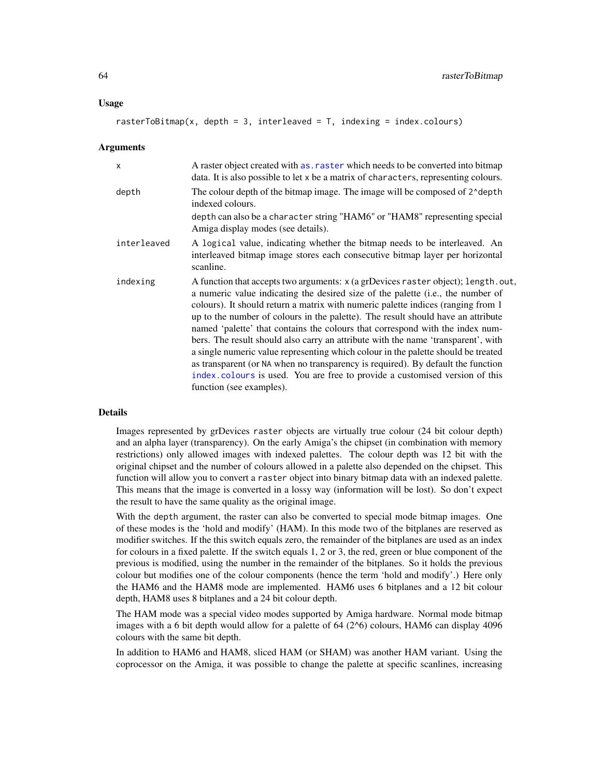#### Usage

rasterToBitmap(x, depth = 3, interleaved = T, indexing = index.colours)

#### Arguments

| $\times$    | A raster object created with as, raster which needs to be converted into bitmap<br>data. It is also possible to let x be a matrix of characters, representing colours.                                                                                                                                                                                                                                                                                                                                                                                                                                                                                                                                                                                                                                 |
|-------------|--------------------------------------------------------------------------------------------------------------------------------------------------------------------------------------------------------------------------------------------------------------------------------------------------------------------------------------------------------------------------------------------------------------------------------------------------------------------------------------------------------------------------------------------------------------------------------------------------------------------------------------------------------------------------------------------------------------------------------------------------------------------------------------------------------|
| depth       | The colour depth of the bitmap image. The image will be composed of 2^depth<br>indexed colours.                                                                                                                                                                                                                                                                                                                                                                                                                                                                                                                                                                                                                                                                                                        |
|             | depth can also be a character string "HAM6" or "HAM8" representing special<br>Amiga display modes (see details).                                                                                                                                                                                                                                                                                                                                                                                                                                                                                                                                                                                                                                                                                       |
| interleaved | A logical value, indicating whether the bitmap needs to be interleaved. An<br>interleaved bitmap image stores each consecutive bitmap layer per horizontal<br>scanline.                                                                                                                                                                                                                                                                                                                                                                                                                                                                                                                                                                                                                                |
| indexing    | A function that accepts two arguments: x (a grDevices raster object); length.out,<br>a numeric value indicating the desired size of the palette (i.e., the number of<br>colours). It should return a matrix with numeric palette indices (ranging from 1<br>up to the number of colours in the palette). The result should have an attribute<br>named 'palette' that contains the colours that correspond with the index num-<br>bers. The result should also carry an attribute with the name 'transparent', with<br>a single numeric value representing which colour in the palette should be treated<br>as transparent (or NA when no transparency is required). By default the function<br>index.colours is used. You are free to provide a customised version of this<br>function (see examples). |

#### Details

Images represented by grDevices raster objects are virtually true colour (24 bit colour depth) and an alpha layer (transparency). On the early Amiga's the chipset (in combination with memory restrictions) only allowed images with indexed palettes. The colour depth was 12 bit with the original chipset and the number of colours allowed in a palette also depended on the chipset. This function will allow you to convert a raster object into binary bitmap data with an indexed palette. This means that the image is converted in a lossy way (information will be lost). So don't expect the result to have the same quality as the original image.

With the depth argument, the raster can also be converted to special mode bitmap images. One of these modes is the 'hold and modify' (HAM). In this mode two of the bitplanes are reserved as modifier switches. If the this switch equals zero, the remainder of the bitplanes are used as an index for colours in a fixed palette. If the switch equals 1, 2 or 3, the red, green or blue component of the previous is modified, using the number in the remainder of the bitplanes. So it holds the previous colour but modifies one of the colour components (hence the term 'hold and modify'.) Here only the HAM6 and the HAM8 mode are implemented. HAM6 uses 6 bitplanes and a 12 bit colour depth, HAM8 uses 8 bitplanes and a 24 bit colour depth.

The HAM mode was a special video modes supported by Amiga hardware. Normal mode bitmap images with a 6 bit depth would allow for a palette of 64 (2^6) colours, HAM6 can display 4096 colours with the same bit depth.

In addition to HAM6 and HAM8, sliced HAM (or SHAM) was another HAM variant. Using the coprocessor on the Amiga, it was possible to change the palette at specific scanlines, increasing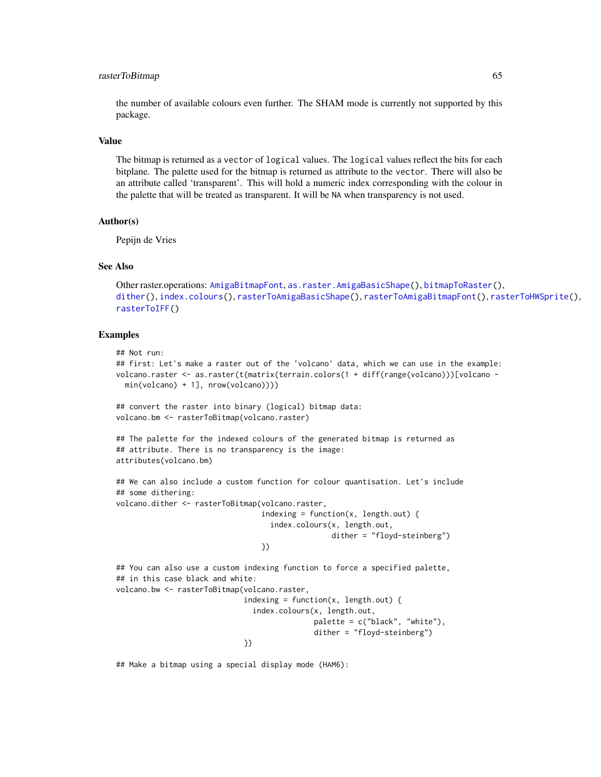#### rasterToBitmap 65

the number of available colours even further. The SHAM mode is currently not supported by this package.

### Value

The bitmap is returned as a vector of logical values. The logical values reflect the bits for each bitplane. The palette used for the bitmap is returned as attribute to the vector. There will also be an attribute called 'transparent'. This will hold a numeric index corresponding with the colour in the palette that will be treated as transparent. It will be NA when transparency is not used.

#### Author(s)

Pepijn de Vries

#### See Also

```
Other raster.operations: AmigaBitmapFont, as.raster.AmigaBasicShape(), bitmapToRaster(),
dither(), index.colours(), rasterToAmigaBasicShape(), rasterToAmigaBitmapFont(), rasterToHWSprite(),
rasterToIFF()
```
#### Examples

```
## Not run:
## first: Let's make a raster out of the 'volcano' data, which we can use in the example:
volcano.raster <- as.raster(t(matrix(terrain.colors(1 + diff(range(volcano)))[volcano -
 min(volcano) + 1], nrow(volcano))))
## convert the raster into binary (logical) bitmap data:
volcano.bm <- rasterToBitmap(volcano.raster)
## The palette for the indexed colours of the generated bitmap is returned as
## attribute. There is no transparency is the image:
attributes(volcano.bm)
## We can also include a custom function for colour quantisation. Let's include
## some dithering:
volcano.dither <- rasterToBitmap(volcano.raster,
                                 indexing = function(x, length.out) {
                                   index.colours(x, length.out,
                                                 dither = "floyd-steinberg")
                                 })
## You can also use a custom indexing function to force a specified palette,
## in this case black and white:
volcano.bw <- rasterToBitmap(volcano.raster,
                             indexing = function(x, length.out) {
                               index.colours(x, length.out,
                                             palette = c("black", "white"),
                                             dither = "floyd-steinberg")
                             })
```
## Make a bitmap using a special display mode (HAM6):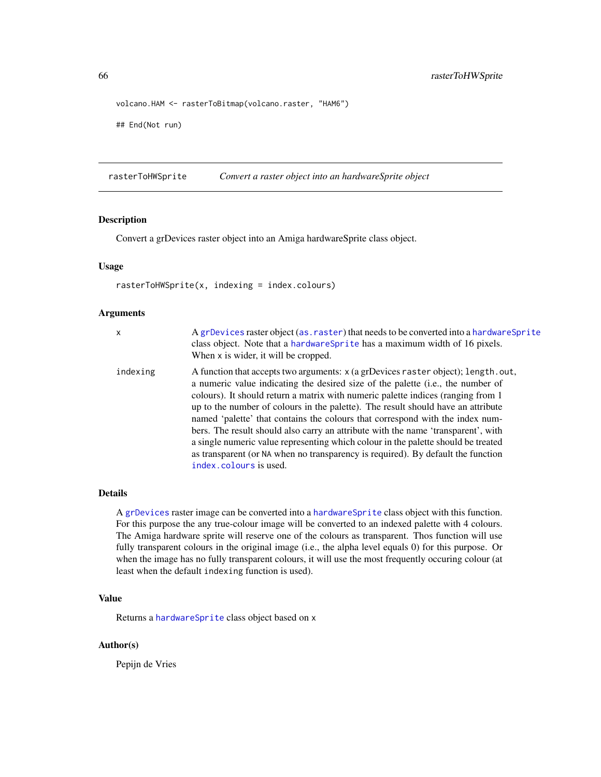```
volcano.HAM <- rasterToBitmap(volcano.raster, "HAM6")
## End(Not run)
```
<span id="page-65-0"></span>rasterToHWSprite *Convert a raster object into an hardwareSprite object*

#### Description

Convert a grDevices raster object into an Amiga hardwareSprite class object.

#### Usage

rasterToHWSprite(x, indexing = index.colours)

### Arguments

| x        | A grDevices raster object (as. raster) that needs to be converted into a hardware Sprite<br>class object. Note that a hardware Sprite has a maximum width of 16 pixels.<br>When x is wider, it will be cropped.                                                                                                                                                                                                                                                                                                                                                                                                                                                                                                       |
|----------|-----------------------------------------------------------------------------------------------------------------------------------------------------------------------------------------------------------------------------------------------------------------------------------------------------------------------------------------------------------------------------------------------------------------------------------------------------------------------------------------------------------------------------------------------------------------------------------------------------------------------------------------------------------------------------------------------------------------------|
| indexing | A function that accepts two arguments: x (a grDevices raster object); length.out,<br>a numeric value indicating the desired size of the palette (i.e., the number of<br>colours). It should return a matrix with numeric palette indices (ranging from 1<br>up to the number of colours in the palette). The result should have an attribute<br>named 'palette' that contains the colours that correspond with the index num-<br>bers. The result should also carry an attribute with the name 'transparent', with<br>a single numeric value representing which colour in the palette should be treated<br>as transparent (or NA when no transparency is required). By default the function<br>index.colours is used. |

#### Details

A [grDevices](#page-0-0) raster image can be converted into a [hardwareSprite](#page-38-0) class object with this function. For this purpose the any true-colour image will be converted to an indexed palette with 4 colours. The Amiga hardware sprite will reserve one of the colours as transparent. Thos function will use fully transparent colours in the original image (i.e., the alpha level equals 0) for this purpose. Or when the image has no fully transparent colours, it will use the most frequently occuring colour (at least when the default indexing function is used).

## Value

Returns a [hardwareSprite](#page-38-0) class object based on x

#### Author(s)

Pepijn de Vries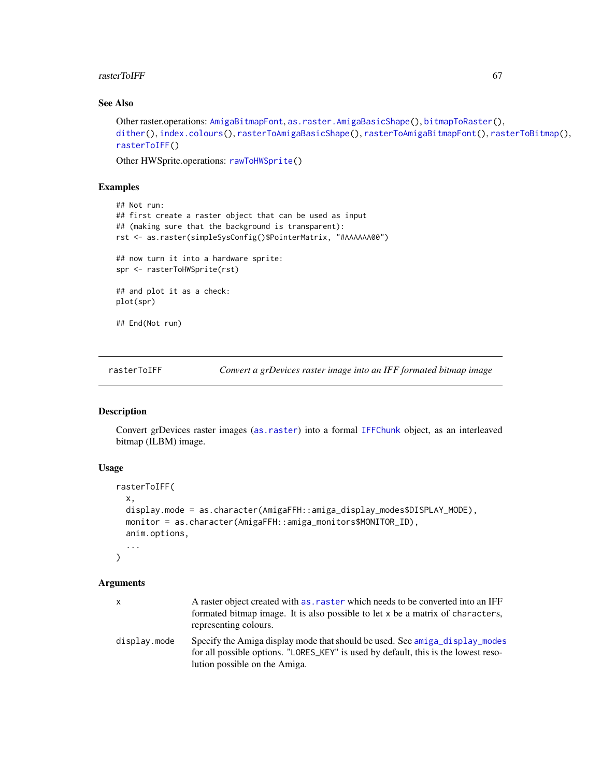#### rasterToIFF 67

## See Also

```
Other raster.operations: AmigaBitmapFont, as.raster.AmigaBasicShape(), bitmapToRaster(),
dither(), index.colours(), rasterToAmigaBasicShape(), rasterToAmigaBitmapFont(), rasterToBitmap(),
rasterToIFF()
```
Other HWSprite.operations: [rawToHWSprite\(](#page-75-0))

## Examples

```
## Not run:
## first create a raster object that can be used as input
## (making sure that the background is transparent):
rst <- as.raster(simpleSysConfig()$PointerMatrix, "#AAAAAA00")
## now turn it into a hardware sprite:
spr <- rasterToHWSprite(rst)
## and plot it as a check:
plot(spr)
## End(Not run)
```
<span id="page-66-0"></span>rasterToIFF *Convert a grDevices raster image into an IFF formated bitmap image*

#### Description

Convert grDevices raster images ([as.raster](#page-18-1)) into a formal [IFFChunk](#page-41-0) object, as an interleaved bitmap (ILBM) image.

#### Usage

```
rasterToIFF(
 x,
 display.mode = as.character(AmigaFFH::amiga_display_modes$DISPLAY_MODE),
 monitor = as.character(AmigaFFH::amiga_monitors$MONITOR_ID),
  anim.options,
  ...
\lambda
```
#### Arguments

| x            | A raster object created with as, raster which needs to be converted into an IFF<br>formated bitmap image. It is also possible to let x be a matrix of characters,<br>representing colours.         |
|--------------|----------------------------------------------------------------------------------------------------------------------------------------------------------------------------------------------------|
| display.mode | Specify the Amiga display mode that should be used. See amiga_display_modes<br>for all possible options. "LORES_KEY" is used by default, this is the lowest reso-<br>lution possible on the Amiga. |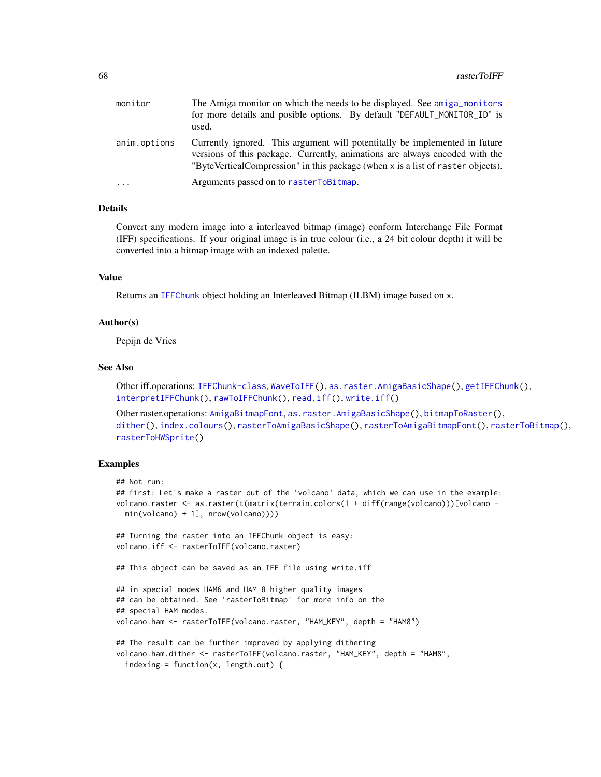| monitor      | The Amiga monitor on which the needs to be displayed. See amiga monitors<br>for more details and posible options. By default "DEFAULT_MONITOR_ID" is<br>used.                                                                                 |
|--------------|-----------------------------------------------------------------------------------------------------------------------------------------------------------------------------------------------------------------------------------------------|
| anim.options | Currently ignored. This argument will potentitally be implemented in future<br>versions of this package. Currently, animations are always encoded with the<br>"ByteVerticalCompression" in this package (when x is a list of raster objects). |
| $\cdots$     | Arguments passed on to rasterToBitmap.                                                                                                                                                                                                        |

#### Details

Convert any modern image into a interleaved bitmap (image) conform Interchange File Format (IFF) specifications. If your original image is in true colour (i.e., a 24 bit colour depth) it will be converted into a bitmap image with an indexed palette.

#### Value

Returns an [IFFChunk](#page-41-0) object holding an Interleaved Bitmap (ILBM) image based on x.

#### Author(s)

Pepijn de Vries

#### See Also

Other iff.operations: [IFFChunk-class](#page-40-0), [WaveToIFF\(](#page-94-0)), [as.raster.AmigaBasicShape\(](#page-18-0)), [getIFFChunk\(](#page-37-0)), [interpretIFFChunk\(](#page-50-0)), [rawToIFFChunk\(](#page-77-0)), [read.iff\(](#page-87-0)), [write.iff\(](#page-101-0))

```
Other raster.operations: AmigaBitmapFont, as.raster.AmigaBasicShape(), bitmapToRaster(),
dither(), index.colours(), rasterToAmigaBasicShape(), rasterToAmigaBitmapFont(), rasterToBitmap(),
rasterToHWSprite()
```

```
## Not run:
## first: Let's make a raster out of the 'volcano' data, which we can use in the example:
volcano.raster <- as.raster(t(matrix(terrain.colors(1 + diff(range(volcano)))[volcano -
 min(volcano) + 1], nrow(volcano))))
## Turning the raster into an IFFChunk object is easy:
volcano.iff <- rasterToIFF(volcano.raster)
## This object can be saved as an IFF file using write.iff
## in special modes HAM6 and HAM 8 higher quality images
## can be obtained. See 'rasterToBitmap' for more info on the
## special HAM modes.
volcano.ham <- rasterToIFF(volcano.raster, "HAM_KEY", depth = "HAM8")
## The result can be further improved by applying dithering
volcano.ham.dither <- rasterToIFF(volcano.raster, "HAM_KEY", depth = "HAM8",
 indexing = function(x, length.out) {
```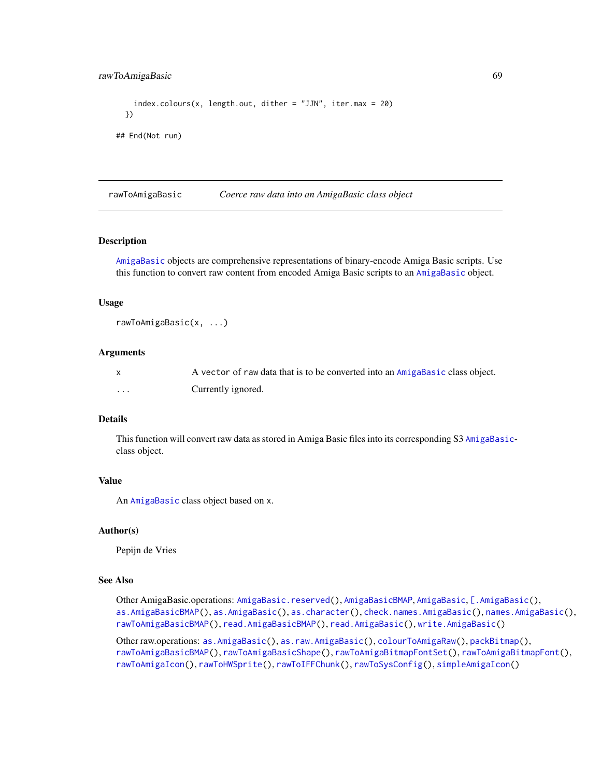## rawToAmigaBasic 69

```
index.colours(x, length.out, dither = "JJN", iter.max = 20)})
## End(Not run)
```
<span id="page-68-0"></span>rawToAmigaBasic *Coerce raw data into an AmigaBasic class object*

## Description

[AmigaBasic](#page-2-0) objects are comprehensive representations of binary-encode Amiga Basic scripts. Use this function to convert raw content from encoded Amiga Basic scripts to an [AmigaBasic](#page-2-0) object.

#### Usage

```
rawToAmigaBasic(x, ...)
```
#### **Arguments**

|   | A vector of raw data that is to be converted into an AmigaBasic class object. |
|---|-------------------------------------------------------------------------------|
| . | Currently ignored.                                                            |

#### Details

This function will convert raw data as stored in Amiga Basic files into its corresponding S3 [AmigaBasic](#page-2-0)class object.

## Value

An [AmigaBasic](#page-2-0) class object based on x.

#### Author(s)

Pepijn de Vries

### See Also

Other AmigaBasic.operations: [AmigaBasic.reserved\(](#page-4-0)), [AmigaBasicBMAP](#page-4-1), [AmigaBasic](#page-2-0), [\[.AmigaBasic\(](#page-103-0)), [as.AmigaBasicBMAP\(](#page-15-0)), [as.AmigaBasic\(](#page-14-0)), [as.character\(](#page-17-0)), [check.names.AmigaBasic\(](#page-26-0)), [names.AmigaBasic\(](#page-51-0)), [rawToAmigaBasicBMAP\(](#page-69-0)), [read.AmigaBasicBMAP\(](#page-80-0)), [read.AmigaBasic\(](#page-79-0)), [write.AmigaBasic\(](#page-96-0))

Other raw.operations: [as.AmigaBasic\(](#page-14-0)), [as.raw.AmigaBasic\(](#page-20-0)), [colourToAmigaRaw\(](#page-28-0)), [packBitmap\(](#page-53-0)), [rawToAmigaBasicBMAP\(](#page-69-0)), [rawToAmigaBasicShape\(](#page-70-0)), [rawToAmigaBitmapFontSet\(](#page-73-0)), [rawToAmigaBitmapFont\(](#page-72-0)), [rawToAmigaIcon\(](#page-74-0)), [rawToHWSprite\(](#page-75-0)), [rawToIFFChunk\(](#page-77-0)), [rawToSysConfig\(](#page-78-0)), [simpleAmigaIcon\(](#page-89-0))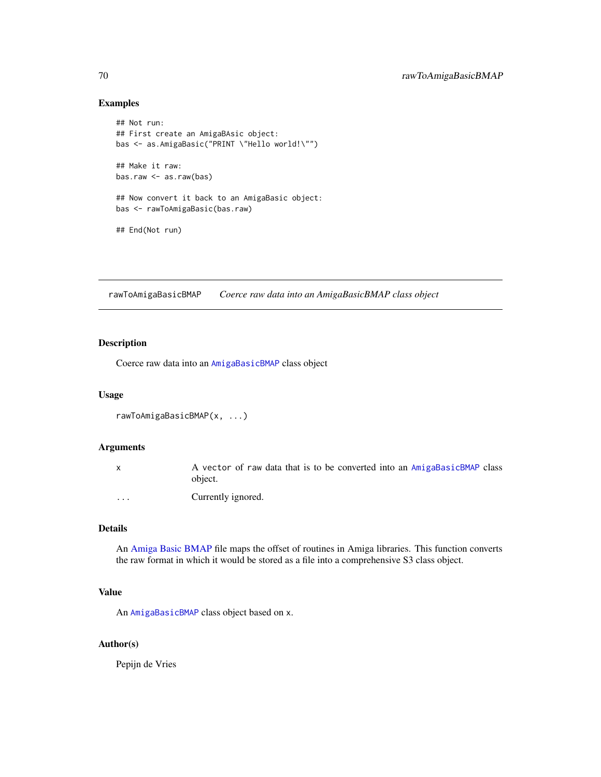## Examples

```
## Not run:
## First create an AmigaBAsic object:
bas <- as.AmigaBasic("PRINT \"Hello world!\"")
## Make it raw:
bas.raw <- as.raw(bas)
## Now convert it back to an AmigaBasic object:
bas <- rawToAmigaBasic(bas.raw)
## End(Not run)
```
<span id="page-69-0"></span>rawToAmigaBasicBMAP *Coerce raw data into an AmigaBasicBMAP class object*

## Description

Coerce raw data into an [AmigaBasicBMAP](#page-4-1) class object

## Usage

```
rawToAmigaBasicBMAP(x, ...)
```
## Arguments

|          | A vector of raw data that is to be converted into an AmigaBasicBMAP class<br>object. |
|----------|--------------------------------------------------------------------------------------|
| $\cdots$ | Currently ignored.                                                                   |

## Details

An [Amiga Basic BMAP](#page-0-0) file maps the offset of routines in Amiga libraries. This function converts the raw format in which it would be stored as a file into a comprehensive S3 class object.

#### Value

An [AmigaBasicBMAP](#page-4-1) class object based on x.

#### Author(s)

Pepijn de Vries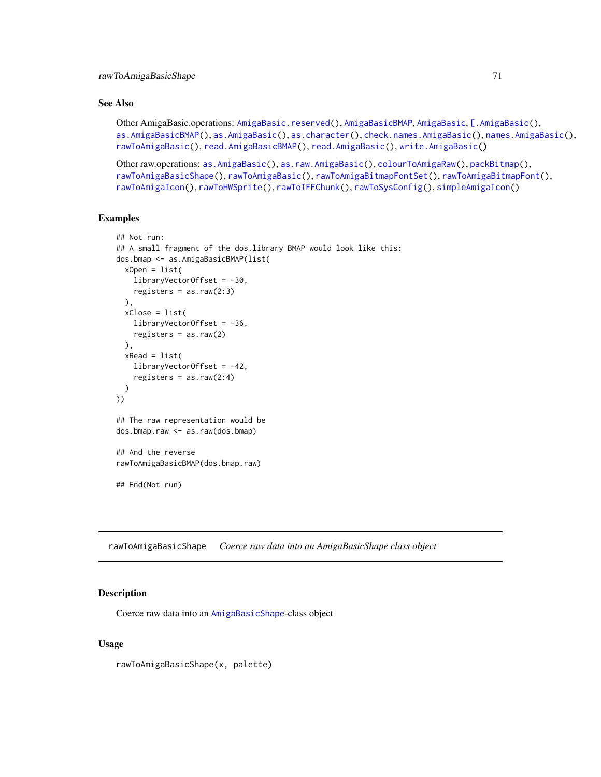## See Also

```
Other AmigaBasic.operations: AmigaBasic.reserved(), AmigaBasicBMAP, AmigaBasic, [.AmigaBasic(),
as.AmigaBasicBMAP(), as.AmigaBasic(), as.character(), check.names.AmigaBasic(), names.AmigaBasic(),
rawToAmigaBasic(), read.AmigaBasicBMAP(), read.AmigaBasic(), write.AmigaBasic()
```

```
Other raw.operations: as.AmigaBasic(), as.raw.AmigaBasic(), colourToAmigaRaw(), packBitmap(),
rawToAmigaBasicShape(), rawToAmigaBasic(), rawToAmigaBitmapFontSet(), rawToAmigaBitmapFont(),
rawToAmigaIcon(), rawToHWSprite(), rawToIFFChunk(), rawToSysConfig(), simpleAmigaIcon()
```
#### Examples

```
## Not run:
## A small fragment of the dos.library BMAP would look like this:
dos.bmap <- as.AmigaBasicBMAP(list(
 xOpen = list(
   libraryVectorOffset = -30,
   registers = as.raw(2:3)
 ),
 xClose = list(
   libraryVectorOffset = -36,
   registers = as.raw(2)
 ),
 xRead = list(libraryVectorOffset = -42,
    registers = as.raw(2:4))
))
## The raw representation would be
dos.bmap.raw <- as.raw(dos.bmap)
## And the reverse
rawToAmigaBasicBMAP(dos.bmap.raw)
## End(Not run)
```
<span id="page-70-0"></span>rawToAmigaBasicShape *Coerce raw data into an AmigaBasicShape class object*

## Description

Coerce raw data into an [AmigaBasicShape](#page-5-0)-class object

#### Usage

rawToAmigaBasicShape(x, palette)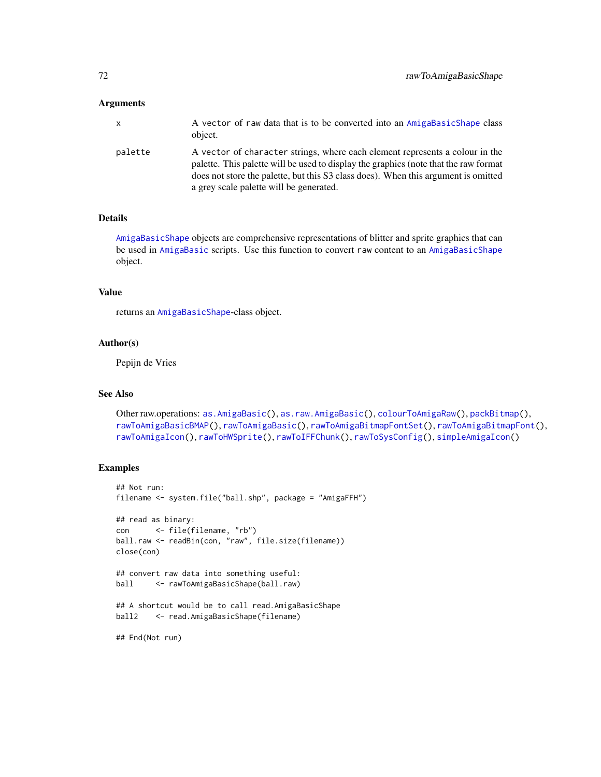#### **Arguments**

| x       | A vector of raw data that is to be converted into an AmigaBasicShape class<br>object.                                                                                                                                                                                                                 |
|---------|-------------------------------------------------------------------------------------------------------------------------------------------------------------------------------------------------------------------------------------------------------------------------------------------------------|
| palette | A vector of character strings, where each element represents a colour in the<br>palette. This palette will be used to display the graphics (note that the raw format<br>does not store the palette, but this S3 class does). When this argument is omitted<br>a grey scale palette will be generated. |

## Details

[AmigaBasicShape](#page-5-0) objects are comprehensive representations of blitter and sprite graphics that can be used in [AmigaBasic](#page-2-0) scripts. Use this function to convert raw content to an [AmigaBasicShape](#page-5-0) object.

## Value

returns an [AmigaBasicShape](#page-5-0)-class object.

#### Author(s)

Pepijn de Vries

## See Also

```
Other raw.operations: as.AmigaBasic(), as.raw.AmigaBasic(), colourToAmigaRaw(), packBitmap(),
rawToAmigaBasicBMAP(), rawToAmigaBasic(), rawToAmigaBitmapFontSet(), rawToAmigaBitmapFont(),
rawToAmigaIcon(), rawToHWSprite(), rawToIFFChunk(), rawToSysConfig(), simpleAmigaIcon()
```

```
## Not run:
filename <- system.file("ball.shp", package = "AmigaFFH")
## read as binary:
con <- file(filename, "rb")
ball.raw <- readBin(con, "raw", file.size(filename))
close(con)
## convert raw data into something useful:
ball <- rawToAmigaBasicShape(ball.raw)
## A shortcut would be to call read.AmigaBasicShape
ball2 <- read.AmigaBasicShape(filename)
## End(Not run)
```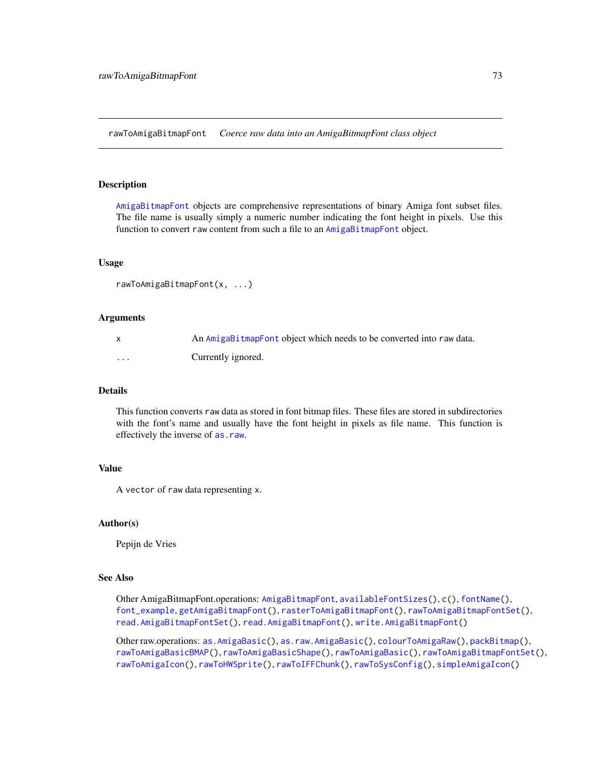<span id="page-72-1"></span><span id="page-72-0"></span>rawToAmigaBitmapFont *Coerce raw data into an AmigaBitmapFont class object*

#### **Description**

[AmigaBitmapFont](#page-6-0) objects are comprehensive representations of binary Amiga font subset files. The file name is usually simply a numeric number indicating the font height in pixels. Use this function to convert raw content from such a file to an [AmigaBitmapFont](#page-6-0) object.

# Usage

```
rawToAmigaBitmapFont(x, ...)
```
#### Arguments

|   | An AmigaBitmapFont object which needs to be converted into raw data. |
|---|----------------------------------------------------------------------|
| . | Currently ignored.                                                   |

#### Details

This function converts raw data as stored in font bitmap files. These files are stored in subdirectories with the font's name and usually have the font height in pixels as file name. This function is effectively the inverse of [as.raw](#page-20-0).

#### Value

A vector of raw data representing x.

# Author(s)

Pepijn de Vries

# See Also

Other AmigaBitmapFont.operations: [AmigaBitmapFont](#page-6-0), [availableFontSizes\(](#page-22-0)), [c\(](#page-25-0)), [fontName\(](#page-34-0)), [font\\_example](#page-35-0), [getAmigaBitmapFont\(](#page-36-0)), [rasterToAmigaBitmapFont\(](#page-59-0)), [rawToAmigaBitmapFontSet\(](#page-73-0)), [read.AmigaBitmapFontSet\(](#page-84-0)), [read.AmigaBitmapFont\(](#page-83-0)), [write.AmigaBitmapFont\(](#page-98-0))

Other raw.operations: [as.AmigaBasic\(](#page-14-0)), [as.raw.AmigaBasic\(](#page-20-1)), [colourToAmigaRaw\(](#page-28-0)), [packBitmap\(](#page-53-0)), [rawToAmigaBasicBMAP\(](#page-69-0)), [rawToAmigaBasicShape\(](#page-70-0)), [rawToAmigaBasic\(](#page-68-0)), [rawToAmigaBitmapFontSet\(](#page-73-0)), [rawToAmigaIcon\(](#page-74-0)), [rawToHWSprite\(](#page-75-0)), [rawToIFFChunk\(](#page-77-0)), [rawToSysConfig\(](#page-78-0)), [simpleAmigaIcon\(](#page-89-0))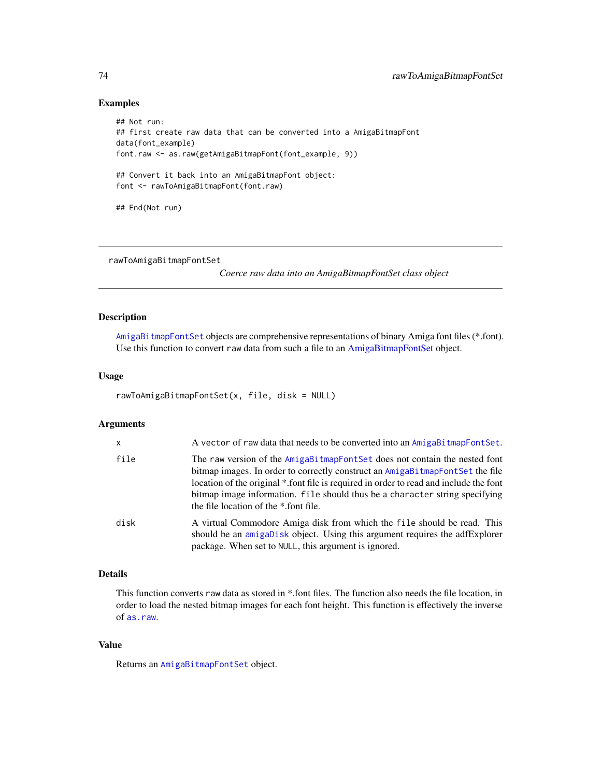# <span id="page-73-1"></span>Examples

```
## Not run:
## first create raw data that can be converted into a AmigaBitmapFont
data(font_example)
font.raw <- as.raw(getAmigaBitmapFont(font_example, 9))
## Convert it back into an AmigaBitmapFont object:
font <- rawToAmigaBitmapFont(font.raw)
## End(Not run)
```
<span id="page-73-0"></span>rawToAmigaBitmapFontSet

*Coerce raw data into an AmigaBitmapFontSet class object*

# Description

[AmigaBitmapFontSet](#page-6-1) objects are comprehensive representations of binary Amiga font files (\*.font). Use this function to convert raw data from such a file to an [AmigaBitmapFontSet](#page-6-1) object.

# Usage

```
rawToAmigaBitmapFontSet(x, file, disk = NULL)
```
#### Arguments

| $\mathsf{x}$ | A vector of raw data that needs to be converted into an AmigaBitmapFontSet.                                                                                                                                                                                                                                                                                                   |
|--------------|-------------------------------------------------------------------------------------------------------------------------------------------------------------------------------------------------------------------------------------------------------------------------------------------------------------------------------------------------------------------------------|
| file         | The raw version of the AmigaBitmapFontSet does not contain the nested font<br>bitmap images. In order to correctly construct an AmigaBitmapFontSet the file<br>location of the original *.font file is required in order to read and include the font<br>bitmap image information. file should thus be a character string specifying<br>the file location of the *.font file. |
| disk         | A virtual Commodore Amiga disk from which the file should be read. This<br>should be an amigabisk object. Using this argument requires the adfExplorer<br>package. When set to NULL, this argument is ignored.                                                                                                                                                                |

# Details

This function converts raw data as stored in \*.font files. The function also needs the file location, in order to load the nested bitmap images for each font height. This function is effectively the inverse of [as.raw](#page-20-0).

# Value

Returns an [AmigaBitmapFontSet](#page-6-1) object.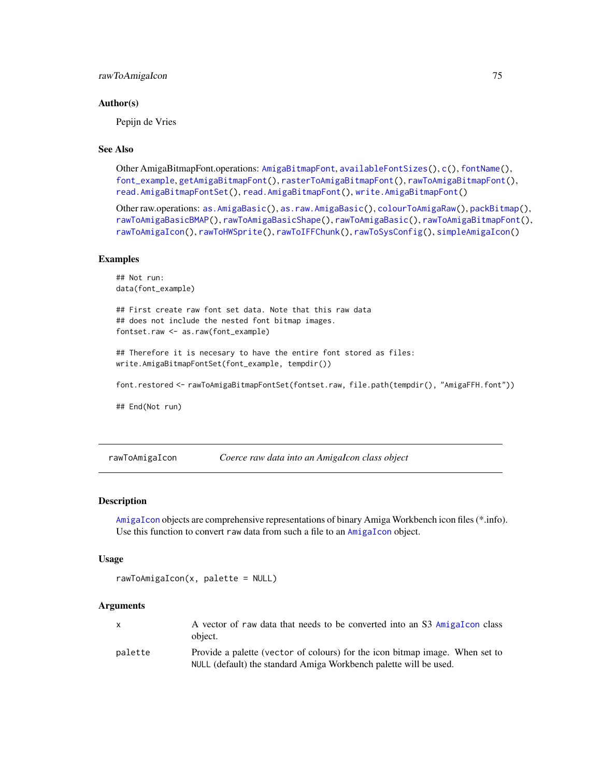# <span id="page-74-1"></span>Author(s)

Pepijn de Vries

# See Also

Other AmigaBitmapFont.operations: [AmigaBitmapFont](#page-6-0), [availableFontSizes\(](#page-22-0)), [c\(](#page-25-0)), [fontName\(](#page-34-0)), [font\\_example](#page-35-0), [getAmigaBitmapFont\(](#page-36-0)), [rasterToAmigaBitmapFont\(](#page-59-0)), [rawToAmigaBitmapFont\(](#page-72-0)), [read.AmigaBitmapFontSet\(](#page-84-0)), [read.AmigaBitmapFont\(](#page-83-0)), [write.AmigaBitmapFont\(](#page-98-0))

Other raw.operations: [as.AmigaBasic\(](#page-14-0)), [as.raw.AmigaBasic\(](#page-20-1)), [colourToAmigaRaw\(](#page-28-0)), [packBitmap\(](#page-53-0)), [rawToAmigaBasicBMAP\(](#page-69-0)), [rawToAmigaBasicShape\(](#page-70-0)), [rawToAmigaBasic\(](#page-68-0)), [rawToAmigaBitmapFont\(](#page-72-0)), [rawToAmigaIcon\(](#page-74-0)), [rawToHWSprite\(](#page-75-0)), [rawToIFFChunk\(](#page-77-0)), [rawToSysConfig\(](#page-78-0)), [simpleAmigaIcon\(](#page-89-0))

# Examples

```
## Not run:
data(font_example)
## First create raw font set data. Note that this raw data
## does not include the nested font bitmap images.
fontset.raw <- as.raw(font_example)
## Therefore it is necesary to have the entire font stored as files:
write.AmigaBitmapFontSet(font_example, tempdir())
```
font.restored <- rawToAmigaBitmapFontSet(fontset.raw, file.path(tempdir(), "AmigaFFH.font"))

## End(Not run)

<span id="page-74-0"></span>rawToAmigaIcon *Coerce raw data into an AmigaIcon class object*

# **Description**

[AmigaIcon](#page-10-0) objects are comprehensive representations of binary Amiga Workbench icon files (\*.info). Use this function to convert raw data from such a file to an [AmigaIcon](#page-10-0) object.

#### Usage

```
rawToAmigaIcon(x, palette = NULL)
```
#### Arguments

|         | A vector of raw data that needs to be converted into an S3 AmigaTcon class<br>object.                                                             |
|---------|---------------------------------------------------------------------------------------------------------------------------------------------------|
| palette | Provide a palette (vector of colours) for the icon bitmap image. When set to<br>NULL (default) the standard Amiga Workbench palette will be used. |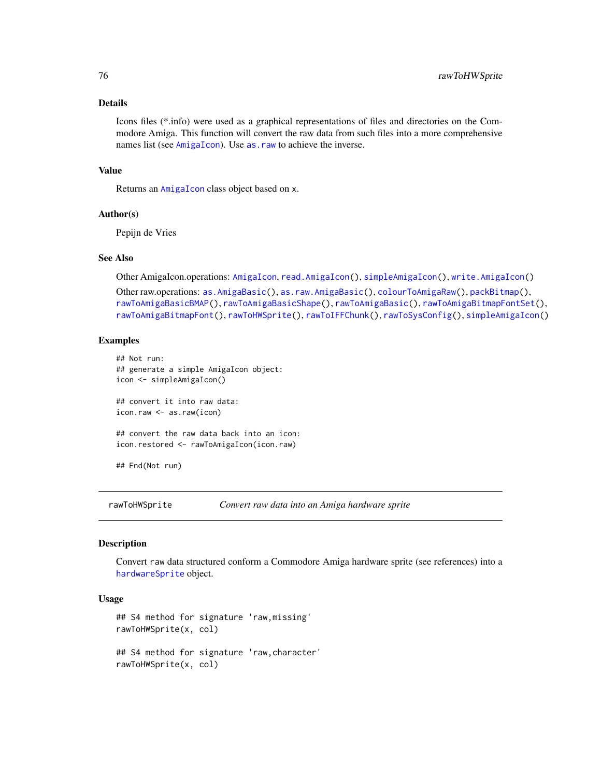# Details

Icons files (\*.info) were used as a graphical representations of files and directories on the Commodore Amiga. This function will convert the raw data from such files into a more comprehensive names list (see [AmigaIcon](#page-10-0)). Use as . raw to achieve the inverse.

# Value

Returns an [AmigaIcon](#page-10-0) class object based on x.

# Author(s)

Pepijn de Vries

# See Also

Other AmigaIcon.operations: [AmigaIcon](#page-10-0), [read.AmigaIcon\(](#page-86-0)), [simpleAmigaIcon\(](#page-89-0)), [write.AmigaIcon\(](#page-100-0))

```
Other raw.operations: as.AmigaBasic(), as.raw.AmigaBasic(), colourToAmigaRaw(), packBitmap(),
rawToAmigaBasicBMAP(), rawToAmigaBasicShape(), rawToAmigaBasic(), rawToAmigaBitmapFontSet(),
rawToAmigaBitmapFont(), rawToHWSprite(), rawToIFFChunk(), rawToSysConfig(), simpleAmigaIcon()
```
# Examples

```
## Not run:
## generate a simple AmigaIcon object:
icon <- simpleAmigaIcon()
## convert it into raw data:
icon.raw <- as.raw(icon)
## convert the raw data back into an icon:
icon.restored <- rawToAmigaIcon(icon.raw)
## End(Not run)
```
<span id="page-75-0"></span>rawToHWSprite *Convert raw data into an Amiga hardware sprite*

# Description

Convert raw data structured conform a Commodore Amiga hardware sprite (see references) into a [hardwareSprite](#page-38-0) object.

# Usage

```
## S4 method for signature 'raw,missing'
rawToHWSprite(x, col)
## S4 method for signature 'raw,character'
rawToHWSprite(x, col)
```
<span id="page-75-1"></span>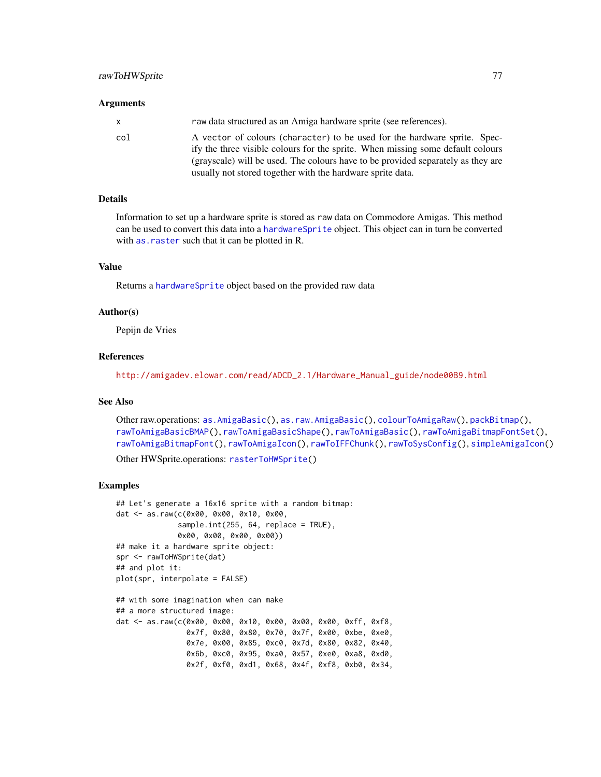#### <span id="page-76-0"></span>Arguments

| X.  | raw data structured as an Amiga hardware sprite (see references).                                                                                            |
|-----|--------------------------------------------------------------------------------------------------------------------------------------------------------------|
| col | A vector of colours (character) to be used for the hardware sprite. Spec-<br>ify the three visible colours for the sprite. When missing some default colours |
|     | (grayscale) will be used. The colours have to be provided separately as they are                                                                             |
|     | usually not stored together with the hardware sprite data.                                                                                                   |

#### Details

Information to set up a hardware sprite is stored as raw data on Commodore Amigas. This method can be used to convert this data into a [hardwareSprite](#page-38-0) object. This object can in turn be converted with [as.raster](#page-18-0) such that it can be plotted in R.

#### Value

Returns a [hardwareSprite](#page-38-0) object based on the provided raw data

#### Author(s)

Pepijn de Vries

# References

[http://amigadev.elowar.com/read/ADCD\\_2.1/Hardware\\_Manual\\_guide/node00B9.html](http://amigadev.elowar.com/read/ADCD_2.1/Hardware_Manual_guide/node00B9.html)

# See Also

Other raw.operations: [as.AmigaBasic\(](#page-14-0)), [as.raw.AmigaBasic\(](#page-20-1)), [colourToAmigaRaw\(](#page-28-0)), [packBitmap\(](#page-53-0)), [rawToAmigaBasicBMAP\(](#page-69-0)), [rawToAmigaBasicShape\(](#page-70-0)), [rawToAmigaBasic\(](#page-68-0)), [rawToAmigaBitmapFontSet\(](#page-73-0)), [rawToAmigaBitmapFont\(](#page-72-0)), [rawToAmigaIcon\(](#page-74-0)), [rawToIFFChunk\(](#page-77-0)), [rawToSysConfig\(](#page-78-0)), [simpleAmigaIcon\(](#page-89-0))

Other HWSprite.operations: [rasterToHWSprite\(](#page-65-0))

# Examples

```
## Let's generate a 16x16 sprite with a random bitmap:
dat <- as.raw(c(0x00, 0x00, 0x10, 0x00,
              sample.int(255, 64, replace = TRUE),
              0x00, 0x00, 0x00, 0x00))
## make it a hardware sprite object:
spr <- rawToHWSprite(dat)
## and plot it:
plot(spr, interpolate = FALSE)
## with some imagination when can make
## a more structured image:
dat <- as.raw(c(0x00, 0x00, 0x10, 0x00, 0x00, 0x00, 0xff, 0xf8,
                0x7f, 0x80, 0x80, 0x70, 0x7f, 0x00, 0xbe, 0xe0,
                0x7e, 0x00, 0x85, 0xc0, 0x7d, 0x80, 0x82, 0x40,
                0x6b, 0xc0, 0x95, 0xa0, 0x57, 0xe0, 0xa8, 0xd0,
                0x2f, 0xf0, 0xd1, 0x68, 0x4f, 0xf8, 0xb0, 0x34,
```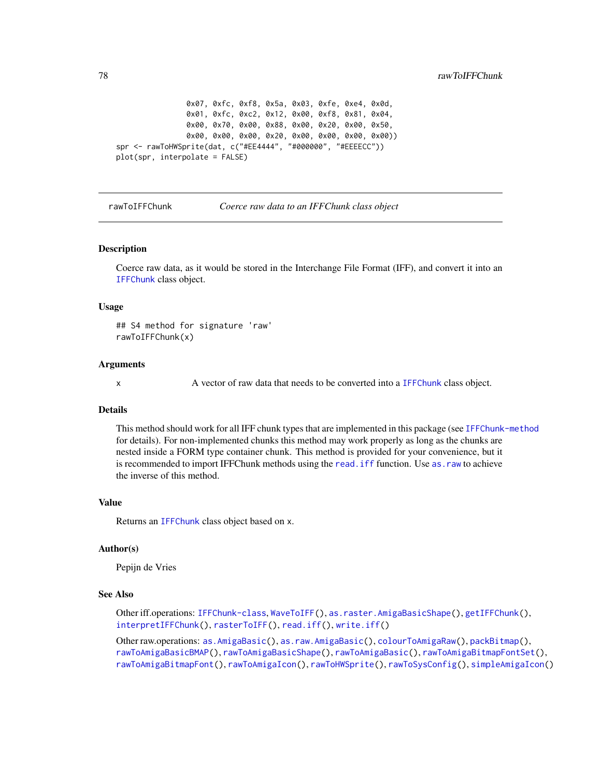```
0x07, 0xfc, 0xf8, 0x5a, 0x03, 0xfe, 0xe4, 0x0d,
                0x01, 0xfc, 0xc2, 0x12, 0x00, 0xf8, 0x81, 0x04,
                0x00, 0x70, 0x00, 0x88, 0x00, 0x20, 0x00, 0x50,
                0x00, 0x00, 0x00, 0x20, 0x00, 0x00, 0x00, 0x00))
spr <- rawToHWSprite(dat, c("#EE4444", "#000000", "#EEEECC"))
plot(spr, interpolate = FALSE)
```
<span id="page-77-0"></span>rawToIFFChunk *Coerce raw data to an IFFChunk class object*

#### **Description**

Coerce raw data, as it would be stored in the Interchange File Format (IFF), and convert it into an [IFFChunk](#page-41-0) class object.

#### Usage

## S4 method for signature 'raw' rawToIFFChunk(x)

#### Arguments

x A vector of raw data that needs to be converted into a [IFFChunk](#page-41-0) class object.

#### Details

This method should work for all IFF chunk types that are implemented in this package (see [IFFChunk-method](#page-41-1) for details). For non-implemented chunks this method may work properly as long as the chunks are nested inside a FORM type container chunk. This method is provided for your convenience, but it is recommended to import IFFChunk methods using the read. iff function. Use as. raw to achieve the inverse of this method.

# Value

Returns an [IFFChunk](#page-41-0) class object based on x.

#### Author(s)

Pepijn de Vries

## See Also

Other iff.operations: [IFFChunk-class](#page-40-0), [WaveToIFF\(](#page-94-0)), [as.raster.AmigaBasicShape\(](#page-18-1)), [getIFFChunk\(](#page-37-0)), [interpretIFFChunk\(](#page-50-0)), [rasterToIFF\(](#page-66-0)), [read.iff\(](#page-87-0)), [write.iff\(](#page-101-0))

Other raw.operations: [as.AmigaBasic\(](#page-14-0)), [as.raw.AmigaBasic\(](#page-20-1)), [colourToAmigaRaw\(](#page-28-0)), [packBitmap\(](#page-53-0)), [rawToAmigaBasicBMAP\(](#page-69-0)), [rawToAmigaBasicShape\(](#page-70-0)), [rawToAmigaBasic\(](#page-68-0)), [rawToAmigaBitmapFontSet\(](#page-73-0)), [rawToAmigaBitmapFont\(](#page-72-0)), [rawToAmigaIcon\(](#page-74-0)), [rawToHWSprite\(](#page-75-0)), [rawToSysConfig\(](#page-78-0)), [simpleAmigaIcon\(](#page-89-0))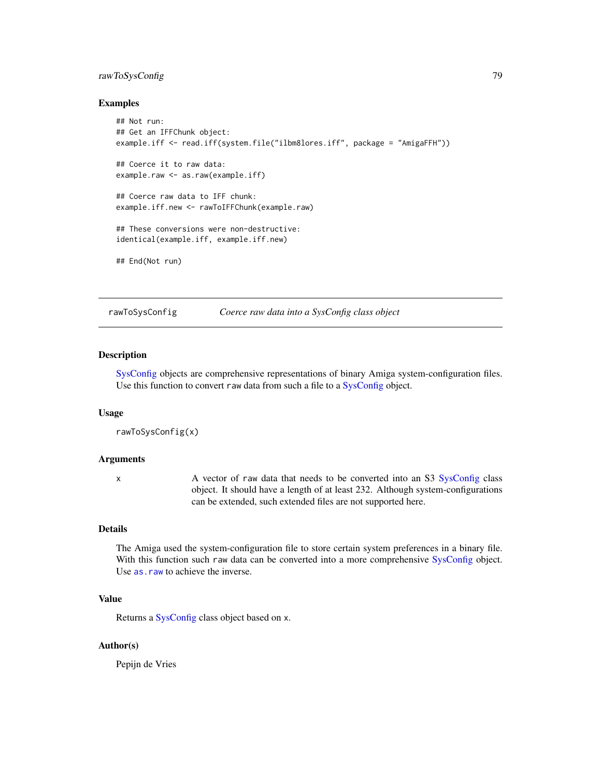# <span id="page-78-1"></span>rawToSysConfig 79

# Examples

```
## Not run:
## Get an IFFChunk object:
example.iff <- read.iff(system.file("ilbm8lores.iff", package = "AmigaFFH"))
## Coerce it to raw data:
example.raw <- as.raw(example.iff)
## Coerce raw data to IFF chunk:
example.iff.new <- rawToIFFChunk(example.raw)
## These conversions were non-destructive:
identical(example.iff, example.iff.new)
## End(Not run)
```
<span id="page-78-0"></span>

rawToSysConfig *Coerce raw data into a SysConfig class object*

# Description

[SysConfig](#page-92-0) objects are comprehensive representations of binary Amiga system-configuration files. Use this function to convert raw data from such a file to a [SysConfig](#page-92-0) object.

#### Usage

```
rawToSysConfig(x)
```
#### Arguments

x A vector of raw data that needs to be converted into an S3 [SysConfig](#page-92-0) class object. It should have a length of at least 232. Although system-configurations can be extended, such extended files are not supported here.

# Details

The Amiga used the system-configuration file to store certain system preferences in a binary file. With this function such raw data can be converted into a more comprehensive [SysConfig](#page-92-0) object. Use [as.raw](#page-20-0) to achieve the inverse.

# Value

Returns a [SysConfig](#page-92-0) class object based on x.

# Author(s)

Pepijn de Vries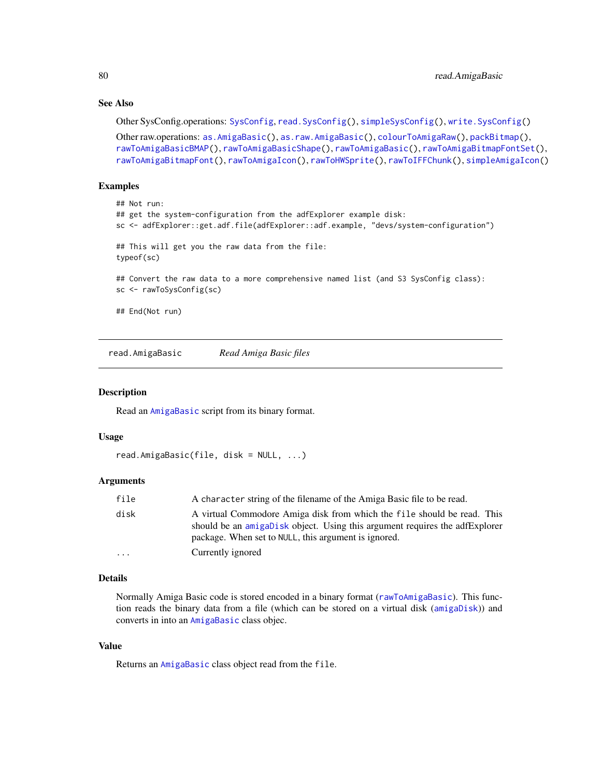# See Also

Other SysConfig.operations: [SysConfig](#page-92-0), [read.SysConfig\(](#page-88-0)), [simpleSysConfig\(](#page-91-0)), [write.SysConfig\(](#page-102-0))

```
Other raw.operations: as.AmigaBasic(), as.raw.AmigaBasic(), colourToAmigaRaw(), packBitmap(),
rawToAmigaBasicBMAP(), rawToAmigaBasicShape(), rawToAmigaBasic(), rawToAmigaBitmapFontSet(),
rawToAmigaBitmapFont(), rawToAmigaIcon(), rawToHWSprite(), rawToIFFChunk(), simpleAmigaIcon()
```
# Examples

```
## Not run:
## get the system-configuration from the adfExplorer example disk:
sc <- adfExplorer::get.adf.file(adfExplorer::adf.example, "devs/system-configuration")
## This will get you the raw data from the file:
typeof(sc)
## Convert the raw data to a more comprehensive named list (and S3 SysConfig class):
sc <- rawToSysConfig(sc)
## End(Not run)
```
<span id="page-79-0"></span>read.AmigaBasic *Read Amiga Basic files*

# Description

Read an [AmigaBasic](#page-2-0) script from its binary format.

# Usage

```
read.AmigaBasic(file, disk = NULL, ...)
```
#### Arguments

| file     | A character string of the filename of the Amiga Basic file to be read.                                                                                                                                         |
|----------|----------------------------------------------------------------------------------------------------------------------------------------------------------------------------------------------------------------|
| disk     | A virtual Commodore Amiga disk from which the file should be read. This<br>should be an amigabisk object. Using this argument requires the adfExplorer<br>package. When set to NULL, this argument is ignored. |
| $\cdots$ | Currently ignored                                                                                                                                                                                              |

# Details

Normally Amiga Basic code is stored encoded in a binary format ([rawToAmigaBasic](#page-68-0)). This function reads the binary data from a file (which can be stored on a virtual disk ([amigaDisk](#page-0-0))) and converts in into an [AmigaBasic](#page-2-0) class objec.

# Value

Returns an [AmigaBasic](#page-2-0) class object read from the file.

<span id="page-79-1"></span>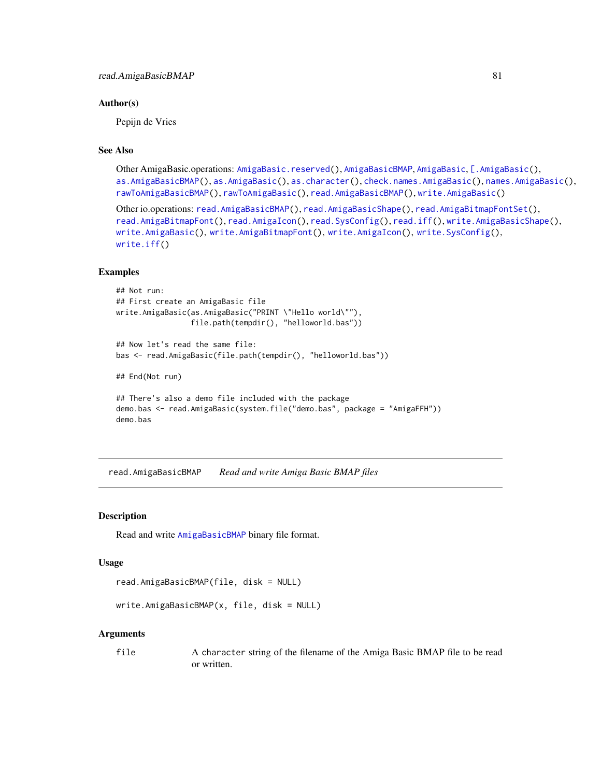# <span id="page-80-1"></span>Author(s)

Pepijn de Vries

# See Also

```
Other AmigaBasic.operations: AmigaBasic.reserved(), AmigaBasicBMAP, AmigaBasic, [.AmigaBasic(),
as.AmigaBasicBMAP(), as.AmigaBasic(), as.character(), check.names.AmigaBasic(), names.AmigaBasic(),
rawToAmigaBasicBMAP(), rawToAmigaBasic(), read.AmigaBasicBMAP(), write.AmigaBasic()
```

```
Other io.operations: read.AmigaBasicBMAP(), read.AmigaBasicShape(), read.AmigaBitmapFontSet(),
read.AmigaBitmapFont(), read.AmigaIcon(), read.SysConfig(), read.iff(), write.AmigaBasicShape(),
write.AmigaBasic(), write.AmigaBitmapFont(), write.AmigaIcon(), write.SysConfig(),
write.iff()
```
#### Examples

```
## Not run:
## First create an AmigaBasic file
write.AmigaBasic(as.AmigaBasic("PRINT \"Hello world\""),
                 file.path(tempdir(), "helloworld.bas"))
## Now let's read the same file:
bas <- read.AmigaBasic(file.path(tempdir(), "helloworld.bas"))
## End(Not run)
## There's also a demo file included with the package
demo.bas <- read.AmigaBasic(system.file("demo.bas", package = "AmigaFFH"))
demo.bas
```
<span id="page-80-0"></span>read.AmigaBasicBMAP *Read and write Amiga Basic BMAP files*

# Description

Read and write [AmigaBasicBMAP](#page-4-1) binary file format.

#### Usage

```
read.AmigaBasicBMAP(file, disk = NULL)
```

```
write.AmigaBasicBMAP(x, file, disk = NULL)
```
#### Arguments

```
file A character string of the filename of the Amiga Basic BMAP file to be read
               or written.
```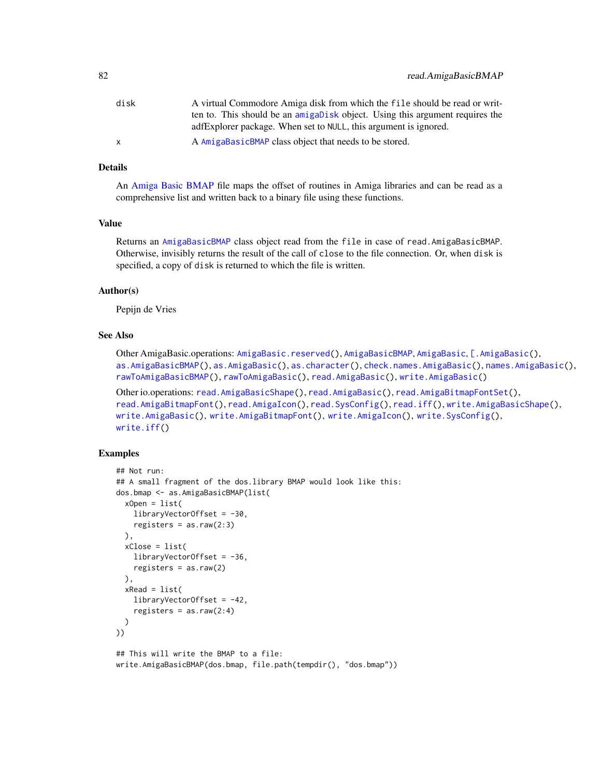<span id="page-81-0"></span>

| disk | A virtual Commodore Amiga disk from which the file should be read or writ-   |
|------|------------------------------------------------------------------------------|
|      | ten to. This should be an amigabisk object. Using this argument requires the |
|      | adfExplorer package. When set to NULL, this argument is ignored.             |
| X.   | A AmigaBasicBMAP class object that needs to be stored.                       |

# Details

An [Amiga Basic BMAP](#page-0-0) file maps the offset of routines in Amiga libraries and can be read as a comprehensive list and written back to a binary file using these functions.

#### Value

Returns an [AmigaBasicBMAP](#page-4-1) class object read from the file in case of read.AmigaBasicBMAP. Otherwise, invisibly returns the result of the call of close to the file connection. Or, when disk is specified, a copy of disk is returned to which the file is written.

# Author(s)

Pepijn de Vries

# See Also

Other AmigaBasic.operations: [AmigaBasic.reserved\(](#page-4-0)), [AmigaBasicBMAP](#page-4-1), [AmigaBasic](#page-2-0), [\[.AmigaBasic\(](#page-103-0)), [as.AmigaBasicBMAP\(](#page-15-0)), [as.AmigaBasic\(](#page-14-0)), [as.character\(](#page-17-0)), [check.names.AmigaBasic\(](#page-26-0)), [names.AmigaBasic\(](#page-51-0)), [rawToAmigaBasicBMAP\(](#page-69-0)), [rawToAmigaBasic\(](#page-68-0)), [read.AmigaBasic\(](#page-79-0)), [write.AmigaBasic\(](#page-96-0))

```
Other io.operations: read.AmigaBasicShape(), read.AmigaBasic(), read.AmigaBitmapFontSet(),
read.AmigaBitmapFont(), read.AmigaIcon(), read.SysConfig(), read.iff(), write.AmigaBasicShape(),
write.AmigaBasic(), write.AmigaBitmapFont(), write.AmigaIcon(), write.SysConfig(),
write.iff()
```
# Examples

```
## Not run:
## A small fragment of the dos.library BMAP would look like this:
dos.bmap <- as.AmigaBasicBMAP(list(
 xOpen = list(
   libraryVectorOffset = -30,
   registers = as.raw(2:3)),
 xClose = list(
   libraryVectorOffset = -36,
   registers = as.raw(2)
 ),
 xRead = list(
   libraryVectorOffset = -42,
    registers = as.raw(2:4))
))
## This will write the BMAP to a file:
write.AmigaBasicBMAP(dos.bmap, file.path(tempdir(), "dos.bmap"))
```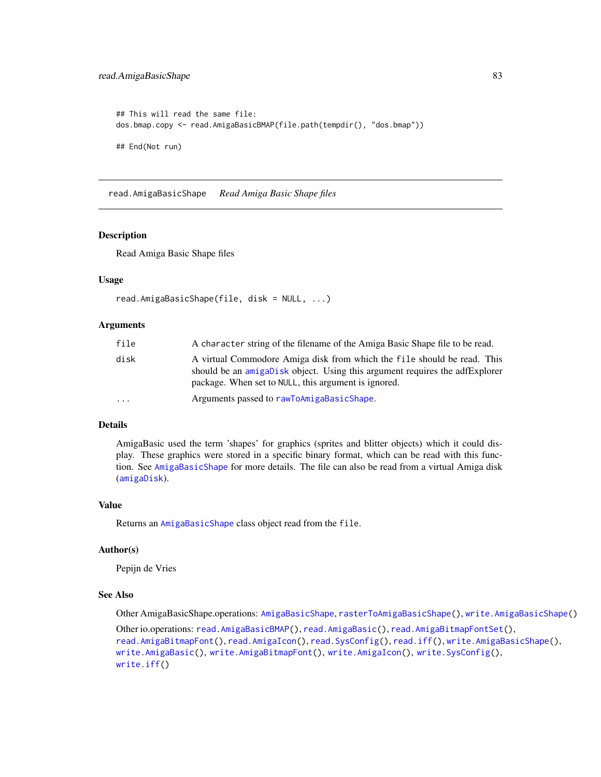```
## This will read the same file:
dos.bmap.copy <- read.AmigaBasicBMAP(file.path(tempdir(), "dos.bmap"))
## End(Not run)
```
<span id="page-82-0"></span>read.AmigaBasicShape *Read Amiga Basic Shape files*

#### Description

Read Amiga Basic Shape files

# Usage

```
read.AmigaBasicShape(file, disk = NULL, ...)
```
#### Arguments

| file    | A character string of the filename of the Amiga Basic Shape file to be read.                                                                                                                                   |
|---------|----------------------------------------------------------------------------------------------------------------------------------------------------------------------------------------------------------------|
| disk    | A virtual Commodore Amiga disk from which the file should be read. This<br>should be an amigabisk object. Using this argument requires the adfExplorer<br>package. When set to NULL, this argument is ignored. |
| $\cdot$ | Arguments passed to rawToAmigaBasicShape.                                                                                                                                                                      |

# Details

AmigaBasic used the term 'shapes' for graphics (sprites and blitter objects) which it could display. These graphics were stored in a specific binary format, which can be read with this function. See [AmigaBasicShape](#page-5-0) for more details. The file can also be read from a virtual Amiga disk ([amigaDisk](#page-0-0)).

# Value

Returns an [AmigaBasicShape](#page-5-0) class object read from the file.

# Author(s)

Pepijn de Vries

# See Also

Other AmigaBasicShape.operations: [AmigaBasicShape](#page-5-0), [rasterToAmigaBasicShape\(](#page-58-0)), [write.AmigaBasicShape\(](#page-97-0))

Other io.operations: [read.AmigaBasicBMAP\(](#page-80-0)), [read.AmigaBasic\(](#page-79-0)), [read.AmigaBitmapFontSet\(](#page-84-0)), [read.AmigaBitmapFont\(](#page-83-0)), [read.AmigaIcon\(](#page-86-0)), [read.SysConfig\(](#page-88-0)), [read.iff\(](#page-87-0)), [write.AmigaBasicShape\(](#page-97-0)), [write.AmigaBasic\(](#page-96-0)), [write.AmigaBitmapFont\(](#page-98-0)), [write.AmigaIcon\(](#page-100-0)), [write.SysConfig\(](#page-102-0)), [write.iff\(](#page-101-0))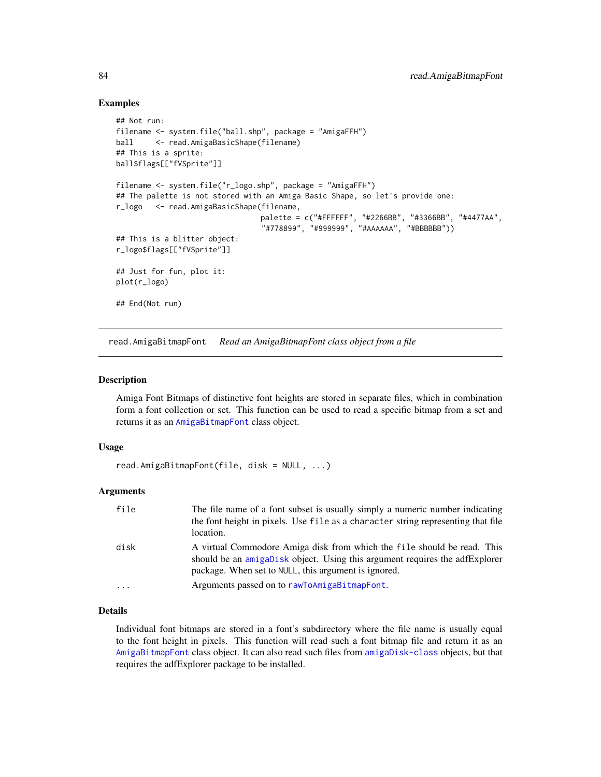# Examples

```
## Not run:
filename <- system.file("ball.shp", package = "AmigaFFH")
ball <- read.AmigaBasicShape(filename)
## This is a sprite:
ball$flags[["fVSprite"]]
filename <- system.file("r_logo.shp", package = "AmigaFFH")
## The palette is not stored with an Amiga Basic Shape, so let's provide one:
r_logo <- read.AmigaBasicShape(filename,
                                 palette = c("#FFFFFF", "#2266BB", "#3366BB", "#4477AA",
                                 "#778899", "#999999", "#AAAAAA", "#BBBBBB"))
## This is a blitter object:
r_logo$flags[["fVSprite"]]
## Just for fun, plot it:
plot(r_logo)
## End(Not run)
```
<span id="page-83-0"></span>read.AmigaBitmapFont *Read an AmigaBitmapFont class object from a file*

#### Description

Amiga Font Bitmaps of distinctive font heights are stored in separate files, which in combination form a font collection or set. This function can be used to read a specific bitmap from a set and returns it as an [AmigaBitmapFont](#page-6-0) class object.

#### Usage

```
read.AmigaBitmapFont(file, disk = NULL, ...)
```
# Arguments

| file | The file name of a font subset is usually simply a numeric number indicating<br>the font height in pixels. Use file as a character string representing that file<br>location.                                  |
|------|----------------------------------------------------------------------------------------------------------------------------------------------------------------------------------------------------------------|
| disk | A virtual Commodore Amiga disk from which the file should be read. This<br>should be an amigabisk object. Using this argument requires the adfExplorer<br>package. When set to NULL, this argument is ignored. |
|      | Arguments passed on to rawToAmigaBitmapFont.                                                                                                                                                                   |

# Details

Individual font bitmaps are stored in a font's subdirectory where the file name is usually equal to the font height in pixels. This function will read such a font bitmap file and return it as an [AmigaBitmapFont](#page-6-0) class object. It can also read such files from [amigaDisk-class](#page-0-0) objects, but that requires the adfExplorer package to be installed.

<span id="page-83-1"></span>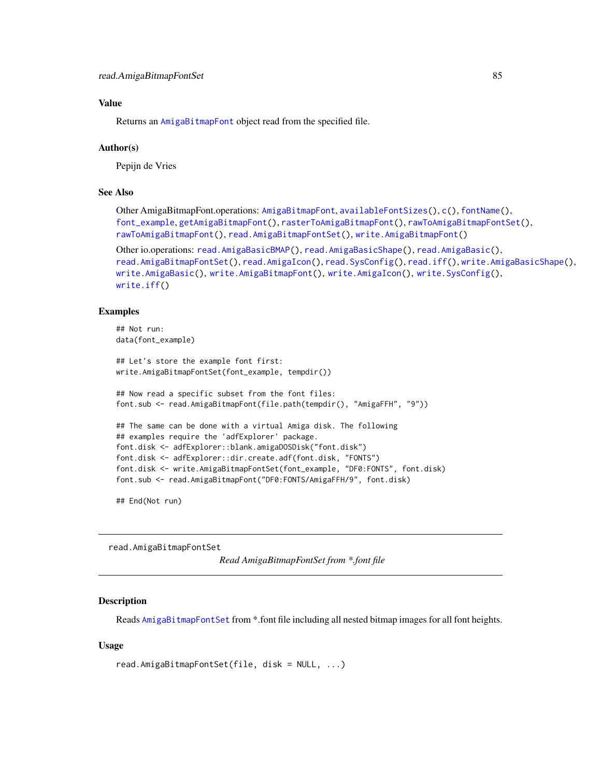# <span id="page-84-1"></span>Value

Returns an [AmigaBitmapFont](#page-6-0) object read from the specified file.

#### Author(s)

Pepijn de Vries

# See Also

```
Other AmigaBitmapFont.operations: AmigaBitmapFont, availableFontSizes(), c(), fontName(),
font_example, getAmigaBitmapFont(), rasterToAmigaBitmapFont(), rawToAmigaBitmapFontSet(),
rawToAmigaBitmapFont(), read.AmigaBitmapFontSet(), write.AmigaBitmapFont()
```

```
Other io.operations: read.AmigaBasicBMAP(), read.AmigaBasicShape(), read.AmigaBasic(),
read.AmigaBitmapFontSet(), read.AmigaIcon(), read.SysConfig(), read.iff(), write.AmigaBasicShape(),
write.AmigaBasic(), write.AmigaBitmapFont(), write.AmigaIcon(), write.SysConfig(),
write.iff()
```
# Examples

```
## Not run:
data(font_example)
## Let's store the example font first:
write.AmigaBitmapFontSet(font_example, tempdir())
## Now read a specific subset from the font files:
font.sub <- read.AmigaBitmapFont(file.path(tempdir(), "AmigaFFH", "9"))
## The same can be done with a virtual Amiga disk. The following
## examples require the 'adfExplorer' package.
font.disk <- adfExplorer::blank.amigaDOSDisk("font.disk")
font.disk <- adfExplorer::dir.create.adf(font.disk, "FONTS")
font.disk <- write.AmigaBitmapFontSet(font_example, "DF0:FONTS", font.disk)
font.sub <- read.AmigaBitmapFont("DF0:FONTS/AmigaFFH/9", font.disk)
```
## End(Not run)

<span id="page-84-0"></span>read.AmigaBitmapFontSet

*Read AmigaBitmapFontSet from \*.font file*

# Description

Reads [AmigaBitmapFontSet](#page-6-1) from \*.font file including all nested bitmap images for all font heights.

# Usage

```
read.AmigaBitmapFontSet(file, disk = NULL, ...)
```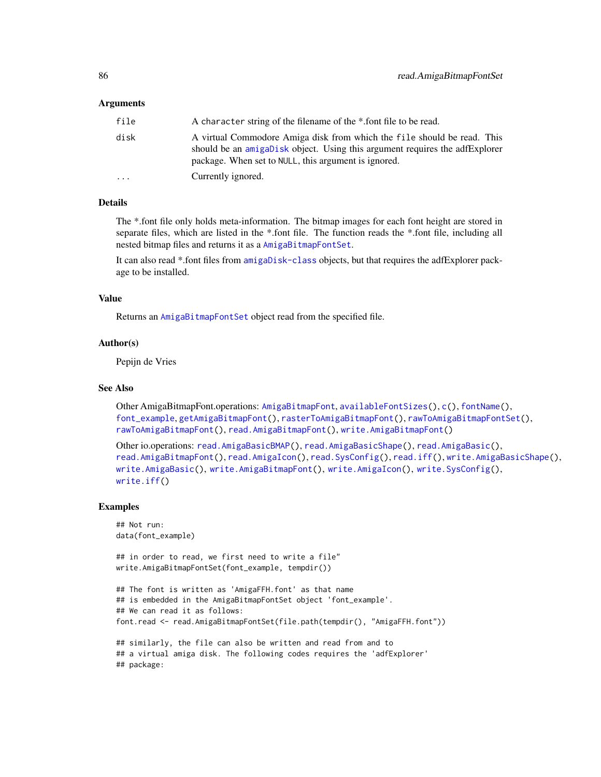## <span id="page-85-0"></span>Arguments

| file     | A character string of the filename of the *.font file to be read.                                                                                                                                              |
|----------|----------------------------------------------------------------------------------------------------------------------------------------------------------------------------------------------------------------|
| disk     | A virtual Commodore Amiga disk from which the file should be read. This<br>should be an amigabisk object. Using this argument requires the adfExplorer<br>package. When set to NULL, this argument is ignored. |
| $\cdots$ | Currently ignored.                                                                                                                                                                                             |

# Details

The \*.font file only holds meta-information. The bitmap images for each font height are stored in separate files, which are listed in the \*.font file. The function reads the \*.font file, including all nested bitmap files and returns it as a [AmigaBitmapFontSet](#page-6-1).

It can also read \*.font files from [amigaDisk-class](#page-0-0) objects, but that requires the adfExplorer package to be installed.

# Value

Returns an [AmigaBitmapFontSet](#page-6-1) object read from the specified file.

#### Author(s)

Pepijn de Vries

# See Also

Other AmigaBitmapFont.operations: [AmigaBitmapFont](#page-6-0), [availableFontSizes\(](#page-22-0)), [c\(](#page-25-0)), [fontName\(](#page-34-0)), [font\\_example](#page-35-0), [getAmigaBitmapFont\(](#page-36-0)), [rasterToAmigaBitmapFont\(](#page-59-0)), [rawToAmigaBitmapFontSet\(](#page-73-0)), [rawToAmigaBitmapFont\(](#page-72-0)), [read.AmigaBitmapFont\(](#page-83-0)), [write.AmigaBitmapFont\(](#page-98-0))

Other io.operations: [read.AmigaBasicBMAP\(](#page-80-0)), [read.AmigaBasicShape\(](#page-82-0)), [read.AmigaBasic\(](#page-79-0)), [read.AmigaBitmapFont\(](#page-83-0)), [read.AmigaIcon\(](#page-86-0)), [read.SysConfig\(](#page-88-0)), [read.iff\(](#page-87-0)), [write.AmigaBasicShape\(](#page-97-0)), [write.AmigaBasic\(](#page-96-0)), [write.AmigaBitmapFont\(](#page-98-0)), [write.AmigaIcon\(](#page-100-0)), [write.SysConfig\(](#page-102-0)), [write.iff\(](#page-101-0))

#### Examples

```
## Not run:
data(font_example)
```
## in order to read, we first need to write a file" write.AmigaBitmapFontSet(font\_example, tempdir())

```
## The font is written as 'AmigaFFH.font' as that name
## is embedded in the AmigaBitmapFontSet object 'font_example'.
## We can read it as follows:
font.read <- read.AmigaBitmapFontSet(file.path(tempdir(), "AmigaFFH.font"))
```
## similarly, the file can also be written and read from and to ## a virtual amiga disk. The following codes requires the 'adfExplorer' ## package: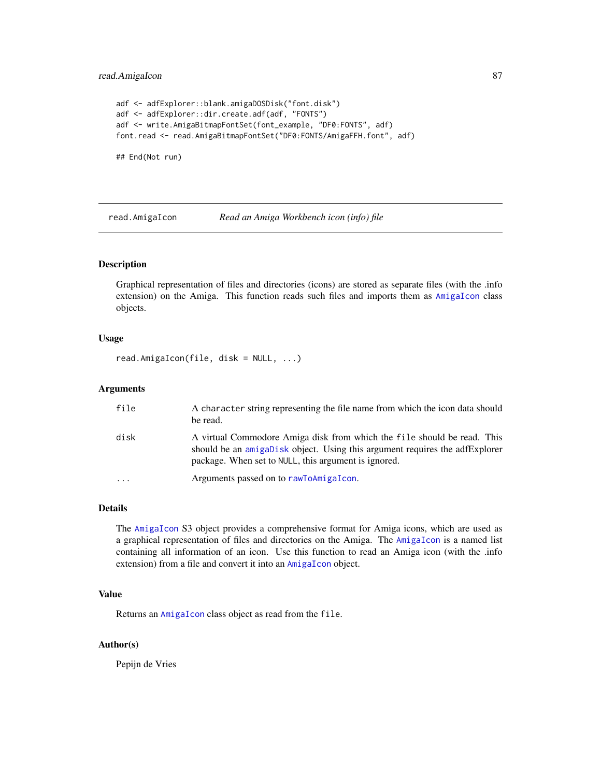# <span id="page-86-1"></span>read.AmigaIcon 87

```
adf <- adfExplorer::blank.amigaDOSDisk("font.disk")
adf <- adfExplorer::dir.create.adf(adf, "FONTS")
adf <- write.AmigaBitmapFontSet(font_example, "DF0:FONTS", adf)
font.read <- read.AmigaBitmapFontSet("DF0:FONTS/AmigaFFH.font", adf)
```
## End(Not run)

<span id="page-86-0"></span>read.AmigaIcon *Read an Amiga Workbench icon (info) file*

# Description

Graphical representation of files and directories (icons) are stored as separate files (with the .info extension) on the Amiga. This function reads such files and imports them as [AmigaIcon](#page-10-0) class objects.

#### Usage

read.AmigaIcon(file, disk = NULL, ...)

# Arguments

| file                    | A character string representing the file name from which the icon data should<br>be read.                                                                                                                      |
|-------------------------|----------------------------------------------------------------------------------------------------------------------------------------------------------------------------------------------------------------|
| disk                    | A virtual Commodore Amiga disk from which the file should be read. This<br>should be an amigabisk object. Using this argument requires the adfexplorer<br>package. When set to NULL, this argument is ignored. |
| $\cdot$ $\cdot$ $\cdot$ | Arguments passed on to rawToAmigaIcon.                                                                                                                                                                         |

# Details

The [AmigaIcon](#page-10-0) S3 object provides a comprehensive format for Amiga icons, which are used as a graphical representation of files and directories on the Amiga. The [AmigaIcon](#page-10-0) is a named list containing all information of an icon. Use this function to read an Amiga icon (with the .info extension) from a file and convert it into an [AmigaIcon](#page-10-0) object.

# Value

Returns an [AmigaIcon](#page-10-0) class object as read from the file.

#### Author(s)

Pepijn de Vries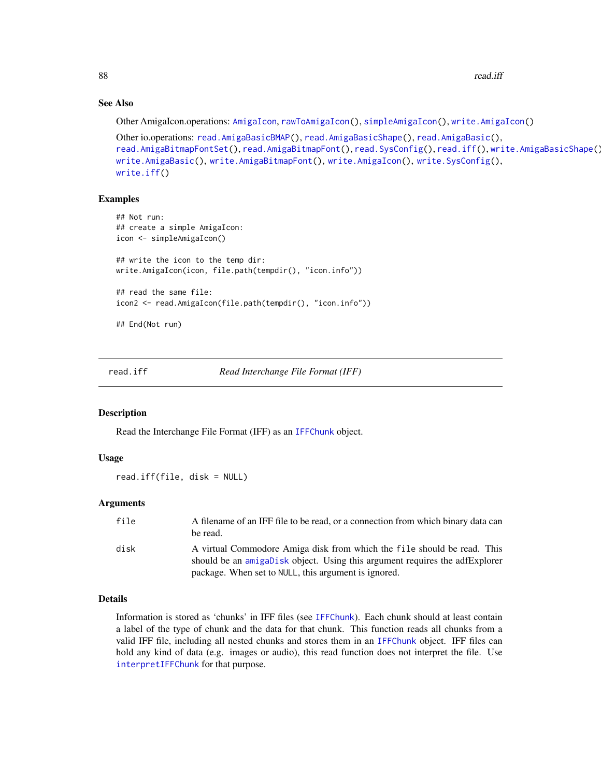88 read.iff **but the contract of the contract of the contract of the contract of the contract of the contract of the contract of the contract of the contract of the contract of the contract of the contract of the contract** 

# See Also

Other AmigaIcon.operations: [AmigaIcon](#page-10-0), [rawToAmigaIcon\(](#page-74-0)), [simpleAmigaIcon\(](#page-89-0)), [write.AmigaIcon\(](#page-100-0))

```
Other io.operations: read.AmigaBasicBMAP(), read.AmigaBasicShape(), read.AmigaBasic(),
read.AmigaBitmapFontSet(read.AmigaBitmapFont(read.SysConfig(read.iff(write.AmigaBasicShape()
write.AmigaBasic(), write.AmigaBitmapFont(), write.AmigaIcon(), write.SysConfig(),
write.iff()
```
#### Examples

```
## Not run:
## create a simple AmigaIcon:
icon <- simpleAmigaIcon()
## write the icon to the temp dir:
write.AmigaIcon(icon, file.path(tempdir(), "icon.info"))
## read the same file:
icon2 <- read.AmigaIcon(file.path(tempdir(), "icon.info"))
## End(Not run)
```
<span id="page-87-0"></span>

read.iff *Read Interchange File Format (IFF)*

#### Description

Read the Interchange File Format (IFF) as an [IFFChunk](#page-41-0) object.

# Usage

read.iff(file, disk = NULL)

# Arguments

| file | A filename of an IFF file to be read, or a connection from which binary data can<br>be read.                                                                                                                   |
|------|----------------------------------------------------------------------------------------------------------------------------------------------------------------------------------------------------------------|
| disk | A virtual Commodore Amiga disk from which the file should be read. This<br>should be an amigabisk object. Using this argument requires the adfExplorer<br>package. When set to NULL, this argument is ignored. |

# Details

Information is stored as 'chunks' in IFF files (see [IFFChunk](#page-41-0)). Each chunk should at least contain a label of the type of chunk and the data for that chunk. This function reads all chunks from a valid IFF file, including all nested chunks and stores them in an [IFFChunk](#page-41-0) object. IFF files can hold any kind of data (e.g. images or audio), this read function does not interpret the file. Use [interpretIFFChunk](#page-50-0) for that purpose.

<span id="page-87-1"></span>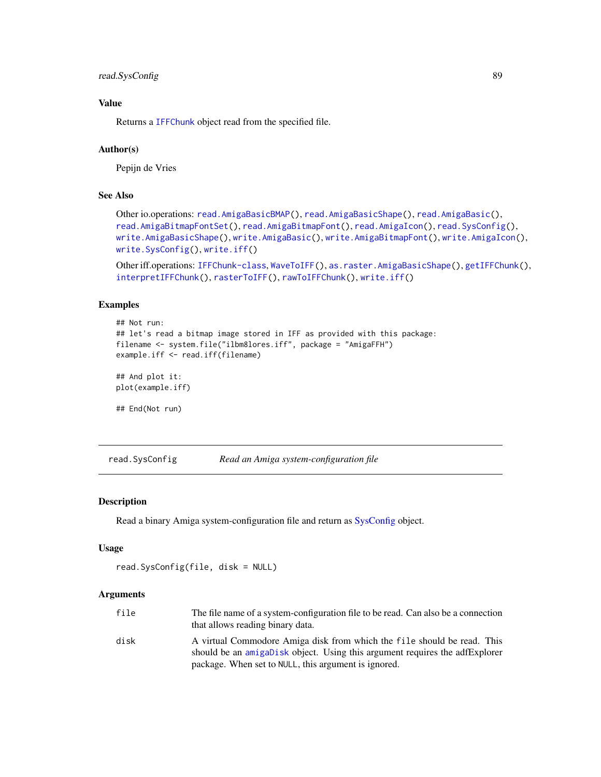# <span id="page-88-1"></span>read.SysConfig 89

# Value

Returns a [IFFChunk](#page-41-0) object read from the specified file.

# Author(s)

Pepijn de Vries

# See Also

```
Other io.operations: read.AmigaBasicBMAP(), read.AmigaBasicShape(), read.AmigaBasic(),
read.AmigaBitmapFontSet(), read.AmigaBitmapFont(), read.AmigaIcon(), read.SysConfig(),
write.AmigaBasicShape(), write.AmigaBasic(), write.AmigaBitmapFont(), write.AmigaIcon(),
write.SysConfig(), write.iff()
```
Other iff.operations: [IFFChunk-class](#page-40-0), [WaveToIFF\(](#page-94-0)), [as.raster.AmigaBasicShape\(](#page-18-1)), [getIFFChunk\(](#page-37-0)), [interpretIFFChunk\(](#page-50-0)), [rasterToIFF\(](#page-66-0)), [rawToIFFChunk\(](#page-77-0)), [write.iff\(](#page-101-0))

#### Examples

```
## Not run:
## let's read a bitmap image stored in IFF as provided with this package:
filename <- system.file("ilbm8lores.iff", package = "AmigaFFH")
example.iff <- read.iff(filename)
## And plot it:
plot(example.iff)
## End(Not run)
```
<span id="page-88-0"></span>read.SysConfig *Read an Amiga system-configuration file*

# Description

Read a binary Amiga system-configuration file and return as [SysConfig](#page-92-0) object.

#### Usage

```
read.SysConfig(file, disk = NULL)
```
#### Arguments

| file | The file name of a system-configuration file to be read. Can also be a connection<br>that allows reading binary data.                                  |
|------|--------------------------------------------------------------------------------------------------------------------------------------------------------|
| disk | A virtual Commodore Amiga disk from which the file should be read. This<br>should be an amigabisk object. Using this argument requires the adfExplorer |
|      | package. When set to NULL, this argument is ignored.                                                                                                   |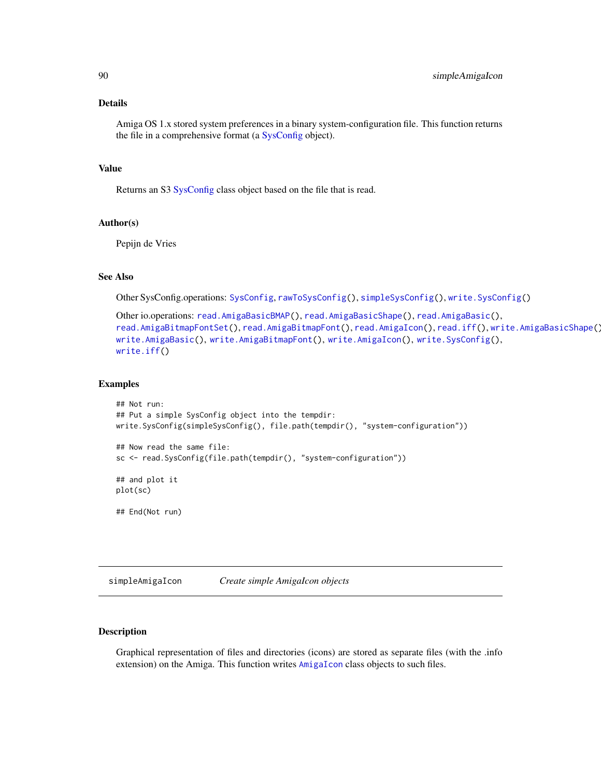#### <span id="page-89-1"></span>Details

Amiga OS 1.x stored system preferences in a binary system-configuration file. This function returns the file in a comprehensive format (a [SysConfig](#page-92-0) object).

# Value

Returns an S3 [SysConfig](#page-92-0) class object based on the file that is read.

# Author(s)

Pepijn de Vries

# See Also

Other SysConfig.operations: [SysConfig](#page-92-0), [rawToSysConfig\(](#page-78-0)), [simpleSysConfig\(](#page-91-0)), [write.SysConfig\(](#page-102-0))

```
Other io.operations: read.AmigaBasicBMAP(), read.AmigaBasicShape(), read.AmigaBasic(),
read.AmigaBitmapFontSet(), read.AmigaBitmapFont(), read.AmigaIcon(), read.iff(), write.AmigaBasicShape(),
write.AmigaBasic(), write.AmigaBitmapFont(), write.AmigaIcon(), write.SysConfig(),
write.iff()
```
#### Examples

```
## Not run:
## Put a simple SysConfig object into the tempdir:
write.SysConfig(simpleSysConfig(), file.path(tempdir(), "system-configuration"))
## Now read the same file:
sc <- read.SysConfig(file.path(tempdir(), "system-configuration"))
## and plot it
plot(sc)
## End(Not run)
```
<span id="page-89-0"></span>simpleAmigaIcon *Create simple AmigaIcon objects*

# Description

Graphical representation of files and directories (icons) are stored as separate files (with the .info extension) on the Amiga. This function writes [AmigaIcon](#page-10-0) class objects to such files.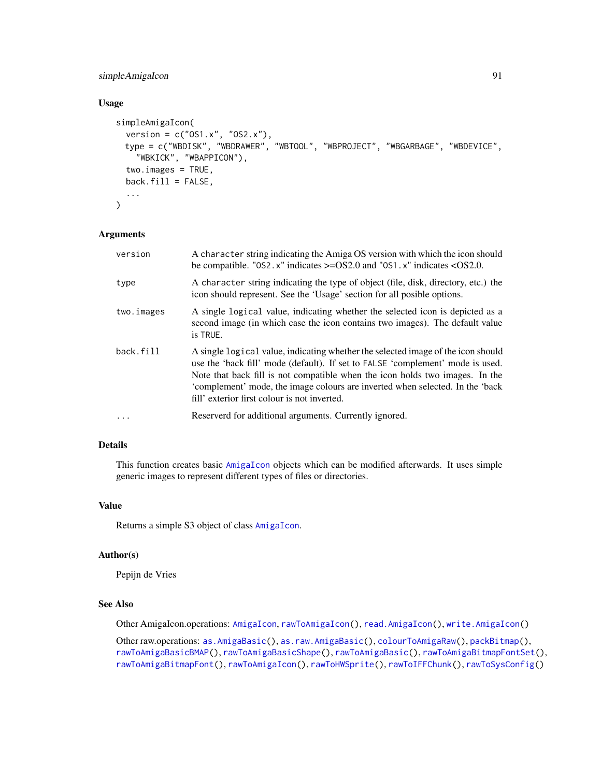# <span id="page-90-0"></span>simpleAmigaIcon 91

# Usage

```
simpleAmigaIcon(
  version = c("OS1.x", "OS2.x"),
 type = c("WBDISK", "WBDRAWER", "WBTOOL", "WBPROJECT", "WBGARBAGE", "WBDEVICE",
    "WBKICK", "WBAPPICON"),
  two.images = TRUE,
 back.fit11 = FALSE,...
)
```
# Arguments

| version    | A character string indicating the Amiga OS version with which the icon should<br>be compatible. "0S2. $x$ " indicates $>=$ OS2.0 and "0S1. $x$ " indicates < OS2.0.                                                                                                                                                                                                                 |
|------------|-------------------------------------------------------------------------------------------------------------------------------------------------------------------------------------------------------------------------------------------------------------------------------------------------------------------------------------------------------------------------------------|
| type       | A character string indicating the type of object (file, disk, directory, etc.) the<br>icon should represent. See the 'Usage' section for all posible options.                                                                                                                                                                                                                       |
| two.images | A single logical value, indicating whether the selected icon is depicted as a<br>second image (in which case the icon contains two images). The default value<br>is TRUE.                                                                                                                                                                                                           |
| back.fill  | A single logical value, indicating whether the selected image of the icon should<br>use the 'back fill' mode (default). If set to FALSE 'complement' mode is used.<br>Note that back fill is not compatible when the icon holds two images. In the<br>'complement' mode, the image colours are inverted when selected. In the 'back<br>fill' exterior first colour is not inverted. |
| $\ddots$   | Reserverd for additional arguments. Currently ignored.                                                                                                                                                                                                                                                                                                                              |

# Details

This function creates basic [AmigaIcon](#page-10-0) objects which can be modified afterwards. It uses simple generic images to represent different types of files or directories.

# Value

Returns a simple S3 object of class [AmigaIcon](#page-10-0).

# Author(s)

Pepijn de Vries

# See Also

Other AmigaIcon.operations: [AmigaIcon](#page-10-0), [rawToAmigaIcon\(](#page-74-0)), [read.AmigaIcon\(](#page-86-0)), [write.AmigaIcon\(](#page-100-0))

Other raw.operations: [as.AmigaBasic\(](#page-14-0)), [as.raw.AmigaBasic\(](#page-20-1)), [colourToAmigaRaw\(](#page-28-0)), [packBitmap\(](#page-53-0)), [rawToAmigaBasicBMAP\(](#page-69-0)), [rawToAmigaBasicShape\(](#page-70-0)), [rawToAmigaBasic\(](#page-68-0)), [rawToAmigaBitmapFontSet\(](#page-73-0)), [rawToAmigaBitmapFont\(](#page-72-0)), [rawToAmigaIcon\(](#page-74-0)), [rawToHWSprite\(](#page-75-0)), [rawToIFFChunk\(](#page-77-0)), [rawToSysConfig\(](#page-78-0))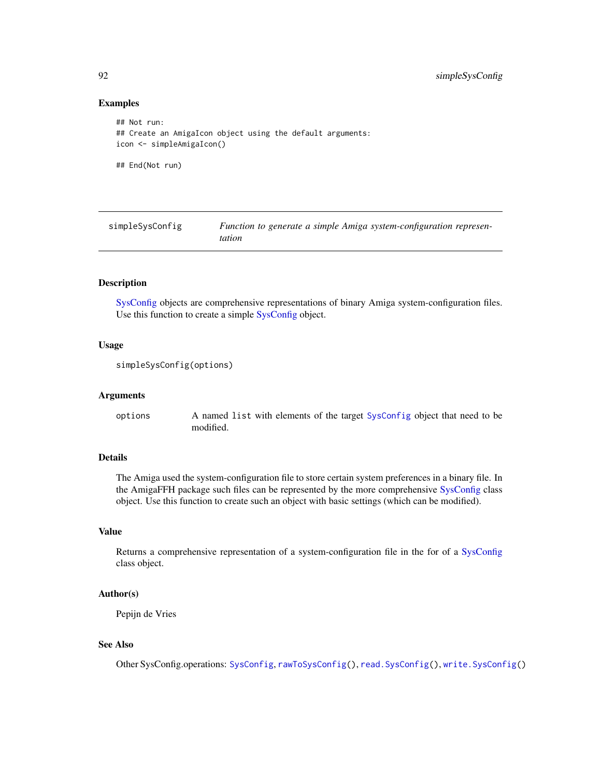# Examples

```
## Not run:
## Create an AmigaIcon object using the default arguments:
icon <- simpleAmigaIcon()
## End(Not run)
```
<span id="page-91-0"></span>simpleSysConfig *Function to generate a simple Amiga system-configuration representation*

# Description

[SysConfig](#page-92-0) objects are comprehensive representations of binary Amiga system-configuration files. Use this function to create a simple [SysConfig](#page-92-0) object.

# Usage

```
simpleSysConfig(options)
```
#### Arguments

options A named list with elements of the target [SysConfig](#page-92-0) object that need to be modified.

# Details

The Amiga used the system-configuration file to store certain system preferences in a binary file. In the AmigaFFH package such files can be represented by the more comprehensive [SysConfig](#page-92-0) class object. Use this function to create such an object with basic settings (which can be modified).

#### Value

Returns a comprehensive representation of a system-configuration file in the for of a [SysConfig](#page-92-0) class object.

# Author(s)

Pepijn de Vries

# See Also

Other SysConfig.operations: [SysConfig](#page-92-0), [rawToSysConfig\(](#page-78-0)), [read.SysConfig\(](#page-88-0)), [write.SysConfig\(](#page-102-0))

<span id="page-91-1"></span>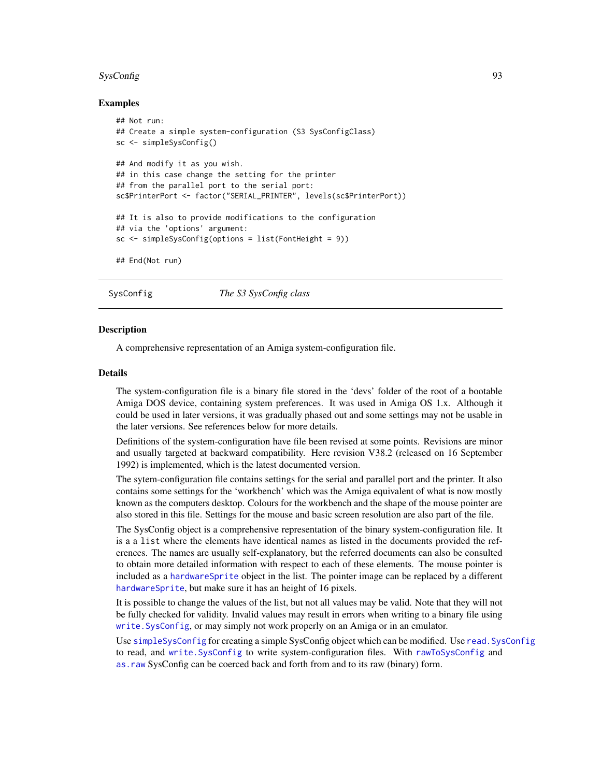#### <span id="page-92-1"></span>SysConfig 93

## Examples

```
## Not run:
## Create a simple system-configuration (S3 SysConfigClass)
sc <- simpleSysConfig()
## And modify it as you wish.
## in this case change the setting for the printer
## from the parallel port to the serial port:
sc$PrinterPort <- factor("SERIAL_PRINTER", levels(sc$PrinterPort))
## It is also to provide modifications to the configuration
## via the 'options' argument:
sc <- simpleSysConfig(options = list(FontHeight = 9))
## End(Not run)
```
<span id="page-92-0"></span>SysConfig *The S3 SysConfig class*

#### Description

A comprehensive representation of an Amiga system-configuration file.

#### Details

The system-configuration file is a binary file stored in the 'devs' folder of the root of a bootable Amiga DOS device, containing system preferences. It was used in Amiga OS 1.x. Although it could be used in later versions, it was gradually phased out and some settings may not be usable in the later versions. See references below for more details.

Definitions of the system-configuration have file been revised at some points. Revisions are minor and usually targeted at backward compatibility. Here revision V38.2 (released on 16 September 1992) is implemented, which is the latest documented version.

The sytem-configuration file contains settings for the serial and parallel port and the printer. It also contains some settings for the 'workbench' which was the Amiga equivalent of what is now mostly known as the computers desktop. Colours for the workbench and the shape of the mouse pointer are also stored in this file. Settings for the mouse and basic screen resolution are also part of the file.

The SysConfig object is a comprehensive representation of the binary system-configuration file. It is a a list where the elements have identical names as listed in the documents provided the references. The names are usually self-explanatory, but the referred documents can also be consulted to obtain more detailed information with respect to each of these elements. The mouse pointer is included as a [hardwareSprite](#page-38-0) object in the list. The pointer image can be replaced by a different [hardwareSprite](#page-38-0), but make sure it has an height of 16 pixels.

It is possible to change the values of the list, but not all values may be valid. Note that they will not be fully checked for validity. Invalid values may result in errors when writing to a binary file using [write.SysConfig](#page-102-0), or may simply not work properly on an Amiga or in an emulator.

Use [simpleSysConfig](#page-91-0) for creating a simple SysConfig object which can be modified. Use [read.SysConfig](#page-88-0) to read, and [write.SysConfig](#page-102-0) to write system-configuration files. With [rawToSysConfig](#page-78-0) and [as.raw](#page-20-0) SysConfig can be coerced back and forth from and to its raw (binary) form.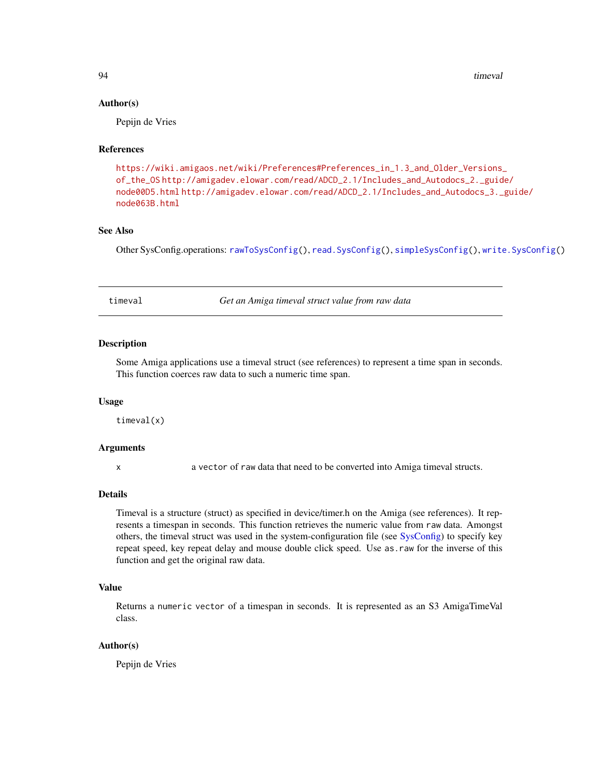94 timeval timeval timeval timeval timeval timeval timeval timeval timeval timeval timeval timeval timeval timeval timeval timeval timeval timeval timeval timeval timeval timeval timeval timeval timeval timeval timeval tim

#### Author(s)

Pepijn de Vries

# **References**

```
https://wiki.amigaos.net/wiki/Preferences#Preferences_in_1.3_and_Older_Versions_
of_the_OS http://amigadev.elowar.com/read/ADCD_2.1/Includes_and_Autodocs_2._guide/
node00D5.html http://amigadev.elowar.com/read/ADCD_2.1/Includes_and_Autodocs_3._guide/
node063B.html
```
# See Also

Other SysConfig.operations: [rawToSysConfig\(](#page-78-0)), [read.SysConfig\(](#page-88-0)), [simpleSysConfig\(](#page-91-0)), [write.SysConfig\(](#page-102-0))

timeval *Get an Amiga timeval struct value from raw data*

#### Description

Some Amiga applications use a timeval struct (see references) to represent a time span in seconds. This function coerces raw data to such a numeric time span.

#### Usage

timeval(x)

#### **Arguments**

x a vector of raw data that need to be converted into Amiga timeval structs.

#### Details

Timeval is a structure (struct) as specified in device/timer.h on the Amiga (see references). It represents a timespan in seconds. This function retrieves the numeric value from raw data. Amongst others, the timeval struct was used in the system-configuration file (see [SysConfig\)](#page-92-0) to specify key repeat speed, key repeat delay and mouse double click speed. Use as.raw for the inverse of this function and get the original raw data.

# Value

Returns a numeric vector of a timespan in seconds. It is represented as an S3 AmigaTimeVal class.

# Author(s)

Pepijn de Vries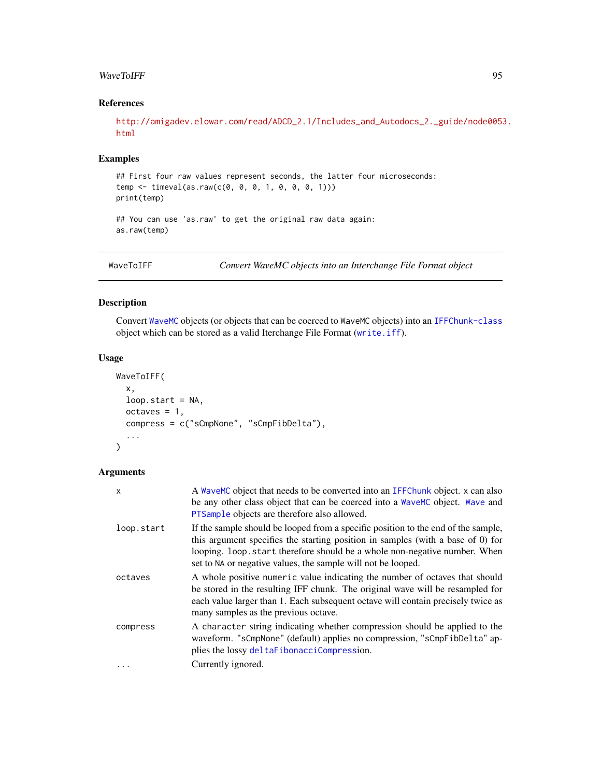#### <span id="page-94-1"></span>WaveToIFF 95

# References

[http://amigadev.elowar.com/read/ADCD\\_2.1/Includes\\_and\\_Autodocs\\_2.\\_guide/node0053](http://amigadev.elowar.com/read/ADCD_2.1/Includes_and_Autodocs_2._guide/node0053.html). [html](http://amigadev.elowar.com/read/ADCD_2.1/Includes_and_Autodocs_2._guide/node0053.html)

# Examples

## First four raw values represent seconds, the latter four microseconds: temp <- timeval(as.raw(c(0, 0, 0, 1, 0, 0, 0, 1))) print(temp) ## You can use 'as.raw' to get the original raw data again:

as.raw(temp)

<span id="page-94-0"></span>WaveToIFF *Convert WaveMC objects into an Interchange File Format object*

# Description

Convert [WaveMC](#page-0-0) objects (or objects that can be coerced to WaveMC objects) into an [IFFChunk-class](#page-40-0) object which can be stored as a valid Iterchange File Format ([write.iff](#page-101-0)).

# Usage

```
WaveToIFF(
  x,
 loop.start = NA,
 octaves = 1,compress = c("sCmpNone", "sCmpFibDelta"),
  ...
)
```
# Arguments

| x          | A WaveMC object that needs to be converted into an IFFC hunk object. x can also<br>be any other class object that can be coerced into a WaveMC object. Wave and<br>PTSample objects are therefore also allowed.                                                                                                   |
|------------|-------------------------------------------------------------------------------------------------------------------------------------------------------------------------------------------------------------------------------------------------------------------------------------------------------------------|
| loop.start | If the sample should be looped from a specific position to the end of the sample,<br>this argument specifies the starting position in samples (with a base of 0) for<br>looping. loop start therefore should be a whole non-negative number. When<br>set to NA or negative values, the sample will not be looped. |
| octaves    | A whole positive numeric value indicating the number of octaves that should<br>be stored in the resulting IFF chunk. The original wave will be resampled for<br>each value larger than 1. Each subsequent octave will contain precisely twice as<br>many samples as the previous octave.                          |
| compress   | A character string indicating whether compression should be applied to the<br>waveform. "sCmpNone" (default) applies no compression, "sCmpFibDelta" ap-<br>plies the lossy deltaFibonacciCompression.                                                                                                             |
| $\cdots$   | Currently ignored.                                                                                                                                                                                                                                                                                                |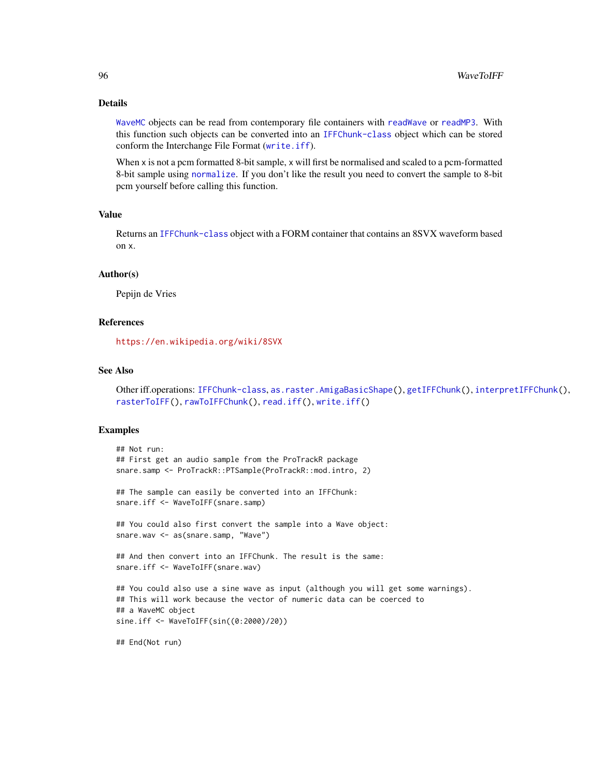# <span id="page-95-0"></span>Details

[WaveMC](#page-0-0) objects can be read from contemporary file containers with [readWave](#page-0-0) or [readMP3](#page-0-0). With this function such objects can be converted into an [IFFChunk-class](#page-40-0) object which can be stored conform the Interchange File Format ([write.iff](#page-101-0)).

When x is not a pcm formatted 8-bit sample, x will first be normalised and scaled to a pcm-formatted 8-bit sample using [normalize](#page-0-0). If you don't like the result you need to convert the sample to 8-bit pcm yourself before calling this function.

# Value

Returns an [IFFChunk-class](#page-40-0) object with a FORM container that contains an 8SVX waveform based on x.

#### Author(s)

Pepijn de Vries

# References

<https://en.wikipedia.org/wiki/8SVX>

# See Also

```
Other iff.operations: IFFChunk-class, as.raster.AmigaBasicShape(), getIFFChunk(), interpretIFFChunk(),
rasterToIFF(), rawToIFFChunk(), read.iff(), write.iff()
```
#### Examples

```
## Not run:
## First get an audio sample from the ProTrackR package
snare.samp <- ProTrackR::PTSample(ProTrackR::mod.intro, 2)
## The sample can easily be converted into an IFFChunk:
snare.iff <- WaveToIFF(snare.samp)
## You could also first convert the sample into a Wave object:
snare.wav <- as(snare.samp, "Wave")
## And then convert into an IFFChunk. The result is the same:
snare.iff <- WaveToIFF(snare.wav)
## You could also use a sine wave as input (although you will get some warnings).
## This will work because the vector of numeric data can be coerced to
## a WaveMC object
sine.iff <- WaveToIFF(sin((0:2000)/20))
```
## End(Not run)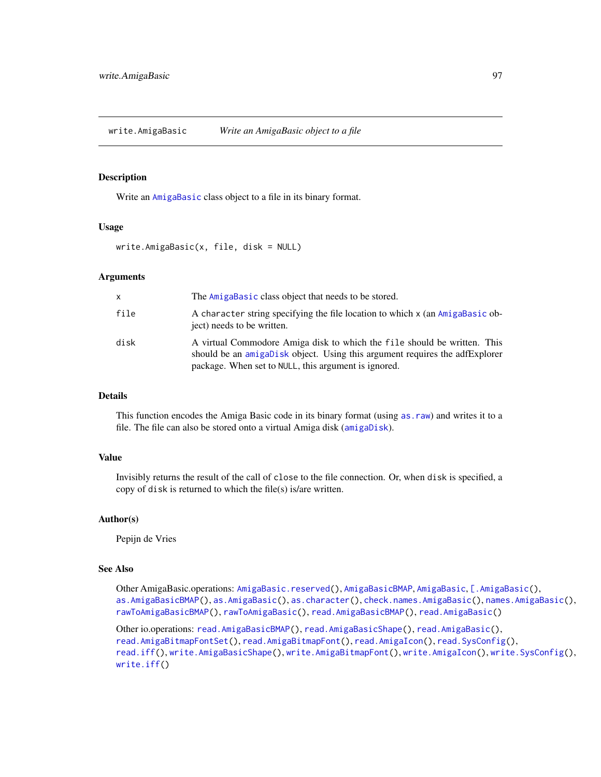<span id="page-96-1"></span><span id="page-96-0"></span>write.AmigaBasic *Write an AmigaBasic object to a file*

# Description

Write an [AmigaBasic](#page-2-0) class object to a file in its binary format.

#### Usage

write.AmigaBasic(x, file, disk = NULL)

#### Arguments

| X    | The AmigaBasic class object that needs to be stored.                                                                                                                                                            |
|------|-----------------------------------------------------------------------------------------------------------------------------------------------------------------------------------------------------------------|
| file | A character string specifying the file location to which x (an AmigaBasic ob-<br>ject) needs to be written.                                                                                                     |
| disk | A virtual Commodore Amiga disk to which the file should be written. This<br>should be an amigaDisk object. Using this argument requires the adfExplorer<br>package. When set to NULL, this argument is ignored. |

#### Details

This function encodes the Amiga Basic code in its binary format (using [as.raw](#page-20-0)) and writes it to a file. The file can also be stored onto a virtual Amiga disk ([amigaDisk](#page-0-0)).

#### Value

Invisibly returns the result of the call of close to the file connection. Or, when disk is specified, a copy of disk is returned to which the file(s) is/are written.

# Author(s)

Pepijn de Vries

# See Also

Other AmigaBasic.operations: [AmigaBasic.reserved\(](#page-4-0)), [AmigaBasicBMAP](#page-4-1), [AmigaBasic](#page-2-0), [\[.AmigaBasic\(](#page-103-0)), [as.AmigaBasicBMAP\(](#page-15-0)), [as.AmigaBasic\(](#page-14-0)), [as.character\(](#page-17-0)), [check.names.AmigaBasic\(](#page-26-0)), [names.AmigaBasic\(](#page-51-0)), [rawToAmigaBasicBMAP\(](#page-69-0)), [rawToAmigaBasic\(](#page-68-0)), [read.AmigaBasicBMAP\(](#page-80-0)), [read.AmigaBasic\(](#page-79-0))

Other io.operations: [read.AmigaBasicBMAP\(](#page-80-0)), [read.AmigaBasicShape\(](#page-82-0)), [read.AmigaBasic\(](#page-79-0)), [read.AmigaBitmapFontSet\(](#page-84-0)), [read.AmigaBitmapFont\(](#page-83-0)), [read.AmigaIcon\(](#page-86-0)), [read.SysConfig\(](#page-88-0)), [read.iff\(](#page-87-0)), [write.AmigaBasicShape\(](#page-97-0)), [write.AmigaBitmapFont\(](#page-98-0)), [write.AmigaIcon\(](#page-100-0)), [write.SysConfig\(](#page-102-0)), [write.iff\(](#page-101-0))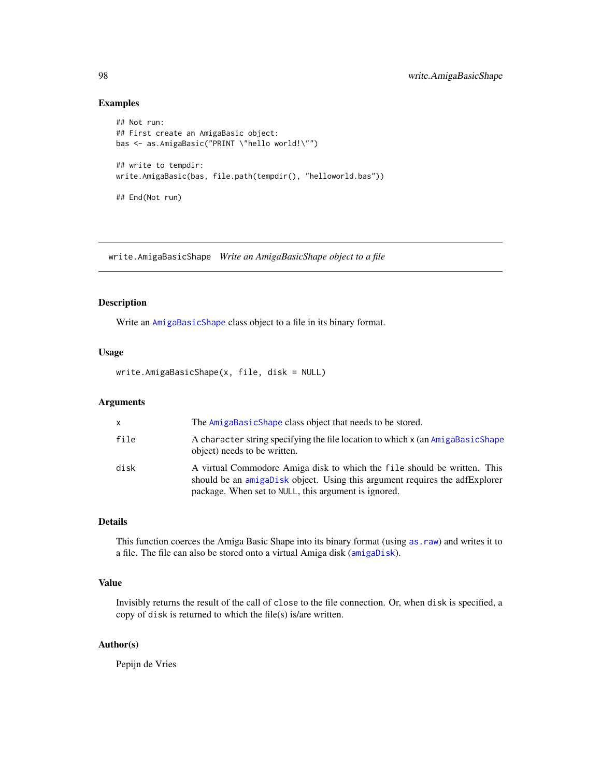# Examples

```
## Not run:
## First create an AmigaBasic object:
bas <- as.AmigaBasic("PRINT \"hello world!\"")
## write to tempdir:
write.AmigaBasic(bas, file.path(tempdir(), "helloworld.bas"))
## End(Not run)
```
<span id="page-97-0"></span>write.AmigaBasicShape *Write an AmigaBasicShape object to a file*

# Description

Write an [AmigaBasicShape](#page-5-0) class object to a file in its binary format.

# Usage

write.AmigaBasicShape(x, file, disk = NULL)

# Arguments

| $\mathsf{x}$ | The AmigaBasicShape class object that needs to be stored.                                                                                                                                                       |
|--------------|-----------------------------------------------------------------------------------------------------------------------------------------------------------------------------------------------------------------|
| file         | A character string specifying the file location to which x (an AmigaBasicShape<br>object) needs to be written.                                                                                                  |
| disk         | A virtual Commodore Amiga disk to which the file should be written. This<br>should be an amigabisk object. Using this argument requires the adfExplorer<br>package. When set to NULL, this argument is ignored. |

# Details

This function coerces the Amiga Basic Shape into its binary format (using [as.raw](#page-20-0)) and writes it to a file. The file can also be stored onto a virtual Amiga disk ([amigaDisk](#page-0-0)).

# Value

Invisibly returns the result of the call of close to the file connection. Or, when disk is specified, a copy of disk is returned to which the file(s) is/are written.

# Author(s)

Pepijn de Vries

<span id="page-97-1"></span>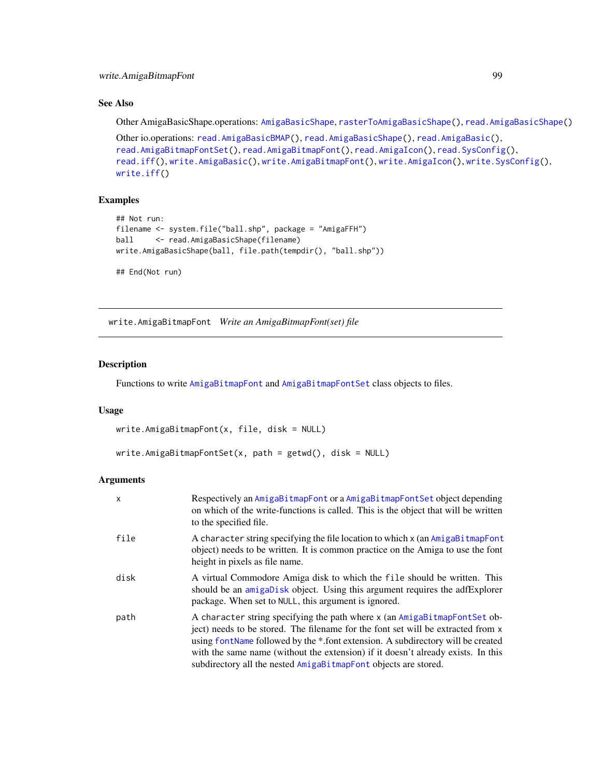# <span id="page-98-1"></span>See Also

Other AmigaBasicShape.operations: [AmigaBasicShape](#page-5-0), [rasterToAmigaBasicShape\(](#page-58-0)), [read.AmigaBasicShape\(](#page-82-0))

```
Other io.operations: read.AmigaBasicBMAP(), read.AmigaBasicShape(), read.AmigaBasic(),
read.AmigaBitmapFontSet(), read.AmigaBitmapFont(), read.AmigaIcon(), read.SysConfig(),
read.iff(), write.AmigaBasic(), write.AmigaBitmapFont(), write.AmigaIcon(), write.SysConfig(),
write.iff()
```
# Examples

```
## Not run:
filename <- system.file("ball.shp", package = "AmigaFFH")
ball <- read.AmigaBasicShape(filename)
write.AmigaBasicShape(ball, file.path(tempdir(), "ball.shp"))
## End(Not run)
```
<span id="page-98-0"></span>write.AmigaBitmapFont *Write an AmigaBitmapFont(set) file*

# Description

Functions to write [AmigaBitmapFont](#page-6-0) and [AmigaBitmapFontSet](#page-6-1) class objects to files.

#### Usage

```
write.AmigaBitmapFont(x, file, disk = NULL)
```

```
write.AmigaBitmapFontSet(x, path = getwd(), disk = NULL)
```
# Arguments

| x    | Respectively an AmigaBitmapFont or a AmigaBitmapFontSet object depending<br>on which of the write-functions is called. This is the object that will be written<br>to the specified file.                                                                                                                                                                                                                 |
|------|----------------------------------------------------------------------------------------------------------------------------------------------------------------------------------------------------------------------------------------------------------------------------------------------------------------------------------------------------------------------------------------------------------|
| file | A character string specifying the file location to which x (an AmigaBi tmapFont<br>object) needs to be written. It is common practice on the Amiga to use the font<br>height in pixels as file name.                                                                                                                                                                                                     |
| disk | A virtual Commodore Amiga disk to which the file should be written. This<br>should be an amigabisk object. Using this argument requires the adfExplorer<br>package. When set to NULL, this argument is ignored.                                                                                                                                                                                          |
| path | A character string specifying the path where x (an AmigaBitmapFontSet ob-<br>ject) needs to be stored. The filename for the font set will be extracted from x<br>using font Name followed by the *.font extension. A subdirectory will be created<br>with the same name (without the extension) if it doesn't already exists. In this<br>subdirectory all the nested AmigaBitmapFont objects are stored. |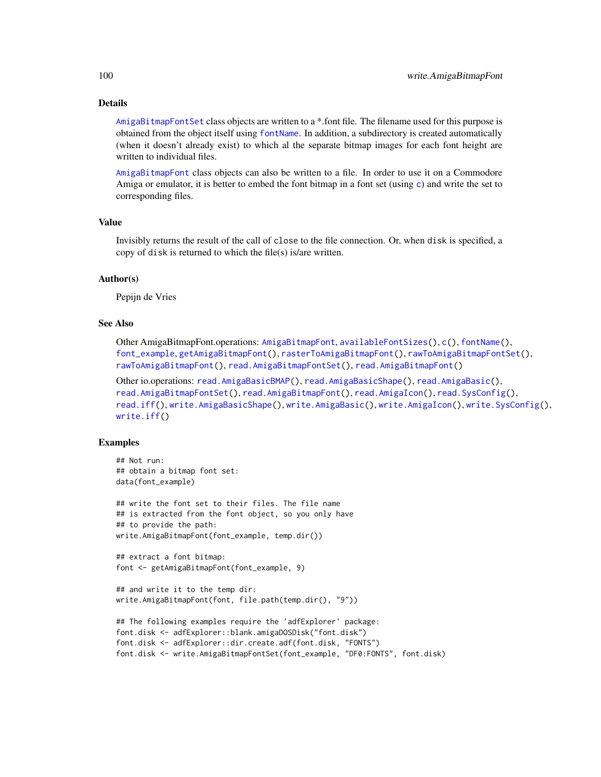# <span id="page-99-0"></span>Details

[AmigaBitmapFontSet](#page-6-1) class objects are written to a \*.font file. The filename used for this purpose is obtained from the object itself using [fontName](#page-34-0). In addition, a subdirectory is created automatically (when it doesn't already exist) to which al the separate bitmap images for each font height are written to individual files.

[AmigaBitmapFont](#page-6-0) class objects can also be written to a file. In order to use it on a Commodore Amiga or emulator, it is better to embed the font bitmap in a font set (using [c](#page-25-0)) and write the set to corresponding files.

#### Value

Invisibly returns the result of the call of close to the file connection. Or, when disk is specified, a copy of disk is returned to which the file(s) is/are written.

## Author(s)

Pepijn de Vries

#### See Also

Other AmigaBitmapFont.operations: [AmigaBitmapFont](#page-6-0), [availableFontSizes\(](#page-22-0)), [c\(](#page-25-0)), [fontName\(](#page-34-0)), [font\\_example](#page-35-0), [getAmigaBitmapFont\(](#page-36-0)), [rasterToAmigaBitmapFont\(](#page-59-0)), [rawToAmigaBitmapFontSet\(](#page-73-0)), [rawToAmigaBitmapFont\(](#page-72-0)), [read.AmigaBitmapFontSet\(](#page-84-0)), [read.AmigaBitmapFont\(](#page-83-0))

Other io.operations: [read.AmigaBasicBMAP\(](#page-80-0)), [read.AmigaBasicShape\(](#page-82-0)), [read.AmigaBasic\(](#page-79-0)), [read.AmigaBitmapFontSet\(](#page-84-0)), [read.AmigaBitmapFont\(](#page-83-0)), [read.AmigaIcon\(](#page-86-0)), [read.SysConfig\(](#page-88-0)), [read.iff\(](#page-87-0)), [write.AmigaBasicShape\(](#page-97-0)), [write.AmigaBasic\(](#page-96-0)), [write.AmigaIcon\(](#page-100-0)), [write.SysConfig\(](#page-102-0)), [write.iff\(](#page-101-0))

# Examples

```
## Not run:
## obtain a bitmap font set:
data(font_example)
## write the font set to their files. The file name
## is extracted from the font object, so you only have
## to provide the path:
write.AmigaBitmapFont(font_example, temp.dir())
## extract a font bitmap:
font <- getAmigaBitmapFont(font_example, 9)
## and write it to the temp dir:
write.AmigaBitmapFont(font, file.path(temp.dir(), "9"))
## The following examples require the 'adfExplorer' package:
font.disk <- adfExplorer::blank.amigaDOSDisk("font.disk")
font.disk <- adfExplorer::dir.create.adf(font.disk, "FONTS")
```

```
font.disk <- write.AmigaBitmapFontSet(font_example, "DF0:FONTS", font.disk)
```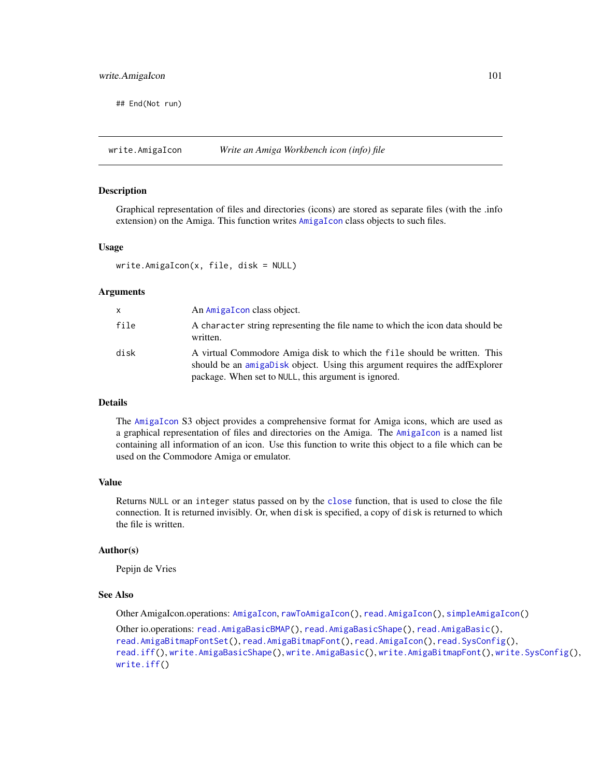<span id="page-100-1"></span>## End(Not run)

<span id="page-100-0"></span>write.AmigaIcon *Write an Amiga Workbench icon (info) file*

# Description

Graphical representation of files and directories (icons) are stored as separate files (with the .info extension) on the Amiga. This function writes [AmigaIcon](#page-10-0) class objects to such files.

# Usage

write.AmigaIcon(x, file, disk = NULL)

# Arguments

| x    | An AmigaIcon class object.                                                                                                                                                                                      |
|------|-----------------------------------------------------------------------------------------------------------------------------------------------------------------------------------------------------------------|
| file | A character string representing the file name to which the icon data should be<br>written.                                                                                                                      |
| disk | A virtual Commodore Amiga disk to which the file should be written. This<br>should be an amigabisk object. Using this argument requires the adfExplorer<br>package. When set to NULL, this argument is ignored. |

# Details

The [AmigaIcon](#page-10-0) S3 object provides a comprehensive format for Amiga icons, which are used as a graphical representation of files and directories on the Amiga. The [AmigaIcon](#page-10-0) is a named list containing all information of an icon. Use this function to write this object to a file which can be used on the Commodore Amiga or emulator.

# Value

Returns NULL or an integer status passed on by the [close](#page-0-0) function, that is used to close the file connection. It is returned invisibly. Or, when disk is specified, a copy of disk is returned to which the file is written.

#### Author(s)

Pepijn de Vries

#### See Also

Other AmigaIcon.operations: [AmigaIcon](#page-10-0), [rawToAmigaIcon\(](#page-74-0)), [read.AmigaIcon\(](#page-86-0)), [simpleAmigaIcon\(](#page-89-0))

Other io.operations: [read.AmigaBasicBMAP\(](#page-80-0)), [read.AmigaBasicShape\(](#page-82-0)), [read.AmigaBasic\(](#page-79-0)), [read.AmigaBitmapFontSet\(](#page-84-0)), [read.AmigaBitmapFont\(](#page-83-0)), [read.AmigaIcon\(](#page-86-0)), [read.SysConfig\(](#page-88-0)), [read.iff\(](#page-87-0)), [write.AmigaBasicShape\(](#page-97-0)), [write.AmigaBasic\(](#page-96-0)), [write.AmigaBitmapFont\(](#page-98-0)), [write.SysConfig\(](#page-102-0)), [write.iff\(](#page-101-0))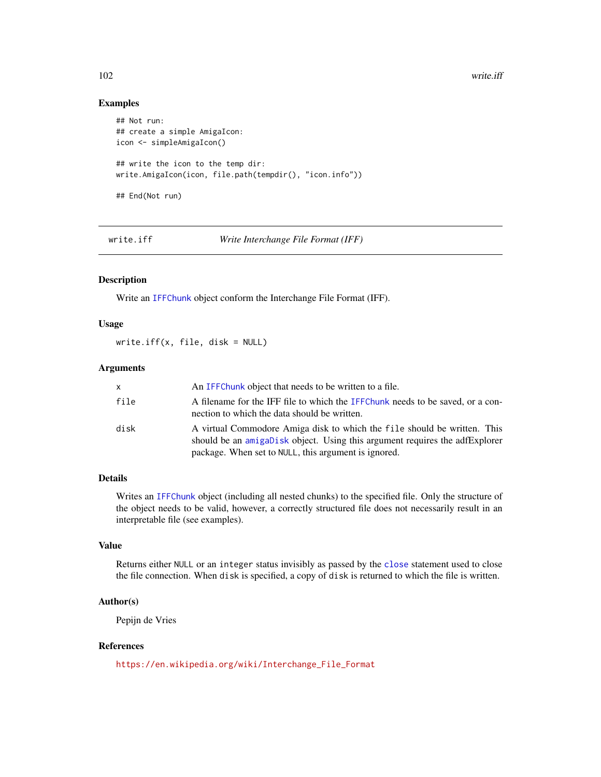# <span id="page-101-1"></span>Examples

```
## Not run:
## create a simple AmigaIcon:
icon <- simpleAmigaIcon()
## write the icon to the temp dir:
write.AmigaIcon(icon, file.path(tempdir(), "icon.info"))
## End(Not run)
```
<span id="page-101-0"></span>write.iff *Write Interchange File Format (IFF)*

# Description

Write an [IFFChunk](#page-41-0) object conform the Interchange File Format (IFF).

# Usage

write.iff(x, file, disk = NULL)

# Arguments

| x    | An IFFC hunk object that needs to be written to a file.                                                                                                                                                         |
|------|-----------------------------------------------------------------------------------------------------------------------------------------------------------------------------------------------------------------|
| file | A filename for the IFF file to which the IFFChunk needs to be saved, or a con-<br>nection to which the data should be written.                                                                                  |
| disk | A virtual Commodore Amiga disk to which the file should be written. This<br>should be an amigabisk object. Using this argument requires the adfExplorer<br>package. When set to NULL, this argument is ignored. |

# Details

Writes an [IFFChunk](#page-41-0) object (including all nested chunks) to the specified file. Only the structure of the object needs to be valid, however, a correctly structured file does not necessarily result in an interpretable file (see examples).

# Value

Returns either NULL or an integer status invisibly as passed by the [close](#page-0-0) statement used to close the file connection. When disk is specified, a copy of disk is returned to which the file is written.

# Author(s)

Pepijn de Vries

# References

[https://en.wikipedia.org/wiki/Interchange\\_File\\_Format](https://en.wikipedia.org/wiki/Interchange_File_Format)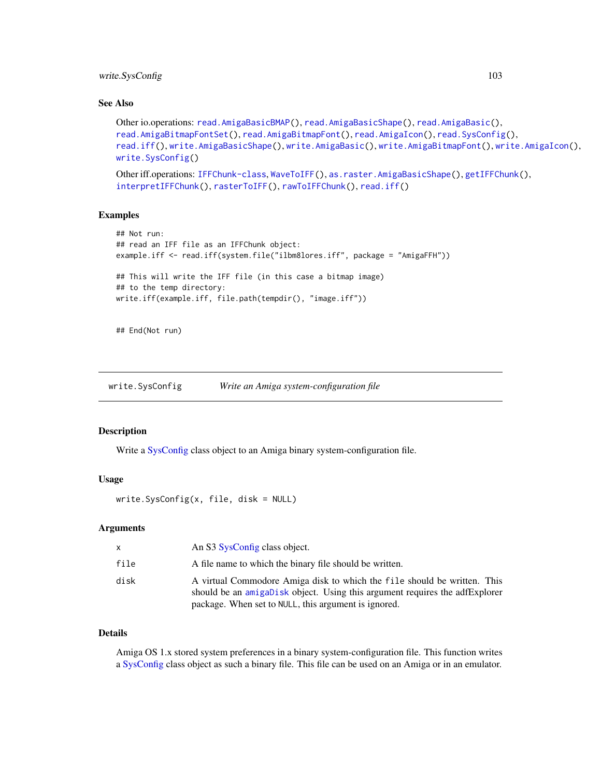# <span id="page-102-1"></span>write.SysConfig 103

# See Also

```
Other io.operations: read.AmigaBasicBMAP(), read.AmigaBasicShape(), read.AmigaBasic(),
read.AmigaBitmapFontSet(), read.AmigaBitmapFont(), read.AmigaIcon(), read.SysConfig(),
read.iff(), write.AmigaBasicShape(), write.AmigaBasic(), write.AmigaBitmapFont(), write.AmigaIcon(),
write.SysConfig()
```

```
Other iff.operations: IFFChunk-class, WaveToIFF(), as.raster.AmigaBasicShape(), getIFFChunk(),
interpretIFFChunk(), rasterToIFF(), rawToIFFChunk(), read.iff()
```
# Examples

```
## Not run:
## read an IFF file as an IFFChunk object:
example.iff <- read.iff(system.file("ilbm8lores.iff", package = "AmigaFFH"))
## This will write the IFF file (in this case a bitmap image)
## to the temp directory:
write.iff(example.iff, file.path(tempdir(), "image.iff"))
```
## End(Not run)

<span id="page-102-0"></span>write.SysConfig *Write an Amiga system-configuration file*

# Description

Write a [SysConfig](#page-92-0) class object to an Amiga binary system-configuration file.

# Usage

```
write.SysConfig(x, file, disk = NULL)
```
#### Arguments

| x.   | An S3 SysConfig class object.                                                                                                                                                                                   |
|------|-----------------------------------------------------------------------------------------------------------------------------------------------------------------------------------------------------------------|
| file | A file name to which the binary file should be written.                                                                                                                                                         |
| disk | A virtual Commodore Amiga disk to which the file should be written. This<br>should be an amigabisk object. Using this argument requires the adfExplorer<br>package. When set to NULL, this argument is ignored. |

# Details

Amiga OS 1.x stored system preferences in a binary system-configuration file. This function writes a [SysConfig](#page-92-0) class object as such a binary file. This file can be used on an Amiga or in an emulator.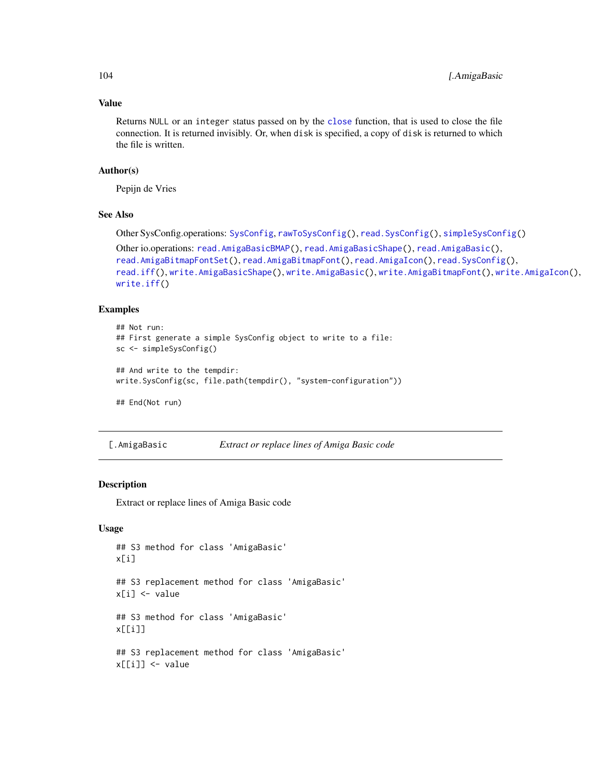# Value

Returns NULL or an integer status passed on by the [close](#page-0-0) function, that is used to close the file connection. It is returned invisibly. Or, when disk is specified, a copy of disk is returned to which the file is written.

# Author(s)

Pepijn de Vries

# See Also

Other SysConfig.operations: [SysConfig](#page-92-0), [rawToSysConfig\(](#page-78-0)), [read.SysConfig\(](#page-88-0)), [simpleSysConfig\(](#page-91-0))

```
Other io.operations: read.AmigaBasicBMAP(), read.AmigaBasicShape(), read.AmigaBasic(),
read.AmigaBitmapFontSet(), read.AmigaBitmapFont(), read.AmigaIcon(), read.SysConfig(),
read.iff(), write.AmigaBasicShape(), write.AmigaBasic(), write.AmigaBitmapFont(), write.AmigaIcon(),
write.iff()
```
# Examples

```
## Not run:
## First generate a simple SysConfig object to write to a file:
sc <- simpleSysConfig()
## And write to the tempdir:
write.SysConfig(sc, file.path(tempdir(), "system-configuration"))
## End(Not run)
```
<span id="page-103-0"></span>

| [.AmigaBasic | Extract or replace lines of Amiga Basic code |  |  |
|--------------|----------------------------------------------|--|--|
|--------------|----------------------------------------------|--|--|

# Description

Extract or replace lines of Amiga Basic code

# Usage

```
## S3 method for class 'AmigaBasic'
x[i]
## S3 replacement method for class 'AmigaBasic'
x[i] <- value
## S3 method for class 'AmigaBasic'
x[[i]]
## S3 replacement method for class 'AmigaBasic'
x[[i]] <- value
```
<span id="page-103-1"></span>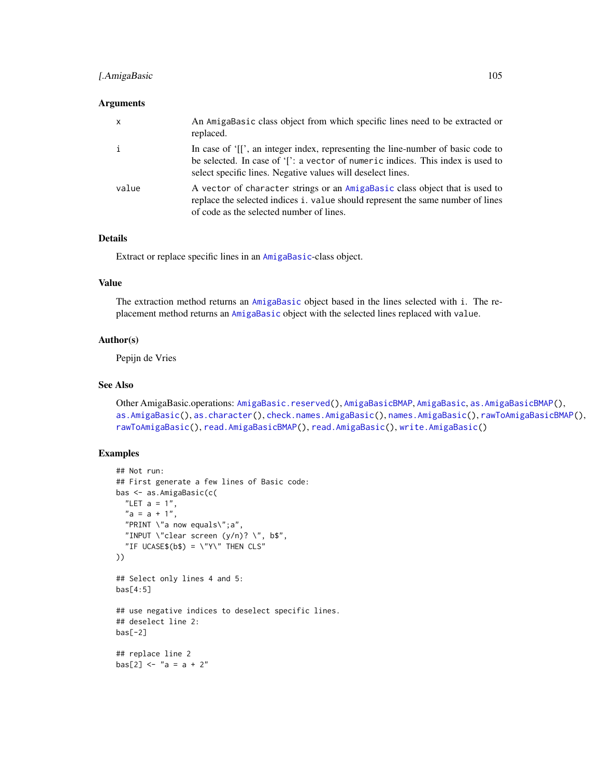# <span id="page-104-0"></span>[.AmigaBasic 105

## **Arguments**

| X     | An AmigaBasic class object from which specific lines need to be extracted or<br>replaced.                                                                                                                                          |
|-------|------------------------------------------------------------------------------------------------------------------------------------------------------------------------------------------------------------------------------------|
|       | In case of '[[', an integer index, representing the line-number of basic code to<br>be selected. In case of '[': a vector of numeric indices. This index is used to<br>select specific lines. Negative values will deselect lines. |
| value | A vector of character strings or an AmigaBasic class object that is used to<br>replace the selected indices i. value should represent the same number of lines<br>of code as the selected number of lines.                         |

# Details

Extract or replace specific lines in an [AmigaBasic](#page-2-0)-class object.

# Value

The extraction method returns an [AmigaBasic](#page-2-0) object based in the lines selected with i. The replacement method returns an [AmigaBasic](#page-2-0) object with the selected lines replaced with value.

# Author(s)

Pepijn de Vries

# See Also

Other AmigaBasic.operations: [AmigaBasic.reserved\(](#page-4-0)), [AmigaBasicBMAP](#page-4-1), [AmigaBasic](#page-2-0), [as.AmigaBasicBMAP\(](#page-15-0)), [as.AmigaBasic\(](#page-14-0)), [as.character\(](#page-17-0)), [check.names.AmigaBasic\(](#page-26-0)), [names.AmigaBasic\(](#page-51-0)), [rawToAmigaBasicBMAP\(](#page-69-0)), [rawToAmigaBasic\(](#page-68-0)), [read.AmigaBasicBMAP\(](#page-80-0)), [read.AmigaBasic\(](#page-79-0)), [write.AmigaBasic\(](#page-96-0))

# Examples

```
## Not run:
## First generate a few lines of Basic code:
bas <- as.AmigaBasic(c(
  "LET a = 1",
  "a = a + 1","PRINT \"a now equals\";a",
  "INPUT \"clear screen (y/n)? \ \forall", b$",
  "IF UCASE$(b$) = \"Y\" THEN CLS"
))
## Select only lines 4 and 5:
bas[4:5]
## use negative indices to deselect specific lines.
## deselect line 2:
bas[-2]## replace line 2
bas[2] < - "a = a + 2"
```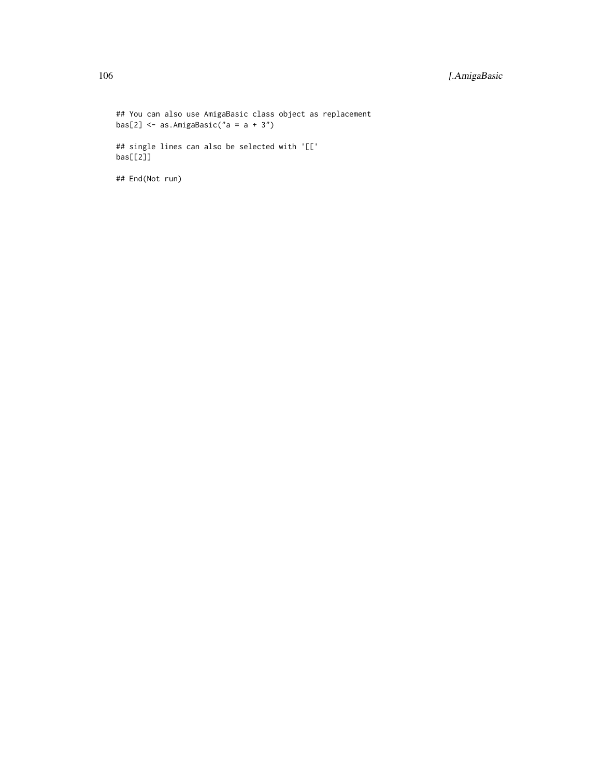```
## You can also use AmigaBasic class object as replacement
bas[2] \leq as. AmigaBasic("a = a + 3")
## single lines can also be selected with '[['
bas[[2]]
```
## End(Not run)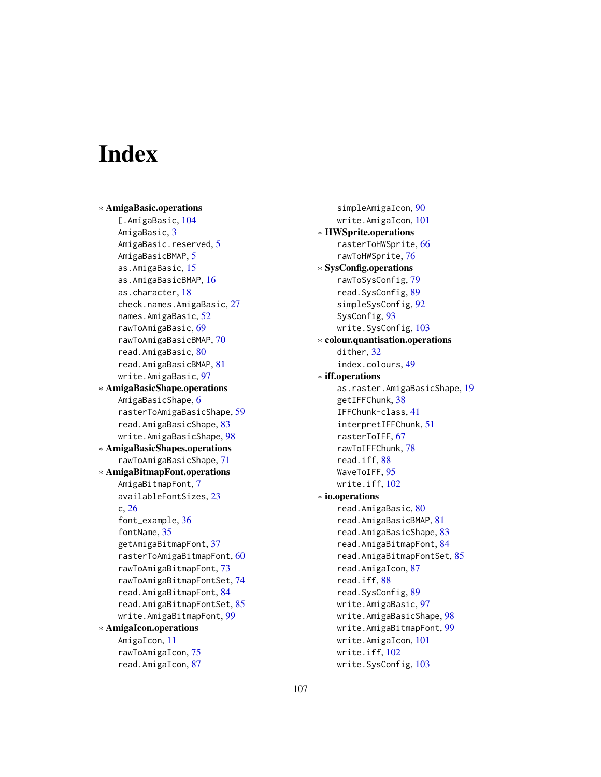# **Index**

∗ AmigaBasic.operations [.AmigaBasic, [104](#page-103-1) AmigaBasic, [3](#page-2-1) AmigaBasic.reserved, [5](#page-4-2) AmigaBasicBMAP, [5](#page-4-2) as.AmigaBasic, [15](#page-14-1) as.AmigaBasicBMAP, [16](#page-15-1) as.character, [18](#page-17-1) check.names.AmigaBasic, [27](#page-26-1) names.AmigaBasic, [52](#page-51-1) rawToAmigaBasic, [69](#page-68-1) rawToAmigaBasicBMAP, [70](#page-69-1) read.AmigaBasic, [80](#page-79-1) read.AmigaBasicBMAP, [81](#page-80-1) write.AmigaBasic, [97](#page-96-1) ∗ AmigaBasicShape.operations AmigaBasicShape, [6](#page-5-1) rasterToAmigaBasicShape, [59](#page-58-1) read.AmigaBasicShape, [83](#page-82-1) write.AmigaBasicShape, [98](#page-97-1) ∗ AmigaBasicShapes.operations rawToAmigaBasicShape, [71](#page-70-1) ∗ AmigaBitmapFont.operations AmigaBitmapFont, [7](#page-6-2) availableFontSizes, [23](#page-22-1) c, [26](#page-25-1) font\_example, [36](#page-35-1) fontName, [35](#page-34-1) getAmigaBitmapFont, [37](#page-36-1) rasterToAmigaBitmapFont, [60](#page-59-1) rawToAmigaBitmapFont, [73](#page-72-1) rawToAmigaBitmapFontSet, [74](#page-73-1) read.AmigaBitmapFont, [84](#page-83-1) read.AmigaBitmapFontSet, [85](#page-84-1) write.AmigaBitmapFont, [99](#page-98-1) ∗ AmigaIcon.operations AmigaIcon, [11](#page-10-1) rawToAmigaIcon, [75](#page-74-1) read.AmigaIcon, [87](#page-86-1)

simpleAmigaIcon, [90](#page-89-1) write.AmigaIcon, [101](#page-100-1) ∗ HWSprite.operations rasterToHWSprite, [66](#page-65-1) rawToHWSprite, [76](#page-75-1) ∗ SysConfig.operations rawToSysConfig, [79](#page-78-1) read.SysConfig, [89](#page-88-1) simpleSysConfig, [92](#page-91-1) SysConfig, [93](#page-92-1) write.SysConfig, [103](#page-102-1) ∗ colour.quantisation.operations dither, [32](#page-31-0) index.colours, [49](#page-48-0) ∗ iff.operations as.raster.AmigaBasicShape, [19](#page-18-2) getIFFChunk, [38](#page-37-1) IFFChunk-class, [41](#page-40-1) interpretIFFChunk, [51](#page-50-1) rasterToIFF, [67](#page-66-1) rawToIFFChunk, [78](#page-77-1) read.iff, [88](#page-87-1) WaveToIFF, [95](#page-94-1) write.iff, [102](#page-101-1) ∗ io.operations read.AmigaBasic, [80](#page-79-1) read.AmigaBasicBMAP, [81](#page-80-1) read.AmigaBasicShape, [83](#page-82-1) read.AmigaBitmapFont, [84](#page-83-1) read.AmigaBitmapFontSet, [85](#page-84-1) read.AmigaIcon, [87](#page-86-1) read.iff, [88](#page-87-1) read.SysConfig, [89](#page-88-1) write.AmigaBasic, [97](#page-96-1) write.AmigaBasicShape, [98](#page-97-1) write.AmigaBitmapFont, [99](#page-98-1) write.AmigaIcon, [101](#page-100-1) write.iff, [102](#page-101-1) write.SysConfig, [103](#page-102-1)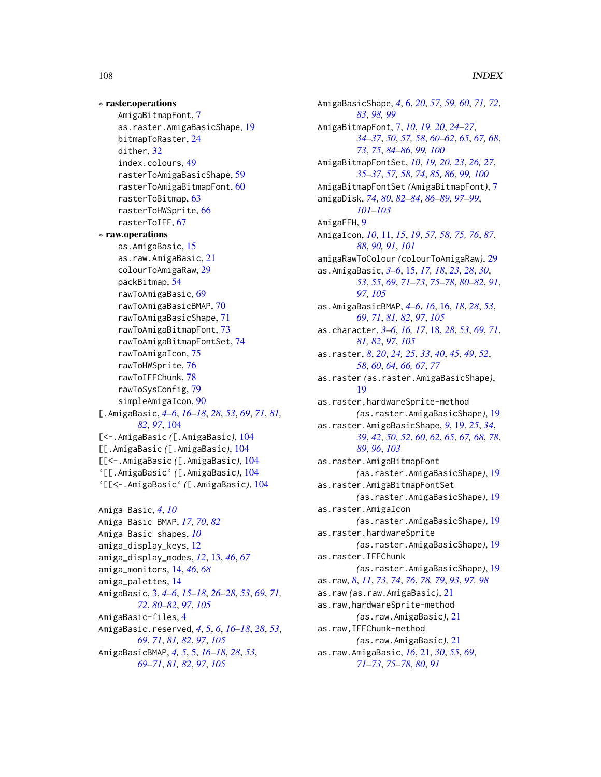∗ raster.operations AmigaBitmapFont, [7](#page-6-2) as.raster.AmigaBasicShape, [19](#page-18-2) bitmapToRaster, [24](#page-23-0) dither, [32](#page-31-0) index.colours, [49](#page-48-0) rasterToAmigaBasicShape, [59](#page-58-1) rasterToAmigaBitmapFont, [60](#page-59-1) rasterToBitmap, [63](#page-62-0) rasterToHWSprite, [66](#page-65-1) rasterToIFF, [67](#page-66-1) ∗ raw.operations as.AmigaBasic, [15](#page-14-1) as.raw.AmigaBasic, [21](#page-20-2) colourToAmigaRaw, [29](#page-28-1) packBitmap, [54](#page-53-1) rawToAmigaBasic, [69](#page-68-1) rawToAmigaBasicBMAP, [70](#page-69-1) rawToAmigaBasicShape, [71](#page-70-1) rawToAmigaBitmapFont, [73](#page-72-1) rawToAmigaBitmapFontSet, [74](#page-73-1) rawToAmigaIcon, [75](#page-74-1) rawToHWSprite, [76](#page-75-1) rawToIFFChunk, [78](#page-77-1) rawToSysConfig, [79](#page-78-1) simpleAmigaIcon, [90](#page-89-1) [.AmigaBasic, *[4](#page-3-0)[–6](#page-5-1)*, *[16–](#page-15-1)[18](#page-17-1)*, *[28](#page-27-0)*, *[53](#page-52-0)*, *[69](#page-68-1)*, *[71](#page-70-1)*, *[81,](#page-80-1) [82](#page-81-0)*, *[97](#page-96-1)*, [104](#page-103-1) [<-.AmigaBasic *(*[.AmigaBasic*)*, [104](#page-103-1) [[.AmigaBasic *(*[.AmigaBasic*)*, [104](#page-103-1) [[<-.AmigaBasic *(*[.AmigaBasic*)*, [104](#page-103-1) '[[.AmigaBasic' *(*[.AmigaBasic*)*, [104](#page-103-1) '[[<-.AmigaBasic' *(*[.AmigaBasic*)*, [104](#page-103-1) Amiga Basic, *[4](#page-3-0)*, *[10](#page-9-0)* Amiga Basic BMAP, *[17](#page-16-0)*, *[70](#page-69-1)*, *[82](#page-81-0)* Amiga Basic shapes, *[10](#page-9-0)* amiga\_display\_keys, [12](#page-11-0) amiga\_display\_modes, *[12](#page-11-0)*, [13,](#page-12-0) *[46](#page-45-0)*, *[67](#page-66-1)* amiga\_monitors, [14,](#page-13-0) *[46](#page-45-0)*, *[68](#page-67-0)* amiga\_palettes, [14](#page-13-0) AmigaBasic, [3,](#page-2-1) *[4](#page-3-0)[–6](#page-5-1)*, *[15–](#page-14-1)[18](#page-17-1)*, *[26–](#page-25-1)[28](#page-27-0)*, *[53](#page-52-0)*, *[69](#page-68-1)*, *[71,](#page-70-1) [72](#page-71-0)*, *[80](#page-79-1)[–82](#page-81-0)*, *[97](#page-96-1)*, *[105](#page-104-0)* AmigaBasic-files, [4](#page-3-0) AmigaBasic.reserved, *[4](#page-3-0)*, [5,](#page-4-2) *[6](#page-5-1)*, *[16–](#page-15-1)[18](#page-17-1)*, *[28](#page-27-0)*, *[53](#page-52-0)*,

*[69](#page-68-1)*, *[71](#page-70-1)*, *[81,](#page-80-1) [82](#page-81-0)*, *[97](#page-96-1)*, *[105](#page-104-0)* AmigaBasicBMAP, *[4,](#page-3-0) [5](#page-4-2)*, [5,](#page-4-2) *[16–](#page-15-1)[18](#page-17-1)*, *[28](#page-27-0)*, *[53](#page-52-0)*, *[69](#page-68-1)[–71](#page-70-1)*, *[81,](#page-80-1) [82](#page-81-0)*, *[97](#page-96-1)*, *[105](#page-104-0)*

AmigaBasicShape, *[4](#page-3-0)*, [6,](#page-5-1) *[20](#page-19-0)*, *[57](#page-56-0)*, *[59,](#page-58-1) [60](#page-59-1)*, *[71,](#page-70-1) [72](#page-71-0)*, *[83](#page-82-1)*, *[98,](#page-97-1) [99](#page-98-1)* AmigaBitmapFont, [7,](#page-6-2) *[10](#page-9-0)*, *[19,](#page-18-2) [20](#page-19-0)*, *[24](#page-23-0)[–27](#page-26-1)*, *[34](#page-33-0)[–37](#page-36-1)*, *[50](#page-49-0)*, *[57,](#page-56-0) [58](#page-57-0)*, *[60](#page-59-1)[–62](#page-61-0)*, *[65](#page-64-0)*, *[67,](#page-66-1) [68](#page-67-0)*, *[73](#page-72-1)*, *[75](#page-74-1)*, *[84](#page-83-1)[–86](#page-85-0)*, *[99,](#page-98-1) [100](#page-99-0)* AmigaBitmapFontSet, *[10](#page-9-0)*, *[19,](#page-18-2) [20](#page-19-0)*, *[23](#page-22-1)*, *[26,](#page-25-1) [27](#page-26-1)*, *[35](#page-34-1)[–37](#page-36-1)*, *[57,](#page-56-0) [58](#page-57-0)*, *[74](#page-73-1)*, *[85,](#page-84-1) [86](#page-85-0)*, *[99,](#page-98-1) [100](#page-99-0)* AmigaBitmapFontSet *(*AmigaBitmapFont*)*, [7](#page-6-2) amigaDisk, *[74](#page-73-1)*, *[80](#page-79-1)*, *[82](#page-81-0)[–84](#page-83-1)*, *[86](#page-85-0)[–89](#page-88-1)*, *[97](#page-96-1)[–99](#page-98-1)*, *[101](#page-100-1)[–103](#page-102-1)* AmigaFFH, [9](#page-8-0) AmigaIcon, *[10](#page-9-0)*, [11,](#page-10-1) *[15](#page-14-1)*, *[19](#page-18-2)*, *[57,](#page-56-0) [58](#page-57-0)*, *[75,](#page-74-1) [76](#page-75-1)*, *[87,](#page-86-1) [88](#page-87-1)*, *[90,](#page-89-1) [91](#page-90-0)*, *[101](#page-100-1)* amigaRawToColour *(*colourToAmigaRaw*)*, [29](#page-28-1) as.AmigaBasic, *[3](#page-2-1)[–6](#page-5-1)*, [15,](#page-14-1) *[17,](#page-16-0) [18](#page-17-1)*, *[23](#page-22-1)*, *[28](#page-27-0)*, *[30](#page-29-1)*, *[53](#page-52-0)*, *[55](#page-54-0)*, *[69](#page-68-1)*, *[71](#page-70-1)[–73](#page-72-1)*, *[75](#page-74-1)[–78](#page-77-1)*, *[80](#page-79-1)[–82](#page-81-0)*, *[91](#page-90-0)*, *[97](#page-96-1)*, *[105](#page-104-0)* as.AmigaBasicBMAP, *[4](#page-3-0)[–6](#page-5-1)*, *[16](#page-15-1)*, [16,](#page-15-1) *[18](#page-17-1)*, *[28](#page-27-0)*, *[53](#page-52-0)*, *[69](#page-68-1)*, *[71](#page-70-1)*, *[81,](#page-80-1) [82](#page-81-0)*, *[97](#page-96-1)*, *[105](#page-104-0)* as.character, *[3](#page-2-1)[–6](#page-5-1)*, *[16,](#page-15-1) [17](#page-16-0)*, [18,](#page-17-1) *[28](#page-27-0)*, *[53](#page-52-0)*, *[69](#page-68-1)*, *[71](#page-70-1)*, *[81,](#page-80-1) [82](#page-81-0)*, *[97](#page-96-1)*, *[105](#page-104-0)* as.raster, *[8](#page-7-0)*, *[20](#page-19-0)*, *[24,](#page-23-0) [25](#page-24-0)*, *[33](#page-32-0)*, *[40](#page-39-0)*, *[45](#page-44-0)*, *[49](#page-48-0)*, *[52](#page-51-1)*, *[58](#page-57-0)*, *[60](#page-59-1)*, *[64](#page-63-0)*, *[66,](#page-65-1) [67](#page-66-1)*, *[77](#page-76-0)* as.raster *(*as.raster.AmigaBasicShape*)*, [19](#page-18-2) as.raster,hardwareSprite-method *(*as.raster.AmigaBasicShape*)*, [19](#page-18-2) as.raster.AmigaBasicShape, *[9](#page-8-0)*, [19,](#page-18-2) *[25](#page-24-0)*, *[34](#page-33-0)*, *[39](#page-38-1)*, *[42](#page-41-2)*, *[50](#page-49-0)*, *[52](#page-51-1)*, *[60](#page-59-1)*, *[62](#page-61-0)*, *[65](#page-64-0)*, *[67,](#page-66-1) [68](#page-67-0)*, *[78](#page-77-1)*, *[89](#page-88-1)*, *[96](#page-95-0)*, *[103](#page-102-1)* as.raster.AmigaBitmapFont *(*as.raster.AmigaBasicShape*)*, [19](#page-18-2) as.raster.AmigaBitmapFontSet *(*as.raster.AmigaBasicShape*)*, [19](#page-18-2) as.raster.AmigaIcon *(*as.raster.AmigaBasicShape*)*, [19](#page-18-2) as.raster.hardwareSprite *(*as.raster.AmigaBasicShape*)*, [19](#page-18-2) as.raster.IFFChunk *(*as.raster.AmigaBasicShape*)*, [19](#page-18-2) as.raw, *[8](#page-7-0)*, *[11](#page-10-1)*, *[73,](#page-72-1) [74](#page-73-1)*, *[76](#page-75-1)*, *[78,](#page-77-1) [79](#page-78-1)*, *[93](#page-92-1)*, *[97,](#page-96-1) [98](#page-97-1)* as.raw *(*as.raw.AmigaBasic*)*, [21](#page-20-2) as.raw,hardwareSprite-method *(*as.raw.AmigaBasic*)*, [21](#page-20-2) as.raw,IFFChunk-method *(*as.raw.AmigaBasic*)*, [21](#page-20-2) as.raw.AmigaBasic, *[16](#page-15-1)*, [21,](#page-20-2) *[30](#page-29-1)*, *[55](#page-54-0)*, *[69](#page-68-1)*, *[71](#page-70-1)[–73](#page-72-1)*, *[75](#page-74-1)[–78](#page-77-1)*, *[80](#page-79-1)*, *[91](#page-90-0)*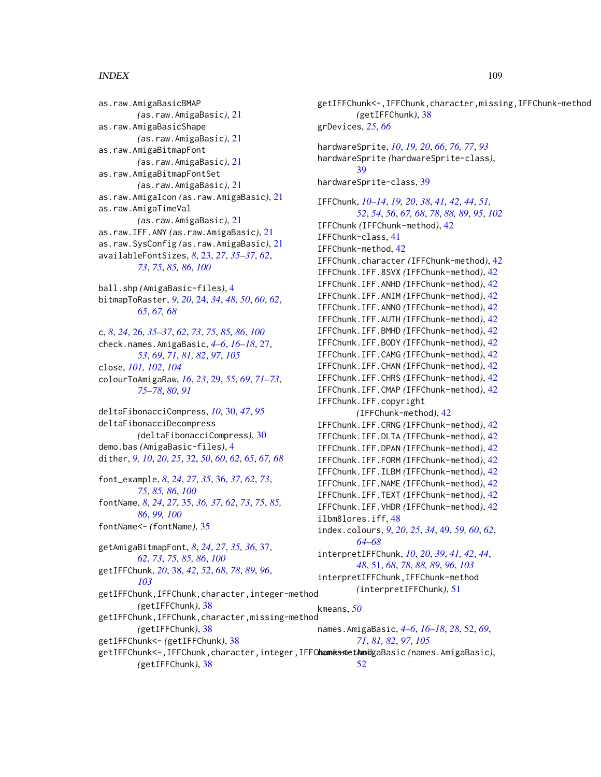## INDEX 109

as.raw.AmigaBasicBMAP *(*as.raw.AmigaBasic*)*, [21](#page-20-0) as.raw.AmigaBasicShape *(*as.raw.AmigaBasic*)*, [21](#page-20-0) as.raw.AmigaBitmapFont *(*as.raw.AmigaBasic*)*, [21](#page-20-0) as.raw.AmigaBitmapFontSet *(*as.raw.AmigaBasic*)*, [21](#page-20-0) as.raw.AmigaIcon *(*as.raw.AmigaBasic*)*, [21](#page-20-0) as.raw.AmigaTimeVal *(*as.raw.AmigaBasic*)*, [21](#page-20-0) as.raw.IFF.ANY *(*as.raw.AmigaBasic*)*, [21](#page-20-0) as.raw.SysConfig *(*as.raw.AmigaBasic*)*, [21](#page-20-0) availableFontSizes, *[8](#page-7-0)*, [23,](#page-22-0) *[27](#page-26-0)*, *[35–](#page-34-0)[37](#page-36-0)*, *[62](#page-61-0)*, *[73](#page-72-0)*, *[75](#page-74-0)*, *[85,](#page-84-0) [86](#page-85-0)*, *[100](#page-99-0)* ball.shp *(*AmigaBasic-files*)*, [4](#page-3-0) bitmapToRaster, *[9](#page-8-0)*, *[20](#page-19-0)*, [24,](#page-23-0) *[34](#page-33-0)*, *[48](#page-47-0)*, *[50](#page-49-0)*, *[60](#page-59-0)*, *[62](#page-61-0)*, *[65](#page-64-0)*, *[67,](#page-66-0) [68](#page-67-0)* c, *[8](#page-7-0)*, *[24](#page-23-0)*, [26,](#page-25-0) *[35](#page-34-0)[–37](#page-36-0)*, *[62](#page-61-0)*, *[73](#page-72-0)*, *[75](#page-74-0)*, *[85,](#page-84-0) [86](#page-85-0)*, *[100](#page-99-0)* check.names.AmigaBasic, *[4–](#page-3-0)[6](#page-5-0)*, *[16–](#page-15-0)[18](#page-17-0)*, [27,](#page-26-0) *[53](#page-52-0)*, *[69](#page-68-0)*, *[71](#page-70-0)*, *[81,](#page-80-0) [82](#page-81-0)*, *[97](#page-96-0)*, *[105](#page-104-0)* close, *[101,](#page-100-0) [102](#page-101-0)*, *[104](#page-103-0)* colourToAmigaRaw, *[16](#page-15-0)*, *[23](#page-22-0)*, [29,](#page-28-0) *[55](#page-54-0)*, *[69](#page-68-0)*, *[71–](#page-70-0)[73](#page-72-0)*, *[75](#page-74-0)[–78](#page-77-0)*, *[80](#page-79-0)*, *[91](#page-90-0)* deltaFibonacciCompress, *[10](#page-9-0)*, [30,](#page-29-0) *[47](#page-46-0)*, *[95](#page-94-0)* deltaFibonacciDecompress *(*deltaFibonacciCompress*)*, [30](#page-29-0) demo.bas *(*AmigaBasic-files*)*, [4](#page-3-0) dither, *[9,](#page-8-0) [10](#page-9-0)*, *[20](#page-19-0)*, *[25](#page-24-0)*, [32,](#page-31-0) *[50](#page-49-0)*, *[60](#page-59-0)*, *[62](#page-61-0)*, *[65](#page-64-0)*, *[67,](#page-66-0) [68](#page-67-0)* font\_example, *[8](#page-7-0)*, *[24](#page-23-0)*, *[27](#page-26-0)*, *[35](#page-34-0)*, [36,](#page-35-0) *[37](#page-36-0)*, *[62](#page-61-0)*, *[73](#page-72-0)*, *[75](#page-74-0)*, *[85,](#page-84-0) [86](#page-85-0)*, *[100](#page-99-0)* fontName, *[8](#page-7-0)*, *[24](#page-23-0)*, *[27](#page-26-0)*, [35,](#page-34-0) *[36,](#page-35-0) [37](#page-36-0)*, *[62](#page-61-0)*, *[73](#page-72-0)*, *[75](#page-74-0)*, *[85,](#page-84-0) [86](#page-85-0)*, *[99,](#page-98-0) [100](#page-99-0)* fontName<- *(*fontName*)*, [35](#page-34-0) getAmigaBitmapFont, *[8](#page-7-0)*, *[24](#page-23-0)*, *[27](#page-26-0)*, *[35,](#page-34-0) [36](#page-35-0)*, [37,](#page-36-0) *[62](#page-61-0)*, *[73](#page-72-0)*, *[75](#page-74-0)*, *[85,](#page-84-0) [86](#page-85-0)*, *[100](#page-99-0)* getIFFChunk, *[20](#page-19-0)*, [38,](#page-37-0) *[42](#page-41-0)*, *[52](#page-51-0)*, *[68](#page-67-0)*, *[78](#page-77-0)*, *[89](#page-88-0)*, *[96](#page-95-0)*, *[103](#page-102-0)*

*(*getIFFChunk*)*, [38](#page-37-0)

*(*getIFFChunk*)*, [38](#page-37-0) getIFFChunk<- *(*getIFFChunk*)*, [38](#page-37-0)

*(*getIFFChunk*)*, [38](#page-37-0)

getIFFChunk,IFFChunk,character,integer-method getIFFChunk,IFFChunk,character,missing-method getIFFChunk<-,IFFChunk,character,integer,IFFC**ham<del>ks<code>metAmoi</code>gaBasic<code>(names.AmigaBasic</code>),**</del> getIFFChunk<-,IFFChunk,character,missing,IFFChunk-method *(*getIFFChunk*)*, [38](#page-37-0) grDevices, *[25](#page-24-0)*, *[66](#page-65-0)* hardwareSprite, *[10](#page-9-0)*, *[19,](#page-18-0) [20](#page-19-0)*, *[66](#page-65-0)*, *[76,](#page-75-0) [77](#page-76-0)*, *[93](#page-92-0)* hardwareSprite *(*hardwareSprite-class*)*, [39](#page-38-0) hardwareSprite-class, [39](#page-38-0) IFFChunk, *[10](#page-9-0)[–14](#page-13-0)*, *[19,](#page-18-0) [20](#page-19-0)*, *[38](#page-37-0)*, *[41,](#page-40-0) [42](#page-41-0)*, *[44](#page-43-0)*, *[51,](#page-50-0) [52](#page-51-0)*, *[54](#page-53-0)*, *[56](#page-55-0)*, *[67,](#page-66-0) [68](#page-67-0)*, *[78](#page-77-0)*, *[88,](#page-87-0) [89](#page-88-0)*, *[95](#page-94-0)*, *[102](#page-101-0)* IFFChunk *(*IFFChunk-method*)*, [42](#page-41-0) IFFChunk-class, [41](#page-40-0) IFFChunk-method, [42](#page-41-0) IFFChunk.character *(*IFFChunk-method*)*, [42](#page-41-0) IFFChunk.IFF.8SVX *(*IFFChunk-method*)*, [42](#page-41-0) IFFChunk.IFF.ANHD *(*IFFChunk-method*)*, [42](#page-41-0) IFFChunk.IFF.ANIM *(*IFFChunk-method*)*, [42](#page-41-0) IFFChunk.IFF.ANNO *(*IFFChunk-method*)*, [42](#page-41-0) IFFChunk.IFF.AUTH *(*IFFChunk-method*)*, [42](#page-41-0) IFFChunk.IFF.BMHD *(*IFFChunk-method*)*, [42](#page-41-0) IFFChunk.IFF.BODY *(*IFFChunk-method*)*, [42](#page-41-0) IFFChunk.IFF.CAMG *(*IFFChunk-method*)*, [42](#page-41-0) IFFChunk.IFF.CHAN *(*IFFChunk-method*)*, [42](#page-41-0) IFFChunk.IFF.CHRS *(*IFFChunk-method*)*, [42](#page-41-0) IFFChunk.IFF.CMAP *(*IFFChunk-method*)*, [42](#page-41-0) IFFChunk.IFF.copyright *(*IFFChunk-method*)*, [42](#page-41-0) IFFChunk.IFF.CRNG *(*IFFChunk-method*)*, [42](#page-41-0) IFFChunk.IFF.DLTA *(*IFFChunk-method*)*, [42](#page-41-0) IFFChunk.IFF.DPAN *(*IFFChunk-method*)*, [42](#page-41-0) IFFChunk.IFF.FORM *(*IFFChunk-method*)*, [42](#page-41-0) IFFChunk.IFF.ILBM *(*IFFChunk-method*)*, [42](#page-41-0) IFFChunk.IFF.NAME *(*IFFChunk-method*)*, [42](#page-41-0) IFFChunk.IFF.TEXT *(*IFFChunk-method*)*, [42](#page-41-0) IFFChunk.IFF.VHDR *(*IFFChunk-method*)*, [42](#page-41-0) ilbm8lores.iff, [48](#page-47-0) index.colours, *[9](#page-8-0)*, *[20](#page-19-0)*, *[25](#page-24-0)*, *[34](#page-33-0)*, [49,](#page-48-0) *[59,](#page-58-0) [60](#page-59-0)*, *[62](#page-61-0)*, *[64](#page-63-0)[–68](#page-67-0)* interpretIFFChunk, *[10](#page-9-0)*, *[20](#page-19-0)*, *[39](#page-38-0)*, *[41,](#page-40-0) [42](#page-41-0)*, *[44](#page-43-0)*, *[48](#page-47-0)*, [51,](#page-50-0) *[68](#page-67-0)*, *[78](#page-77-0)*, *[88,](#page-87-0) [89](#page-88-0)*, *[96](#page-95-0)*, *[103](#page-102-0)* interpretIFFChunk,IFFChunk-method *(*interpretIFFChunk*)*, [51](#page-50-0) kmeans, *[50](#page-49-0)* names.AmigaBasic, *[4](#page-3-0)[–6](#page-5-0)*, *[16](#page-15-0)[–18](#page-17-0)*, *[28](#page-27-0)*, [52,](#page-51-0) *[69](#page-68-0)*, *[71](#page-70-0)*, *[81,](#page-80-0) [82](#page-81-0)*, *[97](#page-96-0)*, *[105](#page-104-0)* [52](#page-51-0)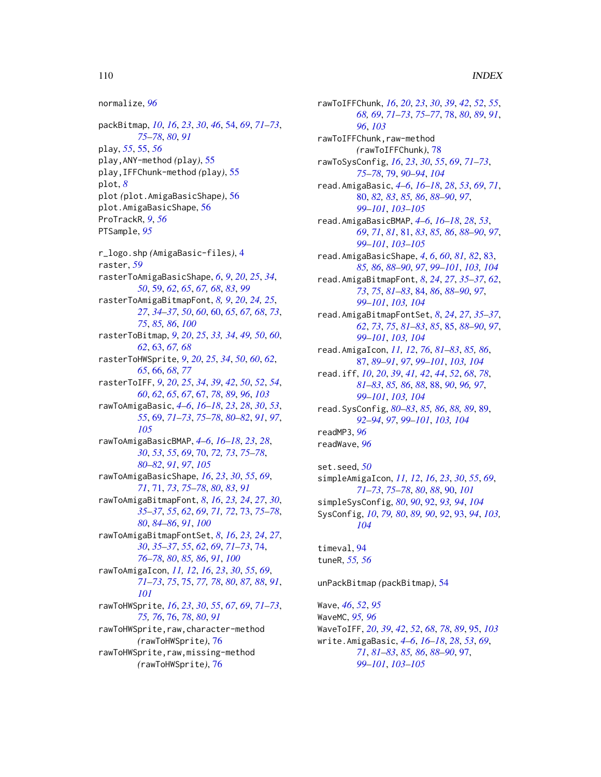## 110 INDEX

```
normalize, 96
packBitmap, 10, 16, 23, 30, 46, 54, 69, 71–73,
         75–78, 80, 91
play, 55, 55, 56
play,ANY-method (play), 55
play,IFFChunk-method (play), 55
plot, 8
plot (plot.AmigaBasicShape), 56
plot.AmigaBasicShape, 56
ProTrackR, 9, 56
PTSample, 95
r_logo.shp (AmigaBasic-files), 4
raster, 59
rasterToAmigaBasicShape, 6, 9, 20, 25, 34,
         50, 59, 62, 65, 67, 68, 83, 99
rasterToAmigaBitmapFont, 8, 9, 20, 24, 25,
         27, 34–37, 50, 60, 60, 65, 67, 68, 73,
         75, 85, 86, 100
rasterToBitmap, 9, 20, 25, 33, 34, 49, 50, 60,
         62, 63, 67, 68
rasterToHWSprite, 9, 20, 25, 34, 50, 60, 62,
         65, 66, 68, 77
rasterToIFF, 9, 20, 25, 34, 39, 42, 50, 52, 54,
         60, 62, 65, 67, 67, 78, 89, 96, 103
rawToAmigaBasic, 4–6, 16–18, 23, 28, 30, 53,
         55, 69, 71–73, 75–78, 80–82, 91, 97,
         105
rawToAmigaBasicBMAP, 4–6, 16–18, 23, 28,
         30, 53, 55, 69, 70, 72, 73, 75–78,
         80–82, 91, 97, 105
rawToAmigaBasicShape, 16, 23, 30, 55, 69,
         71, 71, 73, 75–78, 80, 83, 91
rawToAmigaBitmapFont, 8, 16, 23, 24, 27, 30,
         35–37, 55, 62, 69, 71, 72, 73, 75–78,
         80, 84–86, 91, 100
rawToAmigaBitmapFontSet, 8, 16, 23, 24, 27,
         30, 35–37, 55, 62, 69, 71–73, 74,
         76–78, 80, 85, 86, 91, 100
rawToAmigaIcon, 11, 12, 16, 23, 30, 55, 69,
         71–73, 75, 75, 77, 78, 80, 87, 88, 91,
         101
rawToHWSprite, 16, 23, 30, 55, 67, 69, 71–73,
         75, 76, 76, 78, 80, 91
rawToHWSprite,raw,character-method
         (rawToHWSprite), 76
rawToHWSprite,raw,missing-method
         (rawToHWSprite), 76
```
rawToIFFChunk, *[16](#page-15-0)*, *[20](#page-19-0)*, *[23](#page-22-0)*, *[30](#page-29-0)*, *[39](#page-38-0)*, *[42](#page-41-0)*, *[52](#page-51-0)*, *[55](#page-54-0)*, *[68,](#page-67-0) [69](#page-68-0)*, *[71](#page-70-0)[–73](#page-72-0)*, *[75](#page-74-0)[–77](#page-76-0)*, [78,](#page-77-0) *[80](#page-79-0)*, *[89](#page-88-0)*, *[91](#page-90-0)*, *[96](#page-95-0)*, *[103](#page-102-0)* rawToIFFChunk,raw-method *(*rawToIFFChunk*)*, [78](#page-77-0) rawToSysConfig, *[16](#page-15-0)*, *[23](#page-22-0)*, *[30](#page-29-0)*, *[55](#page-54-0)*, *[69](#page-68-0)*, *[71](#page-70-0)[–73](#page-72-0)*, *[75](#page-74-0)[–78](#page-77-0)*, [79,](#page-78-0) *[90](#page-89-0)[–94](#page-93-0)*, *[104](#page-103-0)* read.AmigaBasic, *[4](#page-3-0)[–6](#page-5-0)*, *[16](#page-15-0)[–18](#page-17-0)*, *[28](#page-27-0)*, *[53](#page-52-0)*, *[69](#page-68-0)*, *[71](#page-70-0)*, [80,](#page-79-0) *[82,](#page-81-0) [83](#page-82-0)*, *[85,](#page-84-0) [86](#page-85-0)*, *[88](#page-87-0)[–90](#page-89-0)*, *[97](#page-96-0)*, *[99](#page-98-0)[–101](#page-100-0)*, *[103](#page-102-0)[–105](#page-104-0)* read.AmigaBasicBMAP, *[4](#page-3-0)[–6](#page-5-0)*, *[16](#page-15-0)[–18](#page-17-0)*, *[28](#page-27-0)*, *[53](#page-52-0)*, *[69](#page-68-0)*, *[71](#page-70-0)*, *[81](#page-80-0)*, [81,](#page-80-0) *[83](#page-82-0)*, *[85,](#page-84-0) [86](#page-85-0)*, *[88](#page-87-0)[–90](#page-89-0)*, *[97](#page-96-0)*, *[99](#page-98-0)[–101](#page-100-0)*, *[103](#page-102-0)[–105](#page-104-0)* read.AmigaBasicShape, *[4](#page-3-0)*, *[6](#page-5-0)*, *[60](#page-59-0)*, *[81,](#page-80-0) [82](#page-81-0)*, [83,](#page-82-0) *[85,](#page-84-0) [86](#page-85-0)*, *[88](#page-87-0)[–90](#page-89-0)*, *[97](#page-96-0)*, *[99](#page-98-0)[–101](#page-100-0)*, *[103,](#page-102-0) [104](#page-103-0)* read.AmigaBitmapFont, *[8](#page-7-0)*, *[24](#page-23-0)*, *[27](#page-26-0)*, *[35](#page-34-0)[–37](#page-36-0)*, *[62](#page-61-0)*, *[73](#page-72-0)*, *[75](#page-74-0)*, *[81](#page-80-0)[–83](#page-82-0)*, [84,](#page-83-0) *[86](#page-85-0)*, *[88](#page-87-0)[–90](#page-89-0)*, *[97](#page-96-0)*, *[99](#page-98-0)[–101](#page-100-0)*, *[103,](#page-102-0) [104](#page-103-0)* read.AmigaBitmapFontSet, *[8](#page-7-0)*, *[24](#page-23-0)*, *[27](#page-26-0)*, *[35](#page-34-0)[–37](#page-36-0)*, *[62](#page-61-0)*, *[73](#page-72-0)*, *[75](#page-74-0)*, *[81](#page-80-0)[–83](#page-82-0)*, *[85](#page-84-0)*, [85,](#page-84-0) *[88](#page-87-0)[–90](#page-89-0)*, *[97](#page-96-0)*, *[99](#page-98-0)[–101](#page-100-0)*, *[103,](#page-102-0) [104](#page-103-0)* read.AmigaIcon, *[11,](#page-10-0) [12](#page-11-0)*, *[76](#page-75-0)*, *[81](#page-80-0)[–83](#page-82-0)*, *[85,](#page-84-0) [86](#page-85-0)*, [87,](#page-86-0) *[89](#page-88-0)[–91](#page-90-0)*, *[97](#page-96-0)*, *[99](#page-98-0)[–101](#page-100-0)*, *[103,](#page-102-0) [104](#page-103-0)* read.iff, *[10](#page-9-0)*, *[20](#page-19-0)*, *[39](#page-38-0)*, *[41,](#page-40-0) [42](#page-41-0)*, *[44](#page-43-0)*, *[52](#page-51-0)*, *[68](#page-67-0)*, *[78](#page-77-0)*, *[81](#page-80-0)[–83](#page-82-0)*, *[85,](#page-84-0) [86](#page-85-0)*, *[88](#page-87-0)*, [88,](#page-87-0) *[90](#page-89-0)*, *[96,](#page-95-0) [97](#page-96-0)*, *[99](#page-98-0)[–101](#page-100-0)*, *[103,](#page-102-0) [104](#page-103-0)* read.SysConfig, *[80](#page-79-0)[–83](#page-82-0)*, *[85,](#page-84-0) [86](#page-85-0)*, *[88,](#page-87-0) [89](#page-88-0)*, [89,](#page-88-0) *[92](#page-91-0)[–94](#page-93-0)*, *[97](#page-96-0)*, *[99](#page-98-0)[–101](#page-100-0)*, *[103,](#page-102-0) [104](#page-103-0)* readMP3, *[96](#page-95-0)* readWave, *[96](#page-95-0)* set.seed, *[50](#page-49-0)* simpleAmigaIcon, *[11,](#page-10-0) [12](#page-11-0)*, *[16](#page-15-0)*, *[23](#page-22-0)*, *[30](#page-29-0)*, *[55](#page-54-0)*, *[69](#page-68-0)*, *[71](#page-70-0)[–73](#page-72-0)*, *[75](#page-74-0)[–78](#page-77-0)*, *[80](#page-79-0)*, *[88](#page-87-0)*, [90,](#page-89-0) *[101](#page-100-0)* simpleSysConfig, *[80](#page-79-0)*, *[90](#page-89-0)*, [92,](#page-91-0) *[93,](#page-92-0) [94](#page-93-0)*, *[104](#page-103-0)* SysConfig, *[10](#page-9-0)*, *[79,](#page-78-0) [80](#page-79-0)*, *[89,](#page-88-0) [90](#page-89-0)*, *[92](#page-91-0)*, [93,](#page-92-0) *[94](#page-93-0)*, *[103,](#page-102-0) [104](#page-103-0)*

timeval, [94](#page-93-0) tuneR, *[55,](#page-54-0) [56](#page-55-0)*

unPackBitmap *(*packBitmap*)*, [54](#page-53-0)

Wave, *[46](#page-45-0)*, *[52](#page-51-0)*, *[95](#page-94-0)* WaveMC, *[95,](#page-94-0) [96](#page-95-0)* WaveToIFF, *[20](#page-19-0)*, *[39](#page-38-0)*, *[42](#page-41-0)*, *[52](#page-51-0)*, *[68](#page-67-0)*, *[78](#page-77-0)*, *[89](#page-88-0)*, [95,](#page-94-0) *[103](#page-102-0)* write.AmigaBasic, *[4](#page-3-0)[–6](#page-5-0)*, *[16](#page-15-0)[–18](#page-17-0)*, *[28](#page-27-0)*, *[53](#page-52-0)*, *[69](#page-68-0)*, *[71](#page-70-0)*, *[81](#page-80-0)[–83](#page-82-0)*, *[85,](#page-84-0) [86](#page-85-0)*, *[88](#page-87-0)[–90](#page-89-0)*, [97,](#page-96-0) *[99](#page-98-0)[–101](#page-100-0)*, *[103](#page-102-0)[–105](#page-104-0)*